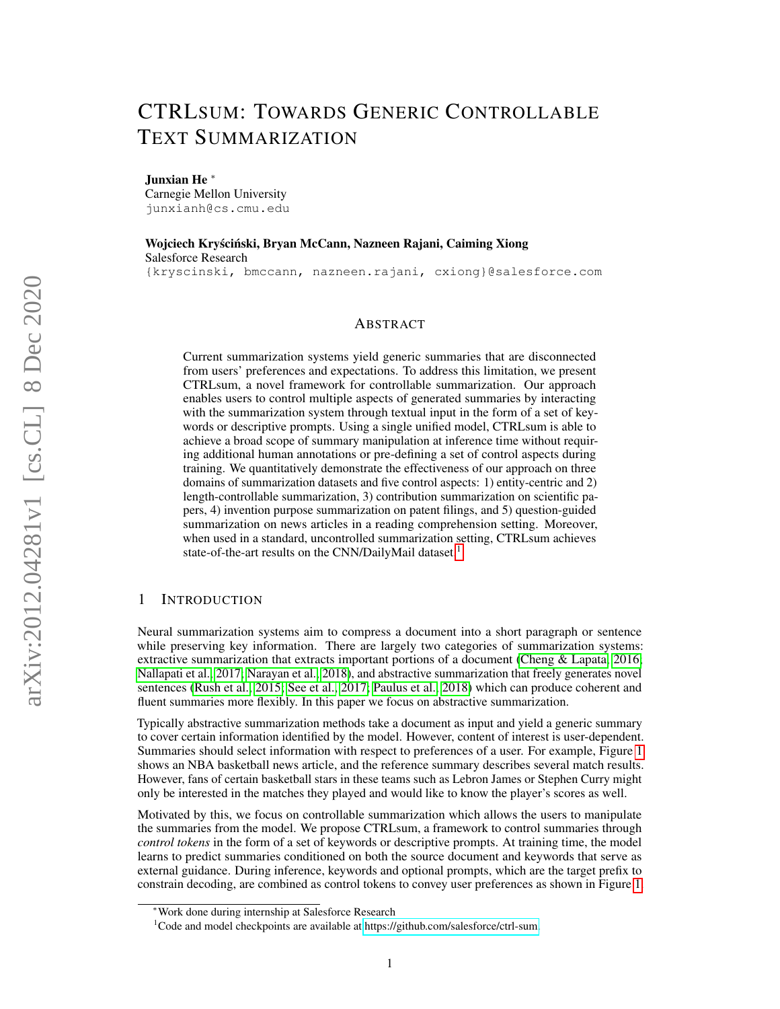# CTRLSUM: TOWARDS GENERIC CONTROLLABLE TEXT SUMMARIZATION

Junxian He <sup>∗</sup>

Carnegie Mellon University junxianh@cs.cmu.edu

Wojciech Kryściński, Bryan McCann, Nazneen Rajani, Caiming Xiong Salesforce Research

{kryscinski, bmccann, nazneen.rajani, cxiong}@salesforce.com

## ABSTRACT

Current summarization systems yield generic summaries that are disconnected from users' preferences and expectations. To address this limitation, we present CTRLsum, a novel framework for controllable summarization. Our approach enables users to control multiple aspects of generated summaries by interacting with the summarization system through textual input in the form of a set of keywords or descriptive prompts. Using a single unified model, CTRLsum is able to achieve a broad scope of summary manipulation at inference time without requiring additional human annotations or pre-defining a set of control aspects during training. We quantitatively demonstrate the effectiveness of our approach on three domains of summarization datasets and five control aspects: 1) entity-centric and 2) length-controllable summarization, 3) contribution summarization on scientific papers, 4) invention purpose summarization on patent filings, and 5) question-guided summarization on news articles in a reading comprehension setting. Moreover, when used in a standard, uncontrolled summarization setting, CTRLsum achieves state-of-the-art results on the CNN/DailyMail dataset.<sup>[1](#page-0-0)</sup>

# 1 INTRODUCTION

Neural summarization systems aim to compress a document into a short paragraph or sentence while preserving key information. There are largely two categories of summarization systems: extractive summarization that extracts important portions of a document [\(Cheng & Lapata, 2016;](#page-9-0) [Nallapati et al., 2017;](#page-10-0) [Narayan et al., 2018\)](#page-10-1), and abstractive summarization that freely generates novel sentences [\(Rush et al., 2015;](#page-11-0) [See et al., 2017;](#page-11-1) [Paulus et al., 2018\)](#page-11-2) which can produce coherent and fluent summaries more flexibly. In this paper we focus on abstractive summarization.

Typically abstractive summarization methods take a document as input and yield a generic summary to cover certain information identified by the model. However, content of interest is user-dependent. Summaries should select information with respect to preferences of a user. For example, Figure [1](#page-1-0) shows an NBA basketball news article, and the reference summary describes several match results. However, fans of certain basketball stars in these teams such as Lebron James or Stephen Curry might only be interested in the matches they played and would like to know the player's scores as well.

Motivated by this, we focus on controllable summarization which allows the users to manipulate the summaries from the model. We propose CTRLsum, a framework to control summaries through *control tokens* in the form of a set of keywords or descriptive prompts. At training time, the model learns to predict summaries conditioned on both the source document and keywords that serve as external guidance. During inference, keywords and optional prompts, which are the target prefix to constrain decoding, are combined as control tokens to convey user preferences as shown in Figure [1.](#page-1-0)

<sup>∗</sup>Work done during internship at Salesforce Research

<span id="page-0-0"></span><sup>&</sup>lt;sup>1</sup>Code and model checkpoints are available at [https://github.com/salesforce/ctrl-sum.](https://github.com/salesforce/ctrl-sum)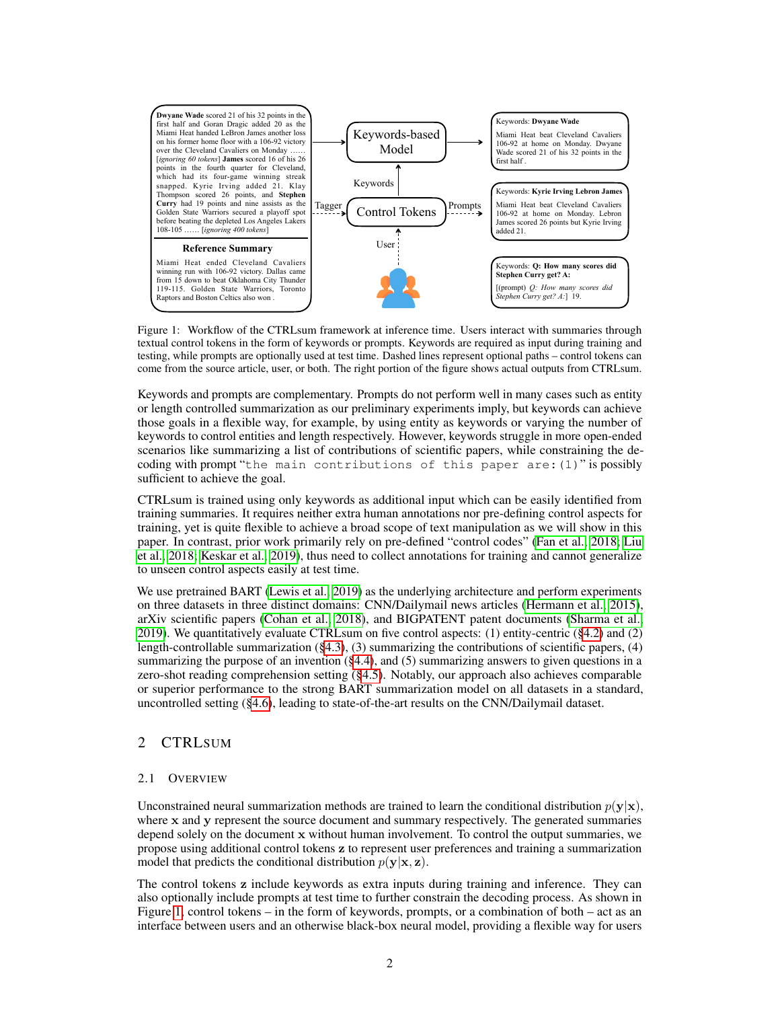<span id="page-1-0"></span>

Figure 1: Workflow of the CTRLsum framework at inference time. Users interact with summaries through textual control tokens in the form of keywords or prompts. Keywords are required as input during training and testing, while prompts are optionally used at test time. Dashed lines represent optional paths – control tokens can come from the source article, user, or both. The right portion of the figure shows actual outputs from CTRLsum.

Keywords and prompts are complementary. Prompts do not perform well in many cases such as entity or length controlled summarization as our preliminary experiments imply, but keywords can achieve those goals in a flexible way, for example, by using entity as keywords or varying the number of keywords to control entities and length respectively. However, keywords struggle in more open-ended scenarios like summarizing a list of contributions of scientific papers, while constraining the decoding with prompt "the main contributions of this paper are:(1)" is possibly sufficient to achieve the goal.

CTRLsum is trained using only keywords as additional input which can be easily identified from training summaries. It requires neither extra human annotations nor pre-defining control aspects for training, yet is quite flexible to achieve a broad scope of text manipulation as we will show in this paper. In contrast, prior work primarily rely on pre-defined "control codes" [\(Fan et al., 2018;](#page-9-1) [Liu](#page-10-2) [et al., 2018;](#page-10-2) [Keskar et al., 2019\)](#page-10-3), thus need to collect annotations for training and cannot generalize to unseen control aspects easily at test time.

We use pretrained BART [\(Lewis et al., 2019\)](#page-10-4) as the underlying architecture and perform experiments on three datasets in three distinct domains: CNN/Dailymail news articles [\(Hermann et al., 2015\)](#page-10-5), arXiv scientific papers [\(Cohan et al., 2018\)](#page-9-2), and BIGPATENT patent documents [\(Sharma et al.,](#page-11-3) [2019\)](#page-11-3). We quantitatively evaluate CTRLsum on five control aspects: (1) entity-centric ([§4.2\)](#page-5-0) and (2) length-controllable summarization  $(\S4.3)$ ,  $(\S)$  summarizing the contributions of scientific papers,  $(4)$ summarizing the purpose of an invention ([§4.4\)](#page-6-1), and (5) summarizing answers to given questions in a zero-shot reading comprehension setting ([§4.5\)](#page-7-0). Notably, our approach also achieves comparable or superior performance to the strong BART summarization model on all datasets in a standard, uncontrolled setting ([§4.6\)](#page-7-1), leading to state-of-the-art results on the CNN/Dailymail dataset.

# 2 CTRLSUM

## 2.1 OVERVIEW

Unconstrained neural summarization methods are trained to learn the conditional distribution  $p(y|x)$ , where x and y represent the source document and summary respectively. The generated summaries depend solely on the document x without human involvement. To control the output summaries, we propose using additional control tokens z to represent user preferences and training a summarization model that predicts the conditional distribution  $p(\mathbf{y}|\mathbf{x}, \mathbf{z})$ .

The control tokens z include keywords as extra inputs during training and inference. They can also optionally include prompts at test time to further constrain the decoding process. As shown in Figure [1,](#page-1-0) control tokens – in the form of keywords, prompts, or a combination of both – act as an interface between users and an otherwise black-box neural model, providing a flexible way for users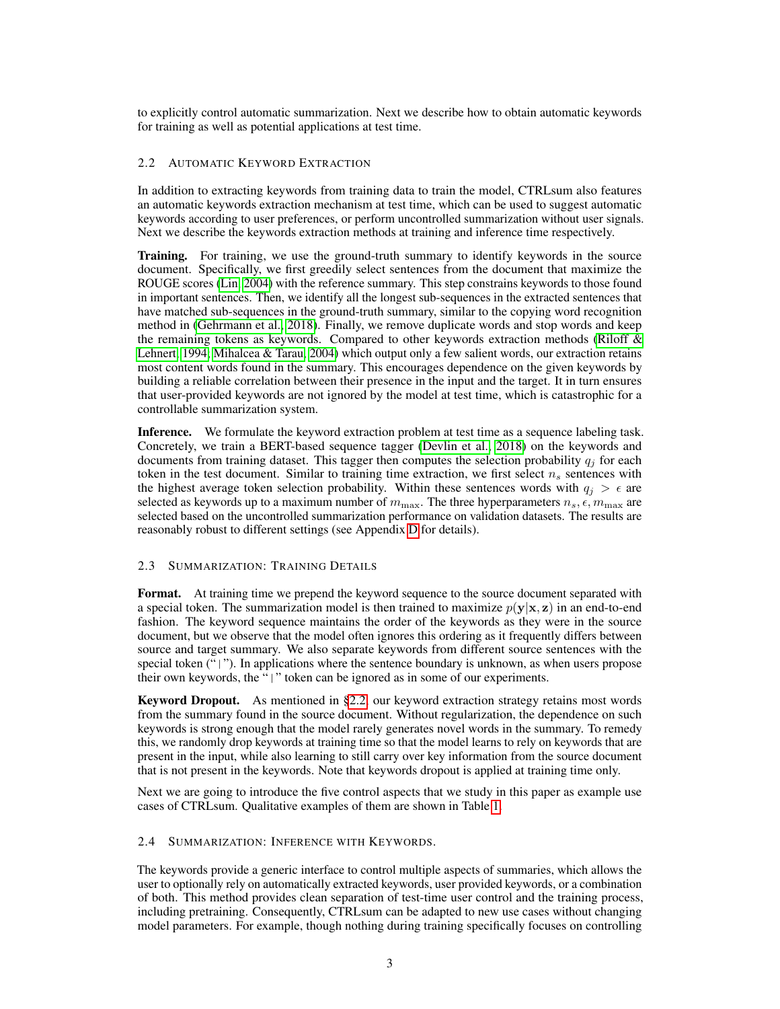to explicitly control automatic summarization. Next we describe how to obtain automatic keywords for training as well as potential applications at test time.

## <span id="page-2-0"></span>2.2 AUTOMATIC KEYWORD EXTRACTION

In addition to extracting keywords from training data to train the model, CTRLsum also features an automatic keywords extraction mechanism at test time, which can be used to suggest automatic keywords according to user preferences, or perform uncontrolled summarization without user signals. Next we describe the keywords extraction methods at training and inference time respectively.

Training. For training, we use the ground-truth summary to identify keywords in the source document. Specifically, we first greedily select sentences from the document that maximize the ROUGE scores [\(Lin, 2004\)](#page-10-6) with the reference summary. This step constrains keywords to those found in important sentences. Then, we identify all the longest sub-sequences in the extracted sentences that have matched sub-sequences in the ground-truth summary, similar to the copying word recognition method in [\(Gehrmann et al., 2018\)](#page-9-3). Finally, we remove duplicate words and stop words and keep the remaining tokens as keywords. Compared to other keywords extraction methods [\(Riloff &](#page-11-4) [Lehnert, 1994;](#page-11-4) [Mihalcea & Tarau, 2004\)](#page-10-7) which output only a few salient words, our extraction retains most content words found in the summary. This encourages dependence on the given keywords by building a reliable correlation between their presence in the input and the target. It in turn ensures that user-provided keywords are not ignored by the model at test time, which is catastrophic for a controllable summarization system.

Inference. We formulate the keyword extraction problem at test time as a sequence labeling task. Concretely, we train a BERT-based sequence tagger [\(Devlin et al., 2018\)](#page-9-4) on the keywords and documents from training dataset. This tagger then computes the selection probability  $q_i$  for each token in the test document. Similar to training time extraction, we first select  $n<sub>s</sub>$  sentences with the highest average token selection probability. Within these sentences words with  $q_i > \epsilon$  are selected as keywords up to a maximum number of  $m_{\text{max}}$ . The three hyperparameters  $n_s, \epsilon, m_{\text{max}}$  are selected based on the uncontrolled summarization performance on validation datasets. The results are reasonably robust to different settings (see Appendix [D](#page-16-0) for details).

#### 2.3 SUMMARIZATION: TRAINING DETAILS

Format. At training time we prepend the keyword sequence to the source document separated with a special token. The summarization model is then trained to maximize  $p(y|x, z)$  in an end-to-end fashion. The keyword sequence maintains the order of the keywords as they were in the source document, but we observe that the model often ignores this ordering as it frequently differs between source and target summary. We also separate keywords from different source sentences with the special token ("|"). In applications where the sentence boundary is unknown, as when users propose their own keywords, the "|" token can be ignored as in some of our experiments.

Keyword Dropout. As mentioned in [§2.2,](#page-2-0) our keyword extraction strategy retains most words from the summary found in the source document. Without regularization, the dependence on such keywords is strong enough that the model rarely generates novel words in the summary. To remedy this, we randomly drop keywords at training time so that the model learns to rely on keywords that are present in the input, while also learning to still carry over key information from the source document that is not present in the keywords. Note that keywords dropout is applied at training time only.

Next we are going to introduce the five control aspects that we study in this paper as example use cases of CTRLsum. Qualitative examples of them are shown in Table [1.](#page-3-0)

#### 2.4 SUMMARIZATION: INFERENCE WITH KEYWORDS.

The keywords provide a generic interface to control multiple aspects of summaries, which allows the user to optionally rely on automatically extracted keywords, user provided keywords, or a combination of both. This method provides clean separation of test-time user control and the training process, including pretraining. Consequently, CTRLsum can be adapted to new use cases without changing model parameters. For example, though nothing during training specifically focuses on controlling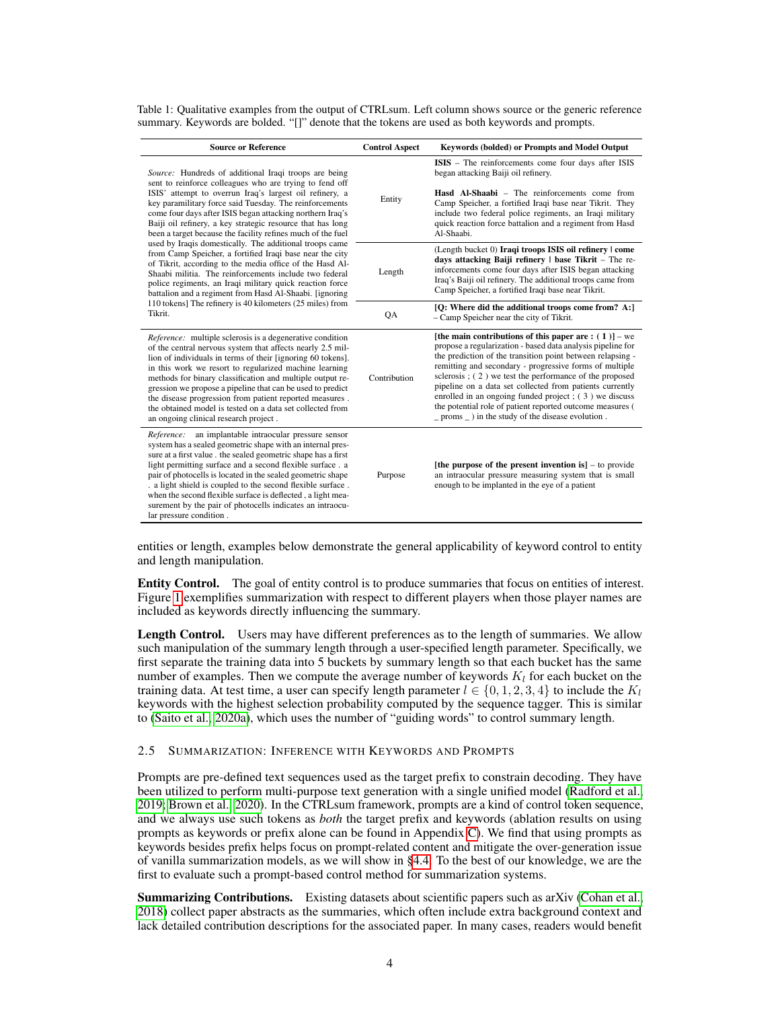<span id="page-3-0"></span>Table 1: Qualitative examples from the output of CTRLsum. Left column shows source or the generic reference summary. Keywords are bolded. "[]" denote that the tokens are used as both keywords and prompts.

| <b>Source or Reference</b>                                                                                                                                                                                                                                                                                                                                                                                                                                                                                                                          | <b>Control Aspect</b> | Keywords (bolded) or Prompts and Model Output                                                                                                                                                                                                                                                                                                                                                                                                                                                                                                      |
|-----------------------------------------------------------------------------------------------------------------------------------------------------------------------------------------------------------------------------------------------------------------------------------------------------------------------------------------------------------------------------------------------------------------------------------------------------------------------------------------------------------------------------------------------------|-----------------------|----------------------------------------------------------------------------------------------------------------------------------------------------------------------------------------------------------------------------------------------------------------------------------------------------------------------------------------------------------------------------------------------------------------------------------------------------------------------------------------------------------------------------------------------------|
| Source: Hundreds of additional Iraqi troops are being<br>sent to reinforce colleagues who are trying to fend off<br>ISIS' attempt to overrun Iraq's largest oil refinery, a<br>key paramilitary force said Tuesday. The reinforcements<br>come four days after ISIS began attacking northern Iraq's<br>Baiji oil refinery, a key strategic resource that has long<br>been a target because the facility refines much of the fuel                                                                                                                    | Entity                | <b>ISIS</b> – The reinforcements come four days after ISIS<br>began attacking Baiji oil refinery.<br>Hasd Al-Shaabi – The reinforcements come from<br>Camp Speicher, a fortified Iraqi base near Tikrit. They<br>include two federal police regiments, an Iraqi military<br>quick reaction force battalion and a regiment from Hasd<br>Al-Shaabi.                                                                                                                                                                                                  |
| used by Iraqis domestically. The additional troops came<br>from Camp Speicher, a fortified Iraqi base near the city<br>of Tikrit, according to the media office of the Hasd Al-<br>Shaabi militia. The reinforcements include two federal<br>police regiments, an Iraqi military quick reaction force<br>battalion and a regiment from Hasd Al-Shaabi. [ignoring]                                                                                                                                                                                   | Length                | (Length bucket 0) Iraqi troops ISIS oil refinery   come<br>days attacking Baiji refinery   base Tikrit - The re-<br>inforcements come four days after ISIS began attacking<br>Iraq's Baiji oil refinery. The additional troops came from<br>Camp Speicher, a fortified Iraqi base near Tikrit.                                                                                                                                                                                                                                                     |
| 110 tokens] The refinery is 40 kilometers (25 miles) from<br>Tikrit.                                                                                                                                                                                                                                                                                                                                                                                                                                                                                | QA                    | [O: Where did the additional troops come from? A:]<br>- Camp Speicher near the city of Tikrit.                                                                                                                                                                                                                                                                                                                                                                                                                                                     |
| <i>Reference:</i> multiple sclerosis is a degenerative condition<br>of the central nervous system that affects nearly 2.5 mil-<br>lion of individuals in terms of their [ignoring 60 tokens].<br>in this work we resort to regularized machine learning<br>methods for binary classification and multiple output re-<br>gression we propose a pipeline that can be used to predict<br>the disease progression from patient reported measures.<br>the obtained model is tested on a data set collected from<br>an ongoing clinical research project. | Contribution          | [the main contributions of this paper are : $(1)$ ] – we<br>propose a regularization - based data analysis pipeline for<br>the prediction of the transition point between relapsing -<br>remitting and secondary - progressive forms of multiple<br>sclerosis; (2) we test the performance of the proposed<br>pipeline on a data set collected from patients currently<br>enrolled in an ongoing funded project; (3) we discuss<br>the potential role of patient reported outcome measures (<br>_ proms _ ) in the study of the disease evolution. |
| Reference: an implantable intraocular pressure sensor<br>system has a sealed geometric shape with an internal pres-<br>sure at a first value . the sealed geometric shape has a first<br>light permitting surface and a second flexible surface. a<br>pair of photocells is located in the sealed geometric shape<br>. a light shield is coupled to the second flexible surface.<br>when the second flexible surface is deflected, a light mea-<br>surement by the pair of photocells indicates an intraocu-<br>lar pressure condition.             | Purpose               | [the purpose of the present invention is] $-$ to provide<br>an intraocular pressure measuring system that is small<br>enough to be implanted in the eye of a patient                                                                                                                                                                                                                                                                                                                                                                               |

entities or length, examples below demonstrate the general applicability of keyword control to entity and length manipulation.

Entity Control. The goal of entity control is to produce summaries that focus on entities of interest. Figure [1](#page-1-0) exemplifies summarization with respect to different players when those player names are included as keywords directly influencing the summary.

Length Control. Users may have different preferences as to the length of summaries. We allow such manipulation of the summary length through a user-specified length parameter. Specifically, we first separate the training data into 5 buckets by summary length so that each bucket has the same number of examples. Then we compute the average number of keywords  $K_l$  for each bucket on the training data. At test time, a user can specify length parameter  $l \in \{0, 1, 2, 3, 4\}$  to include the  $K_l$ keywords with the highest selection probability computed by the sequence tagger. This is similar to [\(Saito et al., 2020a\)](#page-11-5), which uses the number of "guiding words" to control summary length.

# 2.5 SUMMARIZATION: INFERENCE WITH KEYWORDS AND PROMPTS

Prompts are pre-defined text sequences used as the target prefix to constrain decoding. They have been utilized to perform multi-purpose text generation with a single unified model [\(Radford et al.,](#page-11-6) [2019;](#page-11-6) [Brown et al., 2020\)](#page-9-5). In the CTRLsum framework, prompts are a kind of control token sequence, and we always use such tokens as *both* the target prefix and keywords (ablation results on using prompts as keywords or prefix alone can be found in Appendix [C\)](#page-14-0). We find that using prompts as keywords besides prefix helps focus on prompt-related content and mitigate the over-generation issue of vanilla summarization models, as we will show in [§4.4.](#page-6-1) To the best of our knowledge, we are the first to evaluate such a prompt-based control method for summarization systems.

**Summarizing Contributions.** Existing datasets about scientific papers such as arXiv [\(Cohan et al.,](#page-9-2) [2018\)](#page-9-2) collect paper abstracts as the summaries, which often include extra background context and lack detailed contribution descriptions for the associated paper. In many cases, readers would benefit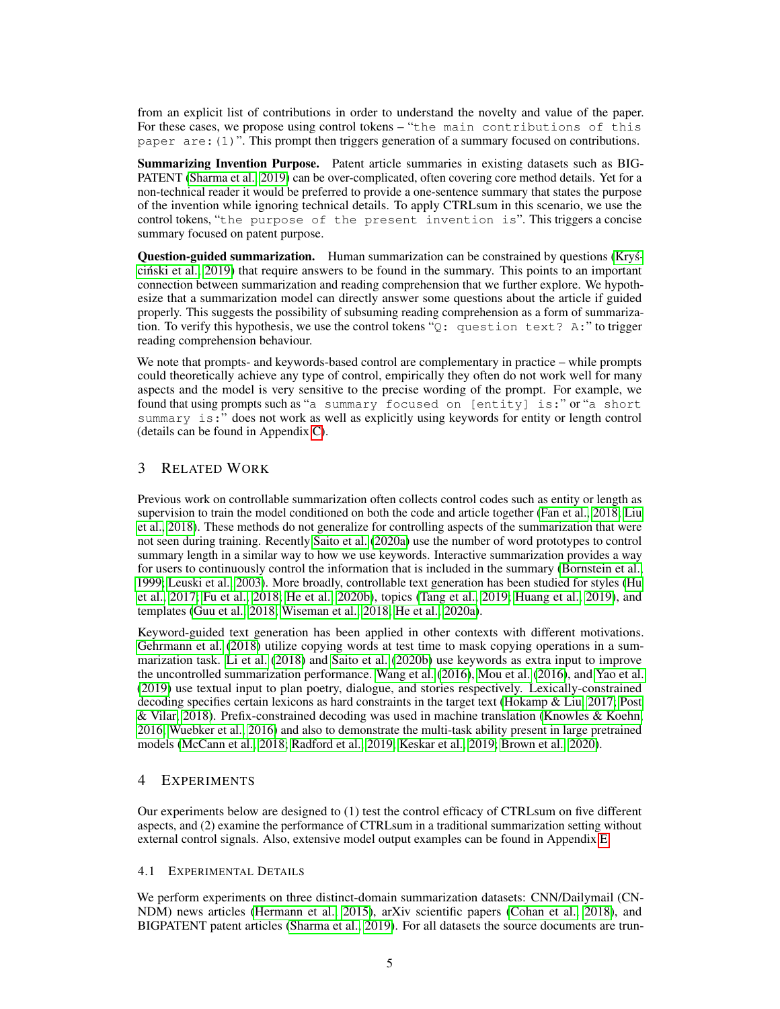from an explicit list of contributions in order to understand the novelty and value of the paper. For these cases, we propose using control tokens  $-$  "the main contributions of this paper are:(1)". This prompt then triggers generation of a summary focused on contributions.

Summarizing Invention Purpose. Patent article summaries in existing datasets such as BIG-PATENT [\(Sharma et al., 2019\)](#page-11-3) can be over-complicated, often covering core method details. Yet for a non-technical reader it would be preferred to provide a one-sentence summary that states the purpose of the invention while ignoring technical details. To apply CTRLsum in this scenario, we use the control tokens, "the purpose of the present invention is". This triggers a concise summary focused on patent purpose.

Question-guided summarization. Human summarization can be constrained by questions (Kryś[cinski et al., 2019\)](#page-10-8) that require answers to be found in the summary. This points to an important ´ connection between summarization and reading comprehension that we further explore. We hypothesize that a summarization model can directly answer some questions about the article if guided properly. This suggests the possibility of subsuming reading comprehension as a form of summarization. To verify this hypothesis, we use the control tokens "Q: question text? A:" to trigger reading comprehension behaviour.

We note that prompts- and keywords-based control are complementary in practice – while prompts could theoretically achieve any type of control, empirically they often do not work well for many aspects and the model is very sensitive to the precise wording of the prompt. For example, we found that using prompts such as "a summary focused on [entity] is:" or "a short summary is:" does not work as well as explicitly using keywords for entity or length control (details can be found in Appendix [C\)](#page-14-0).

# 3 RELATED WORK

Previous work on controllable summarization often collects control codes such as entity or length as supervision to train the model conditioned on both the code and article together [\(Fan et al., 2018;](#page-9-1) [Liu](#page-10-2) [et al., 2018\)](#page-10-2). These methods do not generalize for controlling aspects of the summarization that were not seen during training. Recently [Saito et al.](#page-11-5) [\(2020a\)](#page-11-5) use the number of word prototypes to control summary length in a similar way to how we use keywords. Interactive summarization provides a way for users to continuously control the information that is included in the summary [\(Bornstein et al.,](#page-9-6) [1999;](#page-9-6) [Leuski et al., 2003\)](#page-10-9). More broadly, controllable text generation has been studied for styles [\(Hu](#page-10-10) [et al., 2017;](#page-10-10) [Fu et al., 2018;](#page-9-7) [He et al., 2020b\)](#page-9-8), topics [\(Tang et al., 2019;](#page-11-7) [Huang et al., 2019\)](#page-10-11), and templates [\(Guu et al., 2018;](#page-9-9) [Wiseman et al., 2018;](#page-11-8) [He et al., 2020a\)](#page-9-10).

Keyword-guided text generation has been applied in other contexts with different motivations. [Gehrmann et al.](#page-9-3) [\(2018\)](#page-9-3) utilize copying words at test time to mask copying operations in a summarization task. [Li et al.](#page-10-12) [\(2018\)](#page-10-12) and [Saito et al.](#page-11-9) [\(2020b\)](#page-11-9) use keywords as extra input to improve the uncontrolled summarization performance. [Wang et al.](#page-11-10) [\(2016\)](#page-11-10), [Mou et al.](#page-10-13) [\(2016\)](#page-10-13), and [Yao et al.](#page-12-0) [\(2019\)](#page-12-0) use textual input to plan poetry, dialogue, and stories respectively. Lexically-constrained decoding specifies certain lexicons as hard constraints in the target text [\(Hokamp & Liu, 2017;](#page-10-14) [Post](#page-11-11) [& Vilar, 2018\)](#page-11-11). Prefix-constrained decoding was used in machine translation [\(Knowles & Koehn,](#page-10-15) [2016;](#page-10-15) [Wuebker et al., 2016\)](#page-11-12) and also to demonstrate the multi-task ability present in large pretrained models [\(McCann et al., 2018;](#page-10-16) [Radford et al., 2019;](#page-11-6) [Keskar et al., 2019;](#page-10-3) [Brown et al., 2020\)](#page-9-5).

# 4 EXPERIMENTS

Our experiments below are designed to (1) test the control efficacy of CTRLsum on five different aspects, and (2) examine the performance of CTRLsum in a traditional summarization setting without external control signals. Also, extensive model output examples can be found in Appendix [E.](#page-17-0)

## 4.1 EXPERIMENTAL DETAILS

We perform experiments on three distinct-domain summarization datasets: CNN/Dailymail (CN-NDM) news articles [\(Hermann et al., 2015\)](#page-10-5), arXiv scientific papers [\(Cohan et al., 2018\)](#page-9-2), and BIGPATENT patent articles [\(Sharma et al., 2019\)](#page-11-3). For all datasets the source documents are trun-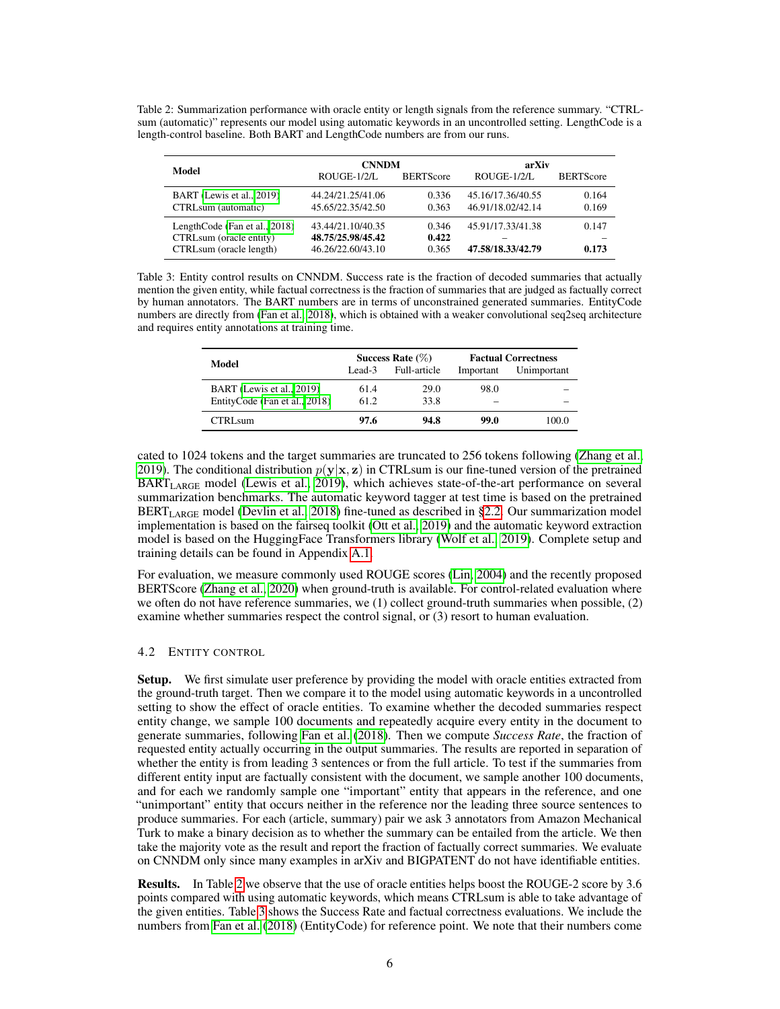<span id="page-5-1"></span>Table 2: Summarization performance with oracle entity or length signals from the reference summary. "CTRLsum (automatic)" represents our model using automatic keywords in an uncontrolled setting. LengthCode is a length-control baseline. Both BART and LengthCode numbers are from our runs.

| Model                                                                               | <b>CNNDM</b><br>ROUGE-1/2/L                                 | <b>BERTScore</b>        | arXiv<br>$ROUGE-1/2/L$<br><b>BERTScore</b> |                |  |
|-------------------------------------------------------------------------------------|-------------------------------------------------------------|-------------------------|--------------------------------------------|----------------|--|
| BART (Lewis et al., 2019)<br>CTRLsum (automatic)                                    | 44.24/21.25/41.06<br>45.65/22.35/42.50                      | 0.336<br>0.363          | 45.16/17.36/40.55<br>46.91/18.02/42.14     | 0.164<br>0.169 |  |
| LengthCode (Fan et al., 2018)<br>CTRLsum (oracle entity)<br>CTRLsum (oracle length) | 43.44/21.10/40.35<br>48.75/25.98/45.42<br>46.26/22.60/43.10 | 0.346<br>0.422<br>0.365 | 45.91/17.33/41.38<br>47.58/18.33/42.79     | 0.147<br>0.173 |  |

<span id="page-5-2"></span>Table 3: Entity control results on CNNDM. Success rate is the fraction of decoded summaries that actually mention the given entity, while factual correctness is the fraction of summaries that are judged as factually correct by human annotators. The BART numbers are in terms of unconstrained generated summaries. EntityCode numbers are directly from [\(Fan et al., 2018\)](#page-9-1), which is obtained with a weaker convolutional seq2seq architecture and requires entity annotations at training time.

| Model                         |        | Success Rate $(\%)$ | <b>Factual Correctness</b> |             |  |
|-------------------------------|--------|---------------------|----------------------------|-------------|--|
|                               | Lead-3 | Full-article        | Important                  | Unimportant |  |
| BART (Lewis et al., 2019)     | 61.4   | 29.0                | 98.0                       |             |  |
| EntityCode (Fan et al., 2018) | 61.2   | 33.8                | $\overline{\phantom{a}}$   |             |  |
| <b>CTRLsum</b>                | 97.6   | 94.8                | 99.0                       | 100.0       |  |

cated to 1024 tokens and the target summaries are truncated to 256 tokens following [\(Zhang et al.,](#page-12-1) [2019\)](#page-12-1). The conditional distribution  $p(y|x, z)$  in CTRLsum is our fine-tuned version of the pretrained  $BART_{LARGE}$  model [\(Lewis et al., 2019\)](#page-10-4), which achieves state-of-the-art performance on several summarization benchmarks. The automatic keyword tagger at test time is based on the pretrained BERT<sub>LARGE</sub> model [\(Devlin et al., 2018\)](#page-9-4) fine-tuned as described in [§2.2.](#page-2-0) Our summarization model implementation is based on the fairseq toolkit [\(Ott et al., 2019\)](#page-11-13) and the automatic keyword extraction model is based on the HuggingFace Transformers library [\(Wolf et al., 2019\)](#page-11-14). Complete setup and training details can be found in Appendix [A.1.](#page-13-0)

For evaluation, we measure commonly used ROUGE scores [\(Lin, 2004\)](#page-10-6) and the recently proposed BERTScore [\(Zhang et al., 2020\)](#page-12-2) when ground-truth is available. For control-related evaluation where we often do not have reference summaries, we (1) collect ground-truth summaries when possible, (2) examine whether summaries respect the control signal, or (3) resort to human evaluation.

## <span id="page-5-0"></span>4.2 ENTITY CONTROL

**Setup.** We first simulate user preference by providing the model with oracle entities extracted from the ground-truth target. Then we compare it to the model using automatic keywords in a uncontrolled setting to show the effect of oracle entities. To examine whether the decoded summaries respect entity change, we sample 100 documents and repeatedly acquire every entity in the document to generate summaries, following [Fan et al.](#page-9-1) [\(2018\)](#page-9-1). Then we compute *Success Rate*, the fraction of requested entity actually occurring in the output summaries. The results are reported in separation of whether the entity is from leading 3 sentences or from the full article. To test if the summaries from different entity input are factually consistent with the document, we sample another 100 documents, and for each we randomly sample one "important" entity that appears in the reference, and one "unimportant" entity that occurs neither in the reference nor the leading three source sentences to produce summaries. For each (article, summary) pair we ask 3 annotators from Amazon Mechanical Turk to make a binary decision as to whether the summary can be entailed from the article. We then take the majority vote as the result and report the fraction of factually correct summaries. We evaluate on CNNDM only since many examples in arXiv and BIGPATENT do not have identifiable entities.

Results. In Table [2](#page-5-1) we observe that the use of oracle entities helps boost the ROUGE-2 score by 3.6 points compared with using automatic keywords, which means CTRLsum is able to take advantage of the given entities. Table [3](#page-5-2) shows the Success Rate and factual correctness evaluations. We include the numbers from [Fan et al.](#page-9-1) [\(2018\)](#page-9-1) (EntityCode) for reference point. We note that their numbers come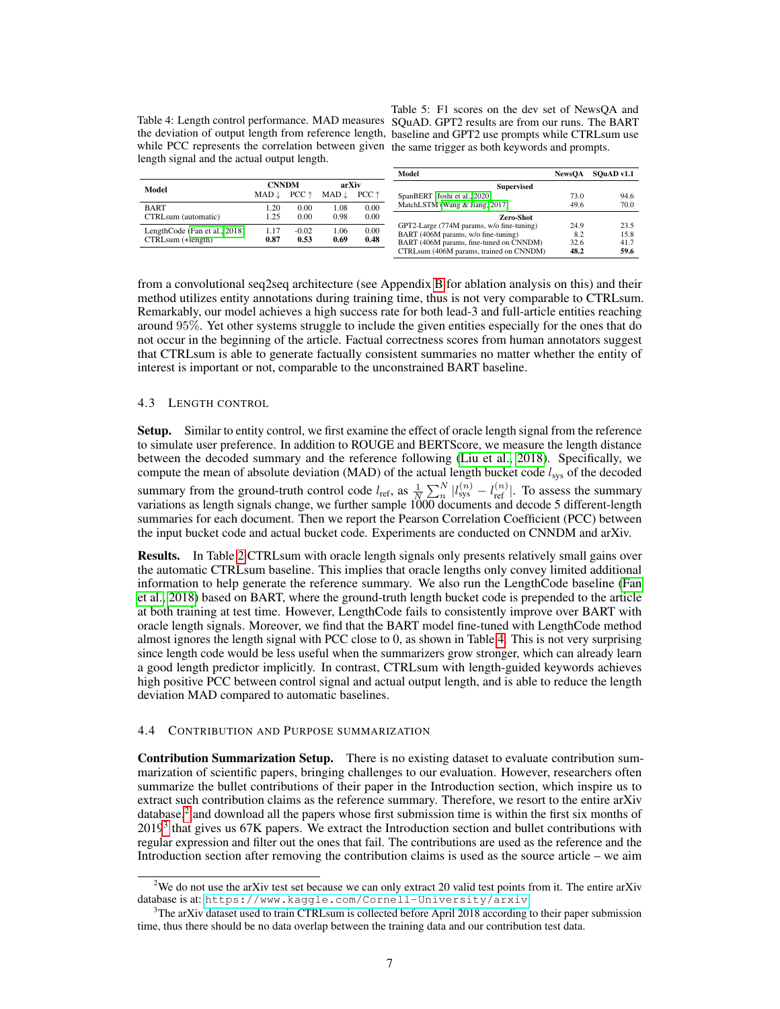while PCC represents the correlation between given the same trigger as both keywords and prompts. length signal and the actual output length.

<span id="page-6-2"></span>Table 4: Length control performance. MAD measures SQuAD. GPT2 results are from our runs. The BART the deviation of output length from reference length, baseline and GPT2 use prompts while CTRLsum use Table 5: F1 scores on the dev set of NewsQA and

|                               |              |                |             |                | Model                                     | <b>NewsOA</b> | SOuAD v1.1 |
|-------------------------------|--------------|----------------|-------------|----------------|-------------------------------------------|---------------|------------|
| Model                         | <b>CNNDM</b> |                | arXiv       |                | <b>Supervised</b>                         |               |            |
|                               | $MAD \perp$  | $PCC \uparrow$ | $MAD \perp$ | $PCC \uparrow$ | SpanBERT (Joshi et al., 2020)             | 73.0          | 94.6       |
| <b>BART</b>                   | 1.20         | 0.00           | 1.08        | 0.00           | MatchLSTM (Wang & Jiang, 2017)            | 49.6          | 70.0       |
| CTRLsum (automatic)           | 1.25         | 0.00           | 0.98        | 0.00           | Zero-Shot                                 |               |            |
|                               |              |                |             |                | GPT2-Large (774M params, w/o fine-tuning) | 24.9          | 23.5       |
| LengthCode (Fan et al., 2018) | 1.17         | $-0.02$        | 1.06        | 0.00           | BART (406M params, w/o fine-tuning)       | 8.2           | 15.8       |
| CTRLsum (+length)             | 0.87         | 0.53           | 0.69        | 0.48           | BART (406M params, fine-tuned on CNNDM)   | 32.6          | 41.7       |
|                               |              |                |             |                | CTRLsum (406M params, trained on CNNDM)   | 48.2          | 59.6       |

from a convolutional seq2seq architecture (see Appendix [B](#page-14-1) for ablation analysis on this) and their method utilizes entity annotations during training time, thus is not very comparable to CTRLsum. Remarkably, our model achieves a high success rate for both lead-3 and full-article entities reaching around 95%. Yet other systems struggle to include the given entities especially for the ones that do not occur in the beginning of the article. Factual correctness scores from human annotators suggest that CTRLsum is able to generate factually consistent summaries no matter whether the entity of interest is important or not, comparable to the unconstrained BART baseline.

#### <span id="page-6-0"></span>4.3 LENGTH CONTROL

Setup. Similar to entity control, we first examine the effect of oracle length signal from the reference to simulate user preference. In addition to ROUGE and BERTScore, we measure the length distance between the decoded summary and the reference following [\(Liu et al., 2018\)](#page-10-2). Specifically, we compute the mean of absolute deviation (MAD) of the actual length bucket code  $l_{sys}$  of the decoded summary from the ground-truth control code  $l_{\text{ref}}$ , as  $\frac{1}{N} \sum_{n=1}^{N} |l_{\text{sys}}^{(n)} - l_{\text{ref}}^{(n)}|$ . To assess the summary variations as length signals change, we further sample 1000 documents and decode 5 different-length summaries for each document. Then we report the Pearson Correlation Coefficient (PCC) between the input bucket code and actual bucket code. Experiments are conducted on CNNDM and arXiv.

Results. In Table [2](#page-5-1) CTRLsum with oracle length signals only presents relatively small gains over the automatic CTRLsum baseline. This implies that oracle lengths only convey limited additional information to help generate the reference summary. We also run the LengthCode baseline [\(Fan](#page-9-1) [et al., 2018\)](#page-9-1) based on BART, where the ground-truth length bucket code is prepended to the article at both training at test time. However, LengthCode fails to consistently improve over BART with oracle length signals. Moreover, we find that the BART model fine-tuned with LengthCode method almost ignores the length signal with PCC close to 0, as shown in Table [4.](#page-6-2) This is not very surprising since length code would be less useful when the summarizers grow stronger, which can already learn a good length predictor implicitly. In contrast, CTRLsum with length-guided keywords achieves high positive PCC between control signal and actual output length, and is able to reduce the length deviation MAD compared to automatic baselines.

#### <span id="page-6-1"></span>4.4 CONTRIBUTION AND PURPOSE SUMMARIZATION

Contribution Summarization Setup. There is no existing dataset to evaluate contribution summarization of scientific papers, bringing challenges to our evaluation. However, researchers often summarize the bullet contributions of their paper in the Introduction section, which inspire us to extract such contribution claims as the reference summary. Therefore, we resort to the entire arXiv database,<sup>[2](#page-6-3)</sup> and download all the papers whose first submission time is within the first six months of 2019<sup>[3](#page-6-4)</sup> that gives us 67K papers. We extract the Introduction section and bullet contributions with regular expression and filter out the ones that fail. The contributions are used as the reference and the Introduction section after removing the contribution claims is used as the source article – we aim

<span id="page-6-3"></span><sup>&</sup>lt;sup>2</sup>We do not use the arXiv test set because we can only extract 20 valid test points from it. The entire arXiv database is at: <https://www.kaggle.com/Cornell-University/arxiv>

<span id="page-6-4"></span><sup>&</sup>lt;sup>3</sup>The arXiv dataset used to train CTRLsum is collected before April 2018 according to their paper submission time, thus there should be no data overlap between the training data and our contribution test data.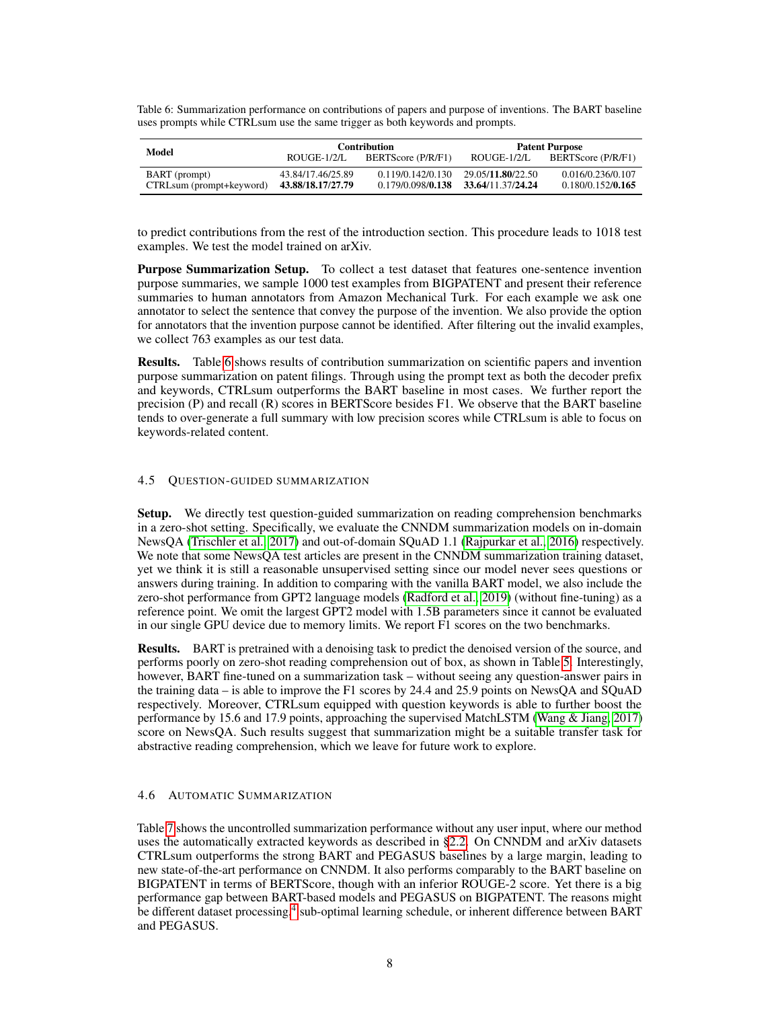<span id="page-7-2"></span>Table 6: Summarization performance on contributions of papers and purpose of inventions. The BART baseline uses prompts while CTRLsum use the same trigger as both keywords and prompts.

| Model                    |                   | <b>Contribution</b> | <b>Patent Purpose</b> |                    |  |
|--------------------------|-------------------|---------------------|-----------------------|--------------------|--|
|                          | ROUGE-1/2/L       | BERTScore (P/R/F1)  | ROUGE-1/2/L           | BERTScore (P/R/F1) |  |
| BART (prompt)            | 43.84/17.46/25.89 | 0.119/0.142/0.130   | 29.05/11.80/22.50     | 0.016/0.236/0.107  |  |
| CTRLsum (prompt+keyword) | 43.88/18.17/27.79 | 0.179/0.098/0.138   | 33.64/11.37/24.24     | 0.180/0.152/0.165  |  |

to predict contributions from the rest of the introduction section. This procedure leads to 1018 test examples. We test the model trained on arXiv.

Purpose Summarization Setup. To collect a test dataset that features one-sentence invention purpose summaries, we sample 1000 test examples from BIGPATENT and present their reference summaries to human annotators from Amazon Mechanical Turk. For each example we ask one annotator to select the sentence that convey the purpose of the invention. We also provide the option for annotators that the invention purpose cannot be identified. After filtering out the invalid examples, we collect 763 examples as our test data.

Results. Table [6](#page-7-2) shows results of contribution summarization on scientific papers and invention purpose summarization on patent filings. Through using the prompt text as both the decoder prefix and keywords, CTRLsum outperforms the BART baseline in most cases. We further report the precision (P) and recall (R) scores in BERTScore besides F1. We observe that the BART baseline tends to over-generate a full summary with low precision scores while CTRLsum is able to focus on keywords-related content.

## <span id="page-7-0"></span>4.5 QUESTION-GUIDED SUMMARIZATION

Setup. We directly test question-guided summarization on reading comprehension benchmarks in a zero-shot setting. Specifically, we evaluate the CNNDM summarization models on in-domain NewsQA [\(Trischler et al., 2017\)](#page-11-16) and out-of-domain SQuAD 1.1 [\(Rajpurkar et al., 2016\)](#page-11-17) respectively. We note that some NewsQA test articles are present in the CNNDM summarization training dataset, yet we think it is still a reasonable unsupervised setting since our model never sees questions or answers during training. In addition to comparing with the vanilla BART model, we also include the zero-shot performance from GPT2 language models [\(Radford et al., 2019\)](#page-11-6) (without fine-tuning) as a reference point. We omit the largest GPT2 model with 1.5B parameters since it cannot be evaluated in our single GPU device due to memory limits. We report F1 scores on the two benchmarks.

Results. BART is pretrained with a denoising task to predict the denoised version of the source, and performs poorly on zero-shot reading comprehension out of box, as shown in Table [5.](#page-6-2) Interestingly, however, BART fine-tuned on a summarization task – without seeing any question-answer pairs in the training data – is able to improve the F1 scores by 24.4 and 25.9 points on NewsQA and SQuAD respectively. Moreover, CTRLsum equipped with question keywords is able to further boost the performance by 15.6 and 17.9 points, approaching the supervised MatchLSTM [\(Wang & Jiang, 2017\)](#page-11-15) score on NewsQA. Such results suggest that summarization might be a suitable transfer task for abstractive reading comprehension, which we leave for future work to explore.

## <span id="page-7-1"></span>4.6 AUTOMATIC SUMMARIZATION

<span id="page-7-3"></span>Table [7](#page-8-0) shows the uncontrolled summarization performance without any user input, where our method uses the automatically extracted keywords as described in [§2.2.](#page-2-0) On CNNDM and arXiv datasets CTRLsum outperforms the strong BART and PEGASUS baselines by a large margin, leading to new state-of-the-art performance on CNNDM. It also performs comparably to the BART baseline on BIGPATENT in terms of BERTScore, though with an inferior ROUGE-2 score. Yet there is a big performance gap between BART-based models and PEGASUS on BIGPATENT. The reasons might be different dataset processing,<sup>[4](#page-8-1)</sup> sub-optimal learning schedule, or inherent difference between BART and PEGASUS.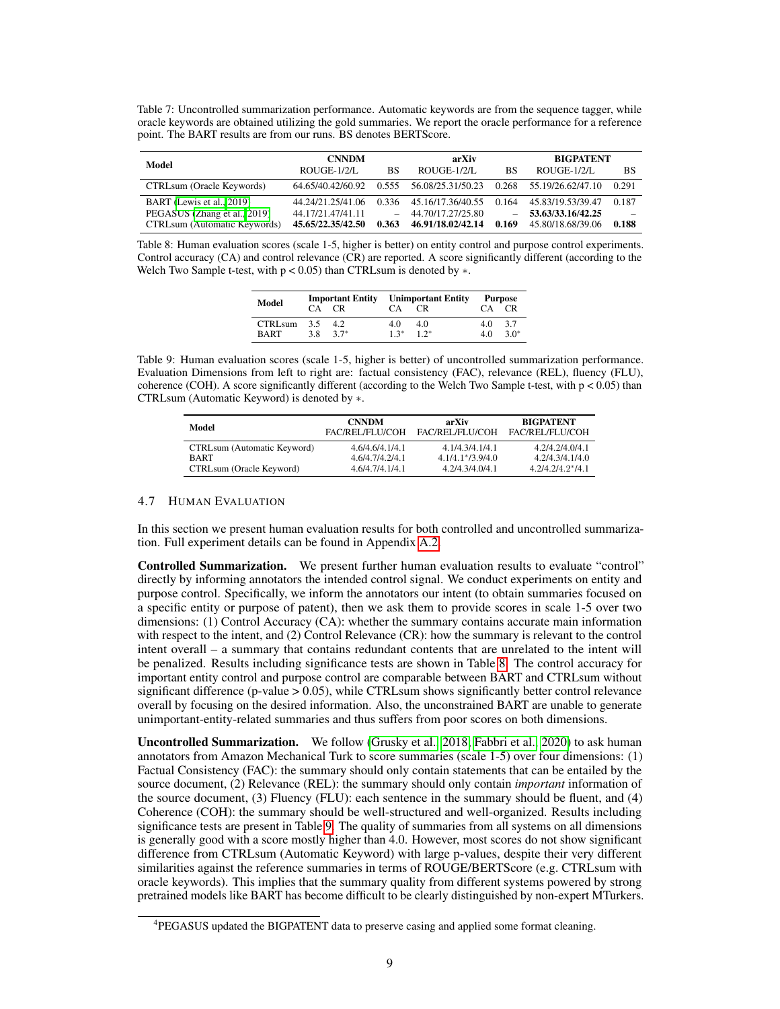<span id="page-8-0"></span>Table 7: Uncontrolled summarization performance. Automatic keywords are from the sequence tagger, while oracle keywords are obtained utilizing the gold summaries. We report the oracle performance for a reference point. The BART results are from our runs. BS denotes BERTScore.

|                              | <b>CNNDM</b>      |                          | arXiv             |                          | <b>BIGPATENT</b>        |       |
|------------------------------|-------------------|--------------------------|-------------------|--------------------------|-------------------------|-------|
| Model                        | ROUGE-1/2/L       | <b>BS</b>                | ROUGE-1/2/L       | BS                       | ROUGE-1/2/L             | BS    |
| CTRLsum (Oracle Keywords)    | 64.65/40.42/60.92 | 0.555                    | 56.08/25.31/50.23 |                          | 0.268 55.19/26.62/47.10 | 0.291 |
| BART (Lewis et al., 2019)    | 44.24/21.25/41.06 | 0.336                    | 45.16/17.36/40.55 | 0.164                    | 45.83/19.53/39.47       | 0.187 |
| PEGASUS (Zhang et al., 2019) | 44.17/21.47/41.11 | $\overline{\phantom{0}}$ | 44.70/17.27/25.80 | $\overline{\phantom{0}}$ | 53.63/33.16/42.25       |       |
| CTRLsum (Automatic Keywords) | 45.65/22.35/42.50 | 0.363                    | 46.91/18.02/42.14 | 0.169                    | 45.80/18.68/39.06       | 0.188 |

<span id="page-8-2"></span>Table 8: Human evaluation scores (scale 1-5, higher is better) on entity control and purpose control experiments. Control accuracy (CA) and control relevance (CR) are reported. A score significantly different (according to the Welch Two Sample t-test, with  $p < 0.05$ ) than CTRLsum is denoted by  $*$ .

| Model          |         | <b>Important Entity</b><br>CA CR | CA.    | <b>Unimportant Entity</b><br>CR. | CA CR | <b>Purpose</b> |
|----------------|---------|----------------------------------|--------|----------------------------------|-------|----------------|
|                |         |                                  |        |                                  |       |                |
| <b>CTRLsum</b> | 3.5 4.2 |                                  | 40     | 4.0                              | 40    | 3.7            |
| <b>BART</b>    |         | $3.8 \quad 3.7^*$                | $1.3*$ | $1.2^*$                          | 40    | $30*$          |

<span id="page-8-3"></span>Table 9: Human evaluation scores (scale 1-5, higher is better) of uncontrolled summarization performance. Evaluation Dimensions from left to right are: factual consistency (FAC), relevance (REL), fluency (FLU), coherence (COH). A score significantly different (according to the Welch Two Sample t-test, with  $p < 0.05$ ) than CTRLsum (Automatic Keyword) is denoted by ∗.

| Model                       | <b>CNNDM</b><br>FAC/REL/FLU/COH | arXiv<br>FAC/REL/FLU/COH | <b>BIGPATENT</b><br><b>FAC/REL/FLU/COH</b> |  |
|-----------------------------|---------------------------------|--------------------------|--------------------------------------------|--|
| CTRLsum (Automatic Keyword) | 4.6/4.6/4.1/4.1                 | 4.1/4.3/4.1/4.1          | 4.2/4.2/4.0/4.1                            |  |
| <b>BART</b>                 | 4.6/4.7/4.2/4.1                 | $4.1/4.1*$ /3.9/4.0      | 4.2/4.3/4.1/4.0                            |  |
| CTRLsum (Oracle Keyword)    | 4.6/4.7/4.1/4.1                 | 4.2/4.3/4.0/4.1          | $4.2/4.2/4.2*74.1$                         |  |

#### 4.7 HUMAN EVALUATION

In this section we present human evaluation results for both controlled and uncontrolled summarization. Full experiment details can be found in Appendix [A.2.](#page-13-1)

Controlled Summarization. We present further human evaluation results to evaluate "control" directly by informing annotators the intended control signal. We conduct experiments on entity and purpose control. Specifically, we inform the annotators our intent (to obtain summaries focused on a specific entity or purpose of patent), then we ask them to provide scores in scale 1-5 over two dimensions: (1) Control Accuracy (CA): whether the summary contains accurate main information with respect to the intent, and (2) Control Relevance (CR): how the summary is relevant to the control intent overall – a summary that contains redundant contents that are unrelated to the intent will be penalized. Results including significance tests are shown in Table [8.](#page-8-2) The control accuracy for important entity control and purpose control are comparable between BART and CTRLsum without significant difference (p-value  $> 0.05$ ), while CTRLsum shows significantly better control relevance overall by focusing on the desired information. Also, the unconstrained BART are unable to generate unimportant-entity-related summaries and thus suffers from poor scores on both dimensions.

Uncontrolled Summarization. We follow [\(Grusky et al., 2018;](#page-9-11) [Fabbri et al., 2020\)](#page-9-12) to ask human annotators from Amazon Mechanical Turk to score summaries (scale 1-5) over four dimensions: (1) Factual Consistency (FAC): the summary should only contain statements that can be entailed by the source document, (2) Relevance (REL): the summary should only contain *important* information of the source document, (3) Fluency (FLU): each sentence in the summary should be fluent, and (4) Coherence (COH): the summary should be well-structured and well-organized. Results including significance tests are present in Table [9.](#page-8-3) The quality of summaries from all systems on all dimensions is generally good with a score mostly higher than 4.0. However, most scores do not show significant difference from CTRLsum (Automatic Keyword) with large p-values, despite their very different similarities against the reference summaries in terms of ROUGE/BERTScore (e.g. CTRLsum with oracle keywords). This implies that the summary quality from different systems powered by strong pretrained models like BART has become difficult to be clearly distinguished by non-expert MTurkers.

<span id="page-8-1"></span><sup>&</sup>lt;sup>4</sup>PEGASUS updated the BIGPATENT data to preserve casing and applied some format cleaning.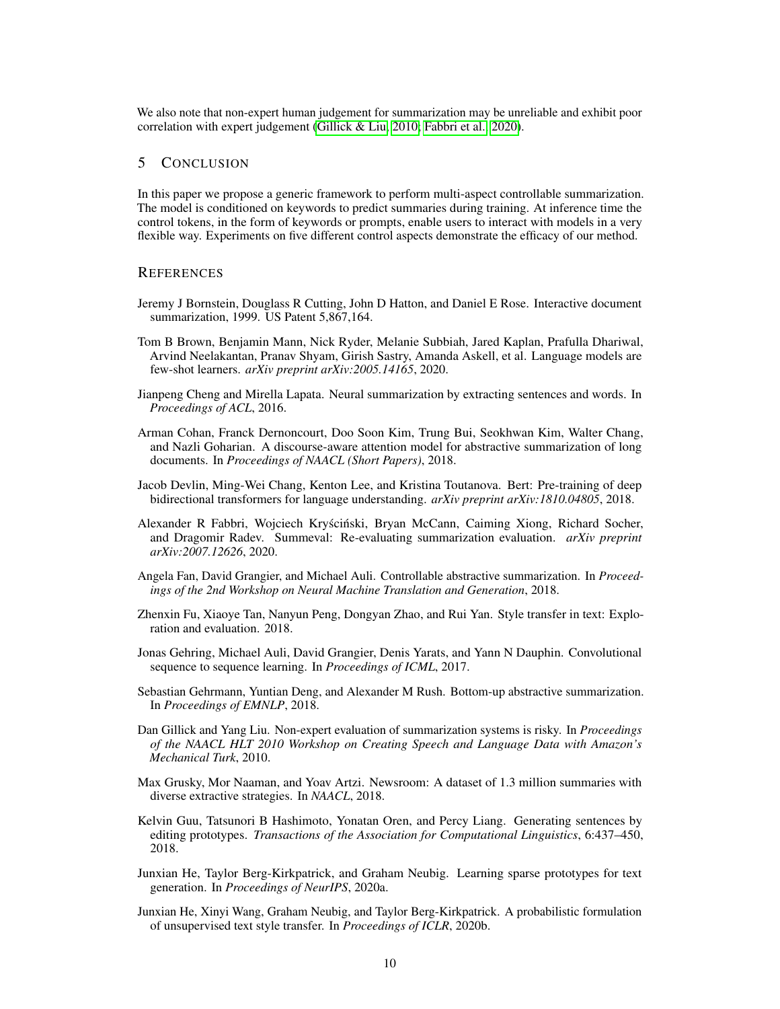We also note that non-expert human judgement for summarization may be unreliable and exhibit poor correlation with expert judgement [\(Gillick & Liu, 2010;](#page-9-13) [Fabbri et al., 2020\)](#page-9-12).

## 5 CONCLUSION

In this paper we propose a generic framework to perform multi-aspect controllable summarization. The model is conditioned on keywords to predict summaries during training. At inference time the control tokens, in the form of keywords or prompts, enable users to interact with models in a very flexible way. Experiments on five different control aspects demonstrate the efficacy of our method.

## **REFERENCES**

- <span id="page-9-6"></span>Jeremy J Bornstein, Douglass R Cutting, John D Hatton, and Daniel E Rose. Interactive document summarization, 1999. US Patent 5,867,164.
- <span id="page-9-5"></span>Tom B Brown, Benjamin Mann, Nick Ryder, Melanie Subbiah, Jared Kaplan, Prafulla Dhariwal, Arvind Neelakantan, Pranav Shyam, Girish Sastry, Amanda Askell, et al. Language models are few-shot learners. *arXiv preprint arXiv:2005.14165*, 2020.
- <span id="page-9-0"></span>Jianpeng Cheng and Mirella Lapata. Neural summarization by extracting sentences and words. In *Proceedings of ACL*, 2016.
- <span id="page-9-2"></span>Arman Cohan, Franck Dernoncourt, Doo Soon Kim, Trung Bui, Seokhwan Kim, Walter Chang, and Nazli Goharian. A discourse-aware attention model for abstractive summarization of long documents. In *Proceedings of NAACL (Short Papers)*, 2018.
- <span id="page-9-4"></span>Jacob Devlin, Ming-Wei Chang, Kenton Lee, and Kristina Toutanova. Bert: Pre-training of deep bidirectional transformers for language understanding. *arXiv preprint arXiv:1810.04805*, 2018.
- <span id="page-9-12"></span>Alexander R Fabbri, Wojciech Kryściński, Bryan McCann, Caiming Xiong, Richard Socher, and Dragomir Radev. Summeval: Re-evaluating summarization evaluation. *arXiv preprint arXiv:2007.12626*, 2020.
- <span id="page-9-1"></span>Angela Fan, David Grangier, and Michael Auli. Controllable abstractive summarization. In *Proceedings of the 2nd Workshop on Neural Machine Translation and Generation*, 2018.
- <span id="page-9-7"></span>Zhenxin Fu, Xiaoye Tan, Nanyun Peng, Dongyan Zhao, and Rui Yan. Style transfer in text: Exploration and evaluation. 2018.
- <span id="page-9-14"></span>Jonas Gehring, Michael Auli, David Grangier, Denis Yarats, and Yann N Dauphin. Convolutional sequence to sequence learning. In *Proceedings of ICML*, 2017.
- <span id="page-9-3"></span>Sebastian Gehrmann, Yuntian Deng, and Alexander M Rush. Bottom-up abstractive summarization. In *Proceedings of EMNLP*, 2018.
- <span id="page-9-13"></span>Dan Gillick and Yang Liu. Non-expert evaluation of summarization systems is risky. In *Proceedings of the NAACL HLT 2010 Workshop on Creating Speech and Language Data with Amazon's Mechanical Turk*, 2010.
- <span id="page-9-11"></span>Max Grusky, Mor Naaman, and Yoav Artzi. Newsroom: A dataset of 1.3 million summaries with diverse extractive strategies. In *NAACL*, 2018.
- <span id="page-9-9"></span>Kelvin Guu, Tatsunori B Hashimoto, Yonatan Oren, and Percy Liang. Generating sentences by editing prototypes. *Transactions of the Association for Computational Linguistics*, 6:437–450, 2018.
- <span id="page-9-10"></span>Junxian He, Taylor Berg-Kirkpatrick, and Graham Neubig. Learning sparse prototypes for text generation. In *Proceedings of NeurIPS*, 2020a.
- <span id="page-9-8"></span>Junxian He, Xinyi Wang, Graham Neubig, and Taylor Berg-Kirkpatrick. A probabilistic formulation of unsupervised text style transfer. In *Proceedings of ICLR*, 2020b.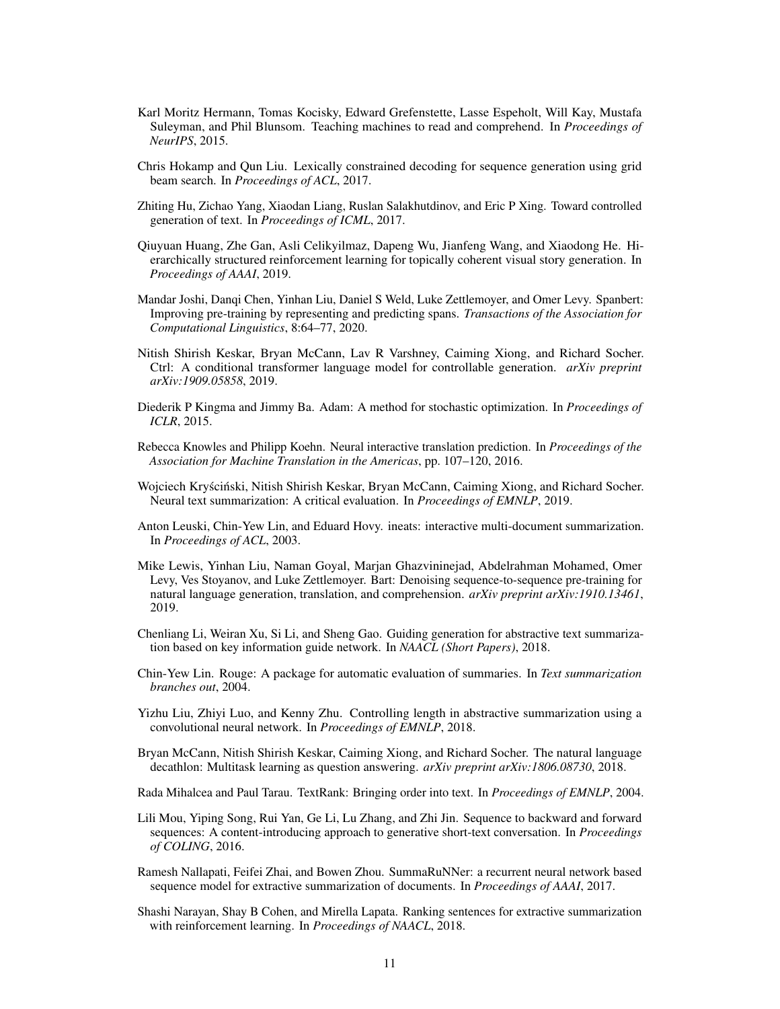- <span id="page-10-5"></span>Karl Moritz Hermann, Tomas Kocisky, Edward Grefenstette, Lasse Espeholt, Will Kay, Mustafa Suleyman, and Phil Blunsom. Teaching machines to read and comprehend. In *Proceedings of NeurIPS*, 2015.
- <span id="page-10-14"></span>Chris Hokamp and Qun Liu. Lexically constrained decoding for sequence generation using grid beam search. In *Proceedings of ACL*, 2017.
- <span id="page-10-10"></span>Zhiting Hu, Zichao Yang, Xiaodan Liang, Ruslan Salakhutdinov, and Eric P Xing. Toward controlled generation of text. In *Proceedings of ICML*, 2017.
- <span id="page-10-11"></span>Qiuyuan Huang, Zhe Gan, Asli Celikyilmaz, Dapeng Wu, Jianfeng Wang, and Xiaodong He. Hierarchically structured reinforcement learning for topically coherent visual story generation. In *Proceedings of AAAI*, 2019.
- <span id="page-10-17"></span>Mandar Joshi, Danqi Chen, Yinhan Liu, Daniel S Weld, Luke Zettlemoyer, and Omer Levy. Spanbert: Improving pre-training by representing and predicting spans. *Transactions of the Association for Computational Linguistics*, 8:64–77, 2020.
- <span id="page-10-3"></span>Nitish Shirish Keskar, Bryan McCann, Lav R Varshney, Caiming Xiong, and Richard Socher. Ctrl: A conditional transformer language model for controllable generation. *arXiv preprint arXiv:1909.05858*, 2019.
- <span id="page-10-18"></span>Diederik P Kingma and Jimmy Ba. Adam: A method for stochastic optimization. In *Proceedings of ICLR*, 2015.
- <span id="page-10-15"></span>Rebecca Knowles and Philipp Koehn. Neural interactive translation prediction. In *Proceedings of the Association for Machine Translation in the Americas*, pp. 107–120, 2016.
- <span id="page-10-8"></span>Wojciech Kryściński, Nitish Shirish Keskar, Bryan McCann, Caiming Xiong, and Richard Socher. Neural text summarization: A critical evaluation. In *Proceedings of EMNLP*, 2019.
- <span id="page-10-9"></span>Anton Leuski, Chin-Yew Lin, and Eduard Hovy. ineats: interactive multi-document summarization. In *Proceedings of ACL*, 2003.
- <span id="page-10-4"></span>Mike Lewis, Yinhan Liu, Naman Goyal, Marjan Ghazvininejad, Abdelrahman Mohamed, Omer Levy, Ves Stoyanov, and Luke Zettlemoyer. Bart: Denoising sequence-to-sequence pre-training for natural language generation, translation, and comprehension. *arXiv preprint arXiv:1910.13461*, 2019.
- <span id="page-10-12"></span>Chenliang Li, Weiran Xu, Si Li, and Sheng Gao. Guiding generation for abstractive text summarization based on key information guide network. In *NAACL (Short Papers)*, 2018.
- <span id="page-10-6"></span>Chin-Yew Lin. Rouge: A package for automatic evaluation of summaries. In *Text summarization branches out*, 2004.
- <span id="page-10-2"></span>Yizhu Liu, Zhiyi Luo, and Kenny Zhu. Controlling length in abstractive summarization using a convolutional neural network. In *Proceedings of EMNLP*, 2018.
- <span id="page-10-16"></span>Bryan McCann, Nitish Shirish Keskar, Caiming Xiong, and Richard Socher. The natural language decathlon: Multitask learning as question answering. *arXiv preprint arXiv:1806.08730*, 2018.
- <span id="page-10-7"></span>Rada Mihalcea and Paul Tarau. TextRank: Bringing order into text. In *Proceedings of EMNLP*, 2004.
- <span id="page-10-13"></span>Lili Mou, Yiping Song, Rui Yan, Ge Li, Lu Zhang, and Zhi Jin. Sequence to backward and forward sequences: A content-introducing approach to generative short-text conversation. In *Proceedings of COLING*, 2016.
- <span id="page-10-0"></span>Ramesh Nallapati, Feifei Zhai, and Bowen Zhou. SummaRuNNer: a recurrent neural network based sequence model for extractive summarization of documents. In *Proceedings of AAAI*, 2017.
- <span id="page-10-1"></span>Shashi Narayan, Shay B Cohen, and Mirella Lapata. Ranking sentences for extractive summarization with reinforcement learning. In *Proceedings of NAACL*, 2018.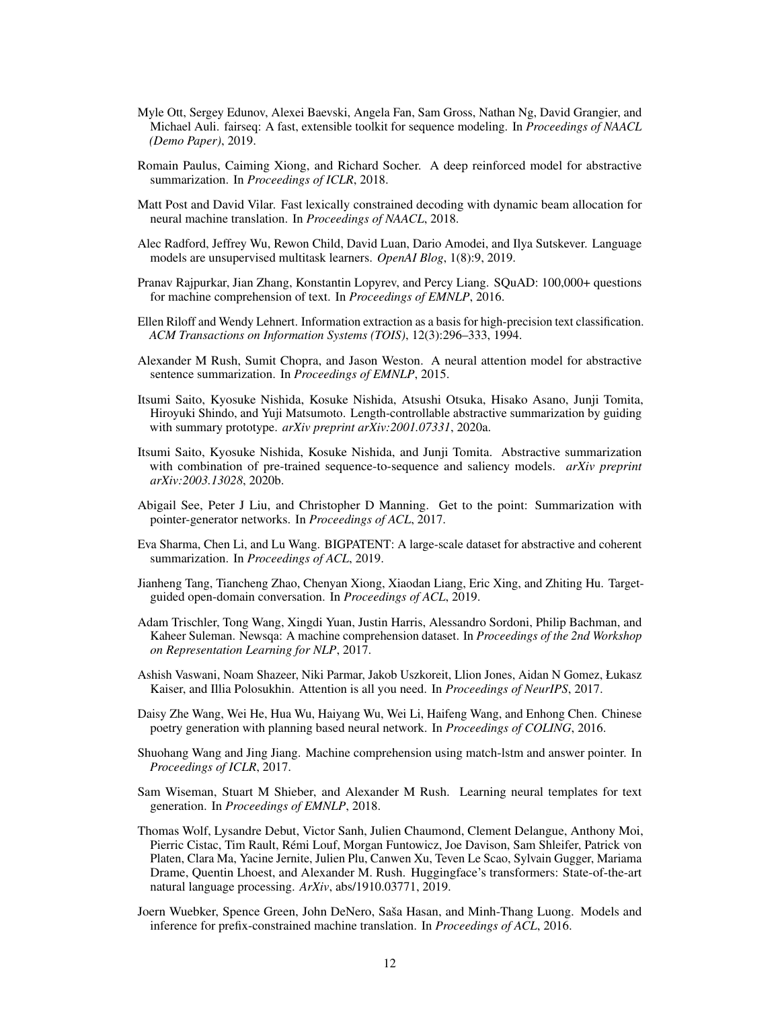- <span id="page-11-13"></span>Myle Ott, Sergey Edunov, Alexei Baevski, Angela Fan, Sam Gross, Nathan Ng, David Grangier, and Michael Auli. fairseq: A fast, extensible toolkit for sequence modeling. In *Proceedings of NAACL (Demo Paper)*, 2019.
- <span id="page-11-2"></span>Romain Paulus, Caiming Xiong, and Richard Socher. A deep reinforced model for abstractive summarization. In *Proceedings of ICLR*, 2018.
- <span id="page-11-11"></span>Matt Post and David Vilar. Fast lexically constrained decoding with dynamic beam allocation for neural machine translation. In *Proceedings of NAACL*, 2018.
- <span id="page-11-6"></span>Alec Radford, Jeffrey Wu, Rewon Child, David Luan, Dario Amodei, and Ilya Sutskever. Language models are unsupervised multitask learners. *OpenAI Blog*, 1(8):9, 2019.
- <span id="page-11-17"></span>Pranav Rajpurkar, Jian Zhang, Konstantin Lopyrev, and Percy Liang. SQuAD: 100,000+ questions for machine comprehension of text. In *Proceedings of EMNLP*, 2016.
- <span id="page-11-4"></span>Ellen Riloff and Wendy Lehnert. Information extraction as a basis for high-precision text classification. *ACM Transactions on Information Systems (TOIS)*, 12(3):296–333, 1994.
- <span id="page-11-0"></span>Alexander M Rush, Sumit Chopra, and Jason Weston. A neural attention model for abstractive sentence summarization. In *Proceedings of EMNLP*, 2015.
- <span id="page-11-5"></span>Itsumi Saito, Kyosuke Nishida, Kosuke Nishida, Atsushi Otsuka, Hisako Asano, Junji Tomita, Hiroyuki Shindo, and Yuji Matsumoto. Length-controllable abstractive summarization by guiding with summary prototype. *arXiv preprint arXiv:2001.07331*, 2020a.
- <span id="page-11-9"></span>Itsumi Saito, Kyosuke Nishida, Kosuke Nishida, and Junji Tomita. Abstractive summarization with combination of pre-trained sequence-to-sequence and saliency models. *arXiv preprint arXiv:2003.13028*, 2020b.
- <span id="page-11-1"></span>Abigail See, Peter J Liu, and Christopher D Manning. Get to the point: Summarization with pointer-generator networks. In *Proceedings of ACL*, 2017.
- <span id="page-11-3"></span>Eva Sharma, Chen Li, and Lu Wang. BIGPATENT: A large-scale dataset for abstractive and coherent summarization. In *Proceedings of ACL*, 2019.
- <span id="page-11-7"></span>Jianheng Tang, Tiancheng Zhao, Chenyan Xiong, Xiaodan Liang, Eric Xing, and Zhiting Hu. Targetguided open-domain conversation. In *Proceedings of ACL*, 2019.
- <span id="page-11-16"></span>Adam Trischler, Tong Wang, Xingdi Yuan, Justin Harris, Alessandro Sordoni, Philip Bachman, and Kaheer Suleman. Newsqa: A machine comprehension dataset. In *Proceedings of the 2nd Workshop on Representation Learning for NLP*, 2017.
- <span id="page-11-18"></span>Ashish Vaswani, Noam Shazeer, Niki Parmar, Jakob Uszkoreit, Llion Jones, Aidan N Gomez, Łukasz Kaiser, and Illia Polosukhin. Attention is all you need. In *Proceedings of NeurIPS*, 2017.
- <span id="page-11-10"></span>Daisy Zhe Wang, Wei He, Hua Wu, Haiyang Wu, Wei Li, Haifeng Wang, and Enhong Chen. Chinese poetry generation with planning based neural network. In *Proceedings of COLING*, 2016.
- <span id="page-11-15"></span>Shuohang Wang and Jing Jiang. Machine comprehension using match-lstm and answer pointer. In *Proceedings of ICLR*, 2017.
- <span id="page-11-8"></span>Sam Wiseman, Stuart M Shieber, and Alexander M Rush. Learning neural templates for text generation. In *Proceedings of EMNLP*, 2018.
- <span id="page-11-14"></span>Thomas Wolf, Lysandre Debut, Victor Sanh, Julien Chaumond, Clement Delangue, Anthony Moi, Pierric Cistac, Tim Rault, Rémi Louf, Morgan Funtowicz, Joe Davison, Sam Shleifer, Patrick von Platen, Clara Ma, Yacine Jernite, Julien Plu, Canwen Xu, Teven Le Scao, Sylvain Gugger, Mariama Drame, Quentin Lhoest, and Alexander M. Rush. Huggingface's transformers: State-of-the-art natural language processing. *ArXiv*, abs/1910.03771, 2019.
- <span id="page-11-12"></span>Joern Wuebker, Spence Green, John DeNero, Saša Hasan, and Minh-Thang Luong. Models and inference for prefix-constrained machine translation. In *Proceedings of ACL*, 2016.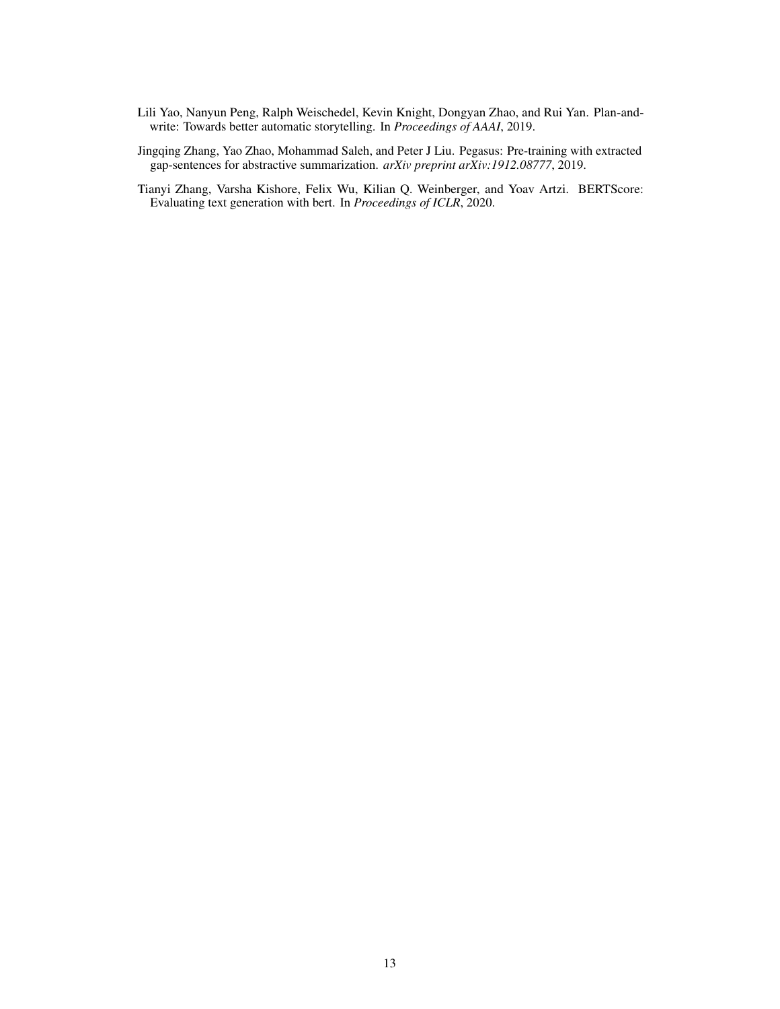- <span id="page-12-0"></span>Lili Yao, Nanyun Peng, Ralph Weischedel, Kevin Knight, Dongyan Zhao, and Rui Yan. Plan-andwrite: Towards better automatic storytelling. In *Proceedings of AAAI*, 2019.
- <span id="page-12-1"></span>Jingqing Zhang, Yao Zhao, Mohammad Saleh, and Peter J Liu. Pegasus: Pre-training with extracted gap-sentences for abstractive summarization. *arXiv preprint arXiv:1912.08777*, 2019.
- <span id="page-12-2"></span>Tianyi Zhang, Varsha Kishore, Felix Wu, Kilian Q. Weinberger, and Yoav Artzi. BERTScore: Evaluating text generation with bert. In *Proceedings of ICLR*, 2020.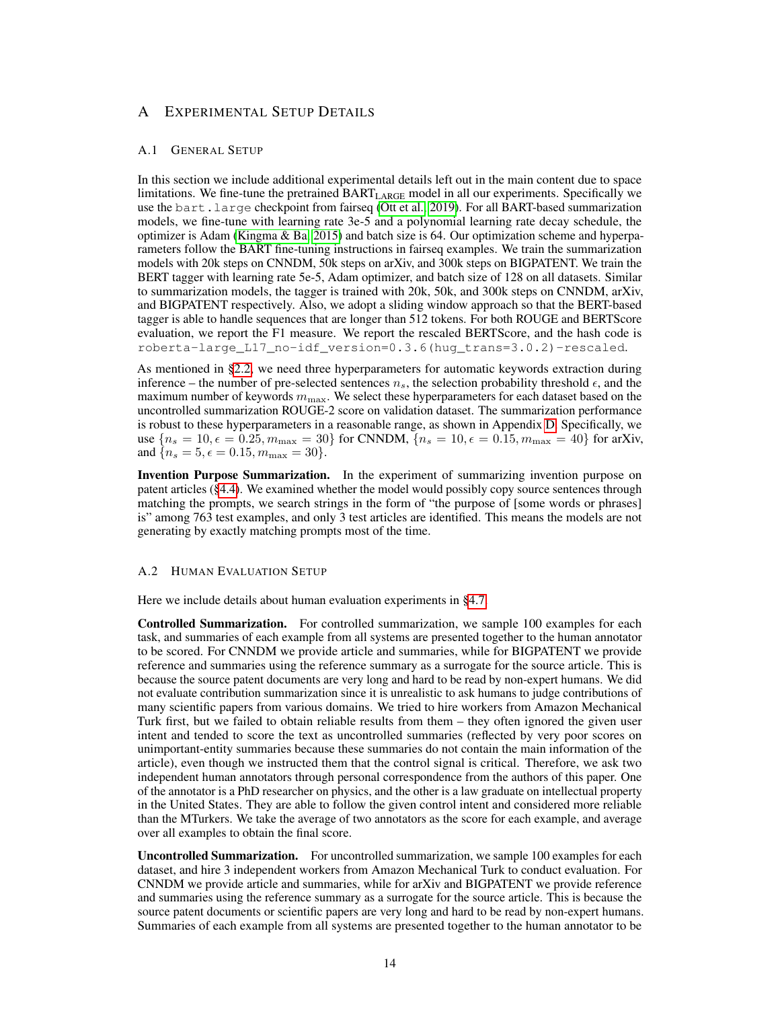# A EXPERIMENTAL SETUP DETAILS

#### <span id="page-13-0"></span>A.1 GENERAL SETUP

In this section we include additional experimental details left out in the main content due to space limitations. We fine-tune the pretrained BARTLARGE model in all our experiments. Specifically we use the bart.large checkpoint from fairseq [\(Ott et al., 2019\)](#page-11-13). For all BART-based summarization models, we fine-tune with learning rate 3e-5 and a polynomial learning rate decay schedule, the optimizer is Adam (Kingma  $\&$  Ba, 2015) and batch size is 64. Our optimization scheme and hyperparameters follow the BART fine-tuning instructions in fairseq examples. We train the summarization models with 20k steps on CNNDM, 50k steps on arXiv, and 300k steps on BIGPATENT. We train the BERT tagger with learning rate 5e-5, Adam optimizer, and batch size of 128 on all datasets. Similar to summarization models, the tagger is trained with 20k, 50k, and 300k steps on CNNDM, arXiv, and BIGPATENT respectively. Also, we adopt a sliding window approach so that the BERT-based tagger is able to handle sequences that are longer than 512 tokens. For both ROUGE and BERTScore evaluation, we report the F1 measure. We report the rescaled BERTScore, and the hash code is roberta-large\_L17\_no-idf\_version=0.3.6(hug\_trans=3.0.2)-rescaled.

As mentioned in [§2.2,](#page-2-0) we need three hyperparameters for automatic keywords extraction during inference – the number of pre-selected sentences  $n<sub>s</sub>$ , the selection probability threshold  $\epsilon$ , and the maximum number of keywords  $m_{\text{max}}$ . We select these hyperparameters for each dataset based on the uncontrolled summarization ROUGE-2 score on validation dataset. The summarization performance is robust to these hyperparameters in a reasonable range, as shown in Appendix [D.](#page-16-0) Specifically, we use  $\{n_s = 10, \epsilon = 0.25, m_{\text{max}} = 30\}$  for CNNDM,  $\{n_s = 10, \epsilon = 0.15, m_{\text{max}} = 40\}$  for arXiv, and  $\{n_s = 5, \epsilon = 0.15, m_{\text{max}} = 30\}.$ 

Invention Purpose Summarization. In the experiment of summarizing invention purpose on patent articles ([§4.4\)](#page-6-1). We examined whether the model would possibly copy source sentences through matching the prompts, we search strings in the form of "the purpose of [some words or phrases] is" among 763 test examples, and only 3 test articles are identified. This means the models are not generating by exactly matching prompts most of the time.

## <span id="page-13-1"></span>A.2 HUMAN EVALUATION SETUP

Here we include details about human evaluation experiments in [§4.7.](#page-7-3)

Controlled Summarization. For controlled summarization, we sample 100 examples for each task, and summaries of each example from all systems are presented together to the human annotator to be scored. For CNNDM we provide article and summaries, while for BIGPATENT we provide reference and summaries using the reference summary as a surrogate for the source article. This is because the source patent documents are very long and hard to be read by non-expert humans. We did not evaluate contribution summarization since it is unrealistic to ask humans to judge contributions of many scientific papers from various domains. We tried to hire workers from Amazon Mechanical Turk first, but we failed to obtain reliable results from them – they often ignored the given user intent and tended to score the text as uncontrolled summaries (reflected by very poor scores on unimportant-entity summaries because these summaries do not contain the main information of the article), even though we instructed them that the control signal is critical. Therefore, we ask two independent human annotators through personal correspondence from the authors of this paper. One of the annotator is a PhD researcher on physics, and the other is a law graduate on intellectual property in the United States. They are able to follow the given control intent and considered more reliable than the MTurkers. We take the average of two annotators as the score for each example, and average over all examples to obtain the final score.

Uncontrolled Summarization. For uncontrolled summarization, we sample 100 examples for each dataset, and hire 3 independent workers from Amazon Mechanical Turk to conduct evaluation. For CNNDM we provide article and summaries, while for arXiv and BIGPATENT we provide reference and summaries using the reference summary as a surrogate for the source article. This is because the source patent documents or scientific papers are very long and hard to be read by non-expert humans. Summaries of each example from all systems are presented together to the human annotator to be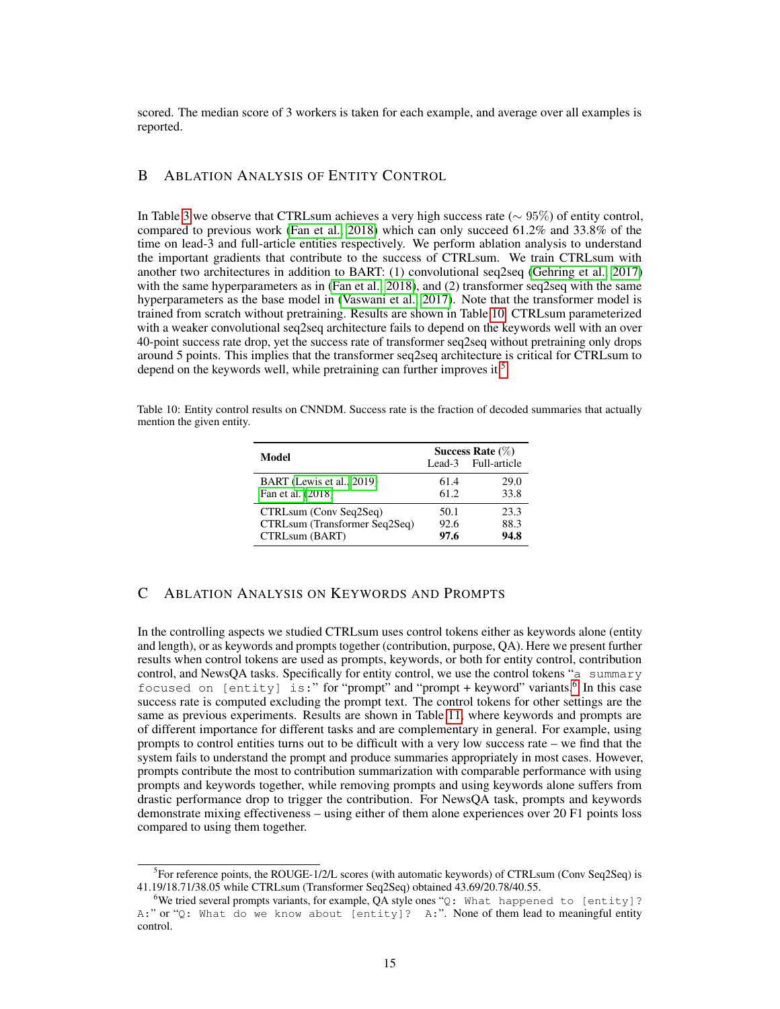<span id="page-14-1"></span>scored. The median score of 3 workers is taken for each example, and average over all examples is reported.

# B ABLATION ANALYSIS OF ENTITY CONTROL

In Table [3](#page-5-2) we observe that CTRLsum achieves a very high success rate ( $\sim 95\%$ ) of entity control, compared to previous work [\(Fan et al., 2018\)](#page-9-1) which can only succeed 61.2% and 33.8% of the time on lead-3 and full-article entities respectively. We perform ablation analysis to understand the important gradients that contribute to the success of CTRLsum. We train CTRLsum with another two architectures in addition to BART: (1) convolutional seq2seq [\(Gehring et al., 2017\)](#page-9-14) with the same hyperparameters as in [\(Fan et al., 2018\)](#page-9-1), and (2) transformer seq2seq with the same hyperparameters as the base model in [\(Vaswani et al., 2017\)](#page-11-18). Note that the transformer model is trained from scratch without pretraining. Results are shown in Table [10.](#page-14-2) CTRLsum parameterized with a weaker convolutional seq2seq architecture fails to depend on the keywords well with an over 40-point success rate drop, yet the success rate of transformer seq2seq without pretraining only drops around 5 points. This implies that the transformer seq2seq architecture is critical for CTRLsum to depend on the keywords well, while pretraining can further improves it.<sup>[5](#page-14-3)</sup>

<span id="page-14-2"></span>Table 10: Entity control results on CNNDM. Success rate is the fraction of decoded summaries that actually mention the given entity.

| Model                         | Success Rate $(\%)$ |                     |  |  |
|-------------------------------|---------------------|---------------------|--|--|
|                               |                     | Lead-3 Full-article |  |  |
| BART (Lewis et al., 2019)     | 61.4                | 29.0                |  |  |
| Fan et al. (2018)             | 61.2                | 33.8                |  |  |
| CTRLsum (Conv Seq2Seq)        | 50.1                | 23.3                |  |  |
| CTRLsum (Transformer Seq2Seq) | 92.6                | 88.3                |  |  |
| CTRLsum (BART)                | 97.6                | 94.8                |  |  |

# <span id="page-14-0"></span>C ABLATION ANALYSIS ON KEYWORDS AND PROMPTS

In the controlling aspects we studied CTRLsum uses control tokens either as keywords alone (entity and length), or as keywords and prompts together (contribution, purpose, QA). Here we present further results when control tokens are used as prompts, keywords, or both for entity control, contribution control, and NewsQA tasks. Specifically for entity control, we use the control tokens "a summary focused on [entity] is:" for "prompt" and "prompt + keyword" variants.<sup>[6](#page-14-4)</sup> In this case success rate is computed excluding the prompt text. The control tokens for other settings are the same as previous experiments. Results are shown in Table [11,](#page-15-0) where keywords and prompts are of different importance for different tasks and are complementary in general. For example, using prompts to control entities turns out to be difficult with a very low success rate – we find that the system fails to understand the prompt and produce summaries appropriately in most cases. However, prompts contribute the most to contribution summarization with comparable performance with using prompts and keywords together, while removing prompts and using keywords alone suffers from drastic performance drop to trigger the contribution. For NewsQA task, prompts and keywords demonstrate mixing effectiveness – using either of them alone experiences over 20 F1 points loss compared to using them together.

<span id="page-14-3"></span><sup>&</sup>lt;sup>5</sup> For reference points, the ROUGE-1/2/L scores (with automatic keywords) of CTRLsum (Conv Seq2Seq) is 41.19/18.71/38.05 while CTRLsum (Transformer Seq2Seq) obtained 43.69/20.78/40.55.

<span id="page-14-4"></span><sup>&</sup>lt;sup>6</sup>We tried several prompts variants, for example, QA style ones "Q: What happened to [entity]? A:" or "Q: What do we know about [entity]? A:". None of them lead to meaningful entity control.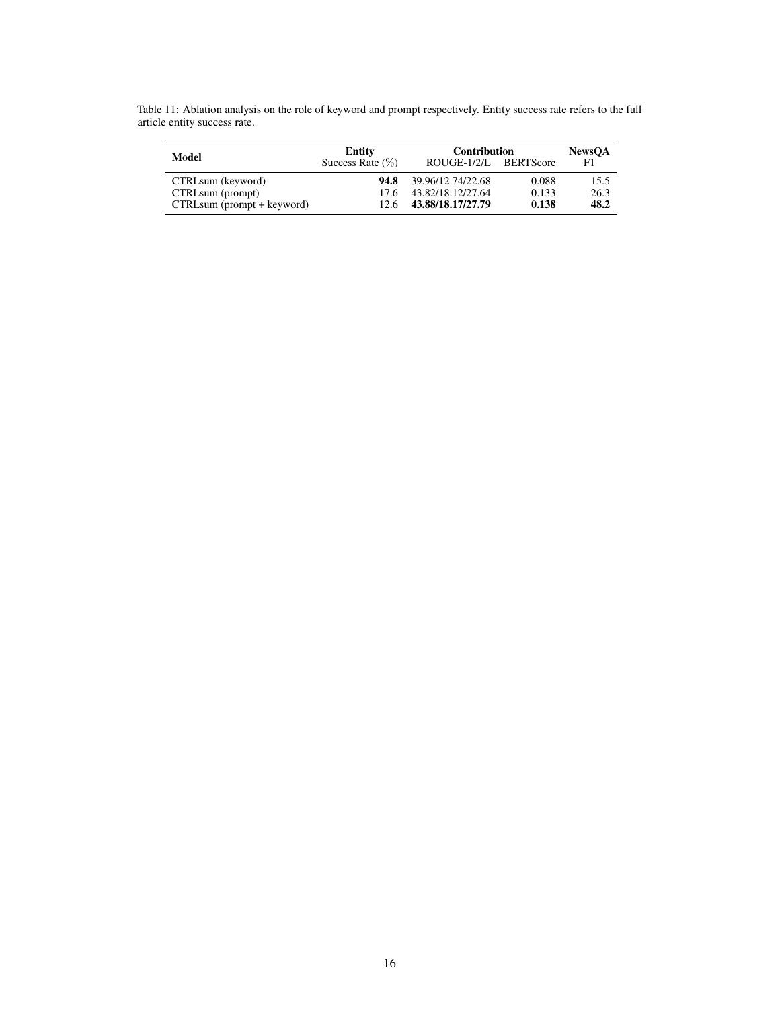<span id="page-15-0"></span>

|                              |  |  |  | Table 11: Ablation analysis on the role of keyword and prompt respectively. Entity success rate refers to the full |  |
|------------------------------|--|--|--|--------------------------------------------------------------------------------------------------------------------|--|
| article entity success rate. |  |  |  |                                                                                                                    |  |

| Model                      | Entity              | <b>Contribution</b>   | <b>NewsOA</b> |      |
|----------------------------|---------------------|-----------------------|---------------|------|
|                            | Success Rate $(\%)$ | ROUGE-1/2/L BERTScore |               | F1   |
| CTRLsum (keyword)          | 94.8                | 39.96/12.74/22.68     | 0.088         | 15.5 |
| CTRLsum (prompt)           | 17.6                | 43.82/18.12/27.64     | 0.133         | 26.3 |
| CTRLsum (prompt + keyword) | 12.6                | 43.88/18.17/27.79     | 0.138         | 48.2 |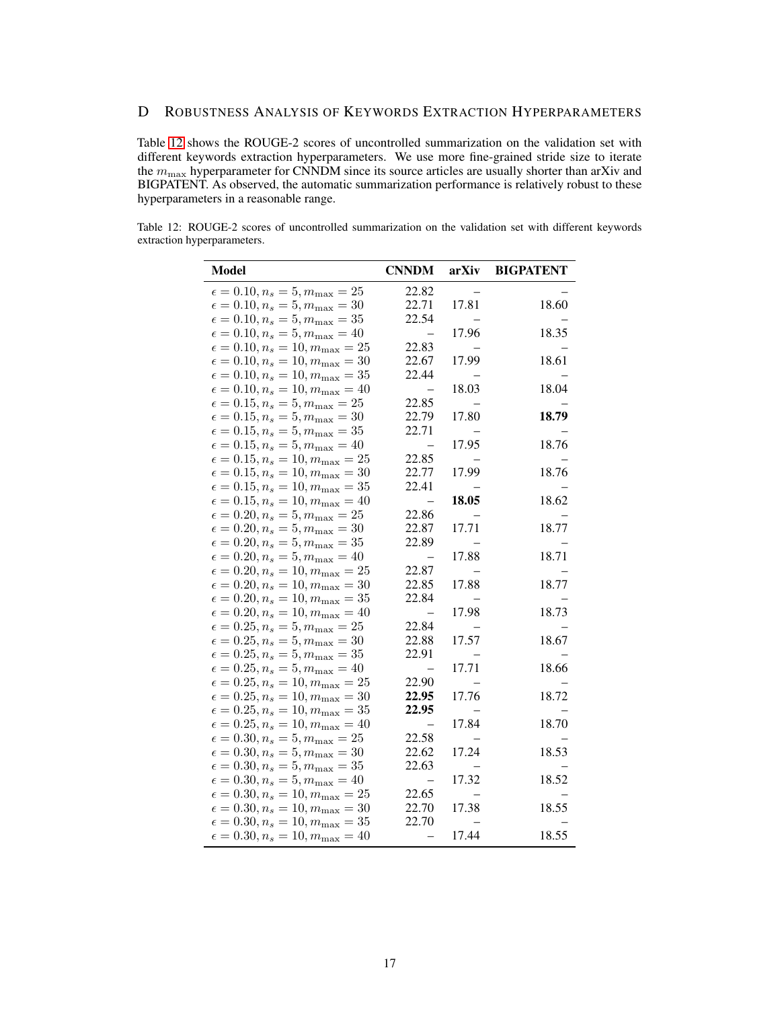# <span id="page-16-0"></span>D ROBUSTNESS ANALYSIS OF KEYWORDS EXTRACTION HYPERPARAMETERS

Table [12](#page-16-1) shows the ROUGE-2 scores of uncontrolled summarization on the validation set with different keywords extraction hyperparameters. We use more fine-grained stride size to iterate the  $m_{\text{max}}$  hyperparameter for CNNDM since its source articles are usually shorter than arXiv and BIGPATENT. As observed, the automatic summarization performance is relatively robust to these hyperparameters in a reasonable range.

<span id="page-16-1"></span>Table 12: ROUGE-2 scores of uncontrolled summarization on the validation set with different keywords extraction hyperparameters.

| <b>Model</b>                                                                              | <b>CNNDM</b>             | arXiv | <b>BIGPATENT</b> |
|-------------------------------------------------------------------------------------------|--------------------------|-------|------------------|
| $\epsilon = 0.10, n_s = 5, m_{\text{max}} = 25$                                           | 22.82                    |       |                  |
| $\epsilon = 0.10, n_s = 5, m_{\text{max}} = 30$                                           | 22.71                    | 17.81 | 18.60            |
| $\epsilon = 0.10, n_s = 5, m_{\text{max}} = 35$                                           | 22.54                    |       |                  |
| $\epsilon = 0.10, n_s = 5, m_{\text{max}} = 40$                                           | $\overline{\phantom{0}}$ | 17.96 | 18.35            |
| $\epsilon=0.10, n_s=10, m_{\rm max}=25$                                                   | 22.83                    |       |                  |
| $\epsilon = 0.10, n_s = 10, m_{\rm max} = 30$                                             | 22.67                    | 17.99 | 18.61            |
| $\epsilon = 0.10, n_s = 10, m_{\text{max}} = 35$                                          | 22.44                    |       |                  |
| $\epsilon = 0.10, n_s = 10, m_{\text{max}} = 40$                                          | $\overline{\phantom{0}}$ | 18.03 | 18.04            |
| $\epsilon = 0.15, n_s = 5, m_{\text{max}} = 25$                                           | 22.85                    |       |                  |
| $\epsilon = 0.15, n_s = 5, m_{\text{max}} = 30$                                           | 22.79                    | 17.80 | 18.79            |
| $\epsilon = 0.15, n_s = 5, m_{\text{max}} = 35$                                           | 22.71                    |       |                  |
| $\epsilon = 0.15, n_s = 5, m_{\text{max}} = 40$                                           |                          | 17.95 | 18.76            |
| $\epsilon = 0.15, n_s = 10, m_{\text{max}} = 25$                                          | 22.85                    |       |                  |
| $\epsilon = 0.15, n_s = 10, m_{\text{max}} = 30$                                          | 22.77                    | 17.99 | 18.76            |
| $\epsilon = 0.15, n_s = 10, m_{\text{max}} = 35$                                          | 22.41                    |       |                  |
| $\epsilon = 0.15, n_s = 10, m_{\text{max}} = 40$                                          | $\equiv$                 | 18.05 | 18.62            |
| $\epsilon = 0.20, n_s = 5, m_{\text{max}} = 25$                                           | 22.86                    |       |                  |
| $\epsilon = 0.20, n_s = 5, m_{\text{max}} = 30$                                           | 22.87                    | 17.71 | 18.77            |
| $\epsilon = 0.20, n_s = 5, m_{\text{max}} = 35$                                           | 22.89                    |       |                  |
| $\epsilon = 0.20, n_s = 5, m_{\text{max}} = 40$                                           |                          | 17.88 | 18.71            |
| $\epsilon = 0.20, n_s = 10, m_{\text{max}} = 25$                                          | 22.87                    |       |                  |
| $\epsilon = 0.20, n_s = 10, m_{\text{max}} = 30$                                          | 22.85                    | 17.88 | 18.77            |
| $\epsilon=0.20, n_s=10, m_{\rm max}=35$                                                   | 22.84                    |       |                  |
| $\epsilon = 0.20, n_s = 10, m_{\text{max}} = 40$                                          |                          | 17.98 | 18.73            |
| $\epsilon = 0.25, n_s = 5, m_{\text{max}} = 25$                                           | 22.84                    |       |                  |
| $\epsilon = 0.25, n_s = 5, m_{\text{max}} = 30$                                           | 22.88                    | 17.57 | 18.67            |
| $\epsilon = 0.25, n_s = 5, m_{\text{max}} = 35$                                           | 22.91                    |       |                  |
| $\epsilon = 0.25, n_s = 5, m_{\text{max}} = 40$                                           |                          | 17.71 | 18.66            |
| $\epsilon = 0.25, n_s = 10, m_{\text{max}} = 25$                                          | 22.90                    |       |                  |
| $\epsilon = 0.25, n_s = 10, m_{\text{max}} = 30$                                          | 22.95                    | 17.76 | 18.72            |
| $\epsilon = 0.25, n_s = 10, m_{\text{max}} = 35$                                          | 22.95                    | 17.84 | 18.70            |
| $\epsilon = 0.25, n_s = 10, m_{\text{max}} = 40$                                          | 22.58                    |       |                  |
| $\epsilon=0.30, n_s=5, m_{\rm max}=25$                                                    | 22.62                    | 17.24 | 18.53            |
| $\epsilon=0.30, n_s=5, m_{\rm max}=30$<br>$\epsilon = 0.30, n_s = 5, m_{\text{max}} = 35$ | 22.63                    |       |                  |
| $\epsilon = 0.30, n_s = 5, m_{\text{max}} = 40$                                           | $\overline{\phantom{0}}$ | 17.32 | 18.52            |
| $\epsilon = 0.30, n_s = 10, m_{\text{max}} = 25$                                          | 22.65                    |       |                  |
| $\epsilon=0.30, n_s=10, m_{\rm max}=30$                                                   | 22.70                    | 17.38 | 18.55            |
| $\epsilon=0.30, n_s=10, m_{\rm max}=35$                                                   | 22.70                    |       |                  |
| $\epsilon = 0.30, n_s = 10, m_{\text{max}} = 40$                                          |                          | 17.44 | 18.55            |
|                                                                                           |                          |       |                  |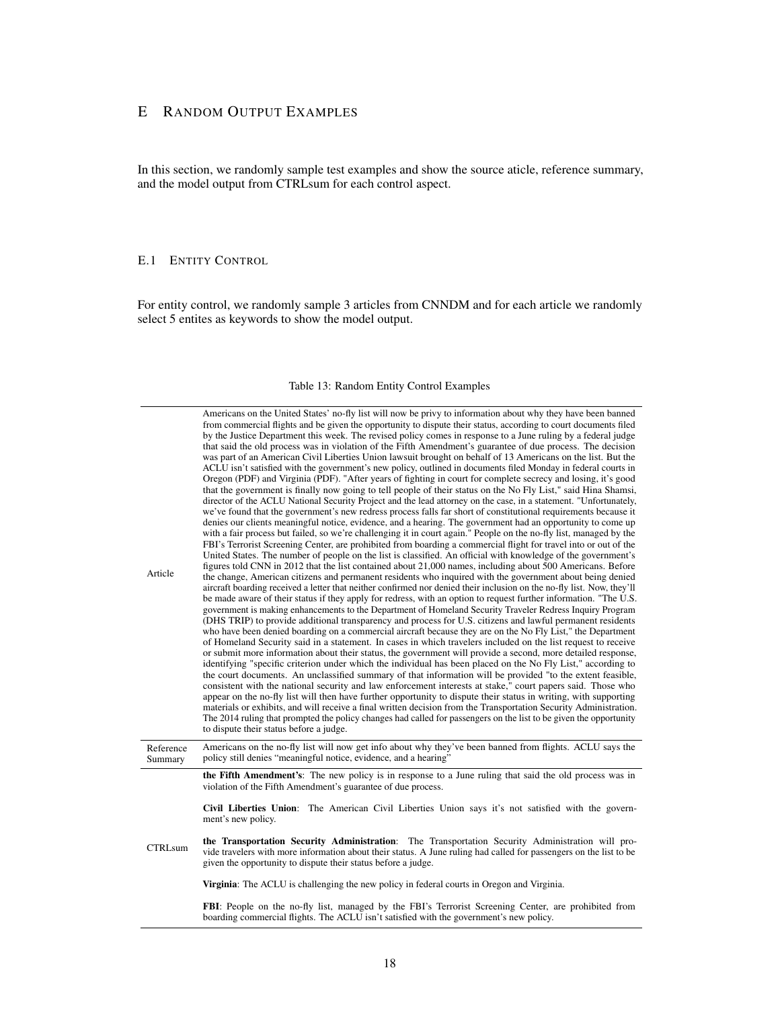# <span id="page-17-0"></span>E RANDOM OUTPUT EXAMPLES

In this section, we randomly sample test examples and show the source aticle, reference summary, and the model output from CTRLsum for each control aspect.

# E.1 ENTITY CONTROL

For entity control, we randomly sample 3 articles from CNNDM and for each article we randomly select 5 entites as keywords to show the model output.

## Table 13: Random Entity Control Examples

| Article              | Americans on the United States' no-fly list will now be privy to information about why they have been banned<br>from commercial flights and be given the opportunity to dispute their status, according to court documents filed<br>by the Justice Department this week. The revised policy comes in response to a June ruling by a federal judge<br>that said the old process was in violation of the Fifth Amendment's guarantee of due process. The decision<br>was part of an American Civil Liberties Union lawsuit brought on behalf of 13 Americans on the list. But the<br>ACLU isn't satisfied with the government's new policy, outlined in documents filed Monday in federal courts in<br>Oregon (PDF) and Virginia (PDF). "After years of fighting in court for complete secrecy and losing, it's good<br>that the government is finally now going to tell people of their status on the No Fly List," said Hina Shamsi,<br>director of the ACLU National Security Project and the lead attorney on the case, in a statement. "Unfortunately,<br>we've found that the government's new redress process falls far short of constitutional requirements because it<br>denies our clients meaningful notice, evidence, and a hearing. The government had an opportunity to come up<br>with a fair process but failed, so we're challenging it in court again." People on the no-fly list, managed by the<br>FBI's Terrorist Screening Center, are prohibited from boarding a commercial flight for travel into or out of the<br>United States. The number of people on the list is classified. An official with knowledge of the government's<br>figures told CNN in 2012 that the list contained about 21,000 names, including about 500 Americans. Before<br>the change, American citizens and permanent residents who inquired with the government about being denied<br>aircraft boarding received a letter that neither confirmed nor denied their inclusion on the no-fly list. Now, they'll<br>be made aware of their status if they apply for redress, with an option to request further information. "The U.S.<br>government is making enhancements to the Department of Homeland Security Traveler Redress Inquiry Program<br>(DHS TRIP) to provide additional transparency and process for U.S. citizens and lawful permanent residents<br>who have been denied boarding on a commercial aircraft because they are on the No Fly List," the Department<br>of Homeland Security said in a statement. In cases in which travelers included on the list request to receive<br>or submit more information about their status, the government will provide a second, more detailed response,<br>identifying "specific criterion under which the individual has been placed on the No Fly List," according to<br>the court documents. An unclassified summary of that information will be provided "to the extent feasible,<br>consistent with the national security and law enforcement interests at stake," court papers said. Those who<br>appear on the no-fly list will then have further opportunity to dispute their status in writing, with supporting<br>materials or exhibits, and will receive a final written decision from the Transportation Security Administration.<br>The 2014 ruling that prompted the policy changes had called for passengers on the list to be given the opportunity<br>to dispute their status before a judge. |
|----------------------|--------------------------------------------------------------------------------------------------------------------------------------------------------------------------------------------------------------------------------------------------------------------------------------------------------------------------------------------------------------------------------------------------------------------------------------------------------------------------------------------------------------------------------------------------------------------------------------------------------------------------------------------------------------------------------------------------------------------------------------------------------------------------------------------------------------------------------------------------------------------------------------------------------------------------------------------------------------------------------------------------------------------------------------------------------------------------------------------------------------------------------------------------------------------------------------------------------------------------------------------------------------------------------------------------------------------------------------------------------------------------------------------------------------------------------------------------------------------------------------------------------------------------------------------------------------------------------------------------------------------------------------------------------------------------------------------------------------------------------------------------------------------------------------------------------------------------------------------------------------------------------------------------------------------------------------------------------------------------------------------------------------------------------------------------------------------------------------------------------------------------------------------------------------------------------------------------------------------------------------------------------------------------------------------------------------------------------------------------------------------------------------------------------------------------------------------------------------------------------------------------------------------------------------------------------------------------------------------------------------------------------------------------------------------------------------------------------------------------------------------------------------------------------------------------------------------------------------------------------------------------------------------------------------------------------------------------------------------------------------------------------------------------------------------------------------------------------------------------------------------------------------------------------------------------------------------------------------------------------------------------------------------------------------------------------------------------------------------------------------------------------------------------------------------------------------------------------------------|
| Reference<br>Summary | Americans on the no-fly list will now get info about why they've been banned from flights. ACLU says the<br>policy still denies "meaningful notice, evidence, and a hearing"                                                                                                                                                                                                                                                                                                                                                                                                                                                                                                                                                                                                                                                                                                                                                                                                                                                                                                                                                                                                                                                                                                                                                                                                                                                                                                                                                                                                                                                                                                                                                                                                                                                                                                                                                                                                                                                                                                                                                                                                                                                                                                                                                                                                                                                                                                                                                                                                                                                                                                                                                                                                                                                                                                                                                                                                                                                                                                                                                                                                                                                                                                                                                                                                                                                                                       |
| <b>CTRLsum</b>       | the Fifth Amendment's: The new policy is in response to a June ruling that said the old process was in<br>violation of the Fifth Amendment's guarantee of due process.<br>Civil Liberties Union: The American Civil Liberties Union says it's not satisfied with the govern-<br>ment's new policy.<br>the Transportation Security Administration: The Transportation Security Administration will pro-<br>vide travelers with more information about their status. A June ruling had called for passengers on the list to be<br>given the opportunity to dispute their status before a judge.<br>Virginia: The ACLU is challenging the new policy in federal courts in Oregon and Virginia.<br><b>FBI:</b> People on the no-fly list, managed by the FBI's Terrorist Screening Center, are prohibited from<br>boarding commercial flights. The ACLU isn't satisfied with the government's new policy.                                                                                                                                                                                                                                                                                                                                                                                                                                                                                                                                                                                                                                                                                                                                                                                                                                                                                                                                                                                                                                                                                                                                                                                                                                                                                                                                                                                                                                                                                                                                                                                                                                                                                                                                                                                                                                                                                                                                                                                                                                                                                                                                                                                                                                                                                                                                                                                                                                                                                                                                                              |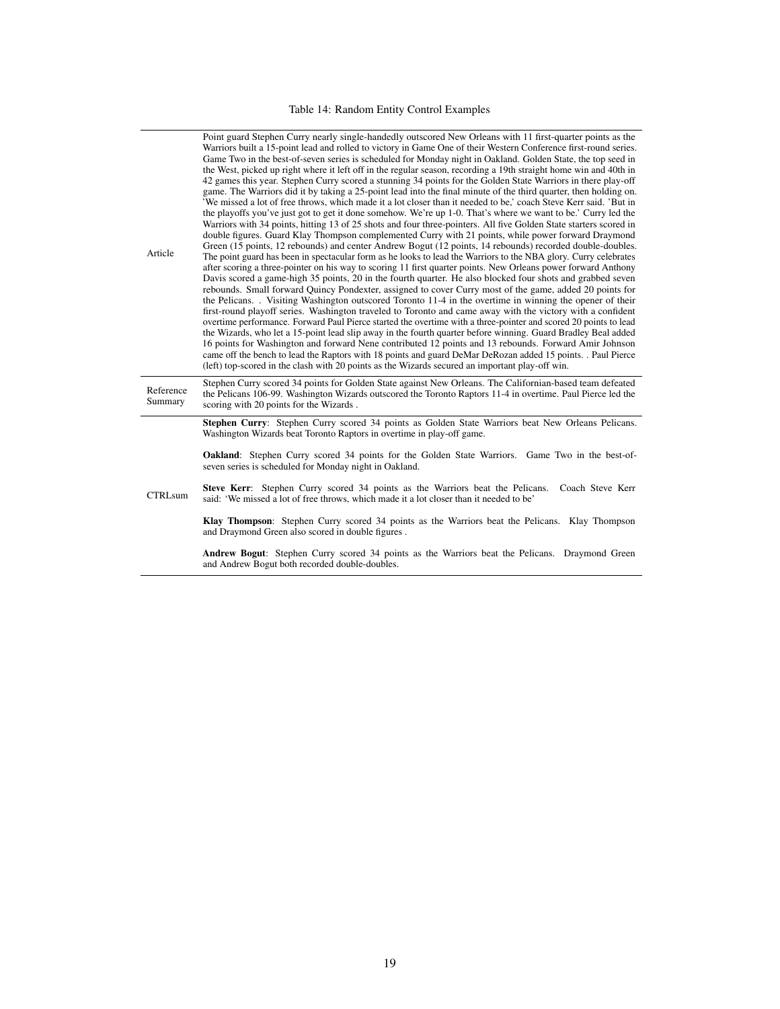# Table 14: Random Entity Control Examples

| Article              | Point guard Stephen Curry nearly single-handedly outscored New Orleans with 11 first-quarter points as the<br>Warriors built a 15-point lead and rolled to victory in Game One of their Western Conference first-round series.<br>Game Two in the best-of-seven series is scheduled for Monday night in Oakland. Golden State, the top seed in<br>the West, picked up right where it left off in the regular season, recording a 19th straight home win and 40th in<br>42 games this year. Stephen Curry scored a stunning 34 points for the Golden State Warriors in there play-off<br>game. The Warriors did it by taking a 25-point lead into the final minute of the third quarter, then holding on.<br>We missed a lot of free throws, which made it a lot closer than it needed to be,' coach Steve Kerr said. 'But in'<br>the playoffs you've just got to get it done somehow. We're up 1-0. That's where we want to be.' Curry led the<br>Warriors with 34 points, hitting 13 of 25 shots and four three-pointers. All five Golden State starters scored in<br>double figures. Guard Klay Thompson complemented Curry with 21 points, while power forward Draymond<br>Green (15 points, 12 rebounds) and center Andrew Bogut (12 points, 14 rebounds) recorded double-doubles.<br>The point guard has been in spectacular form as he looks to lead the Warriors to the NBA glory. Curry celebrates<br>after scoring a three-pointer on his way to scoring 11 first quarter points. New Orleans power forward Anthony<br>Davis scored a game-high 35 points, 20 in the fourth quarter. He also blocked four shots and grabbed seven<br>rebounds. Small forward Quincy Pondexter, assigned to cover Curry most of the game, added 20 points for<br>the Pelicans. Visiting Washington outscored Toronto 11-4 in the overtime in winning the opener of their<br>first-round playoff series. Washington traveled to Toronto and came away with the victory with a confident<br>overtime performance. Forward Paul Pierce started the overtime with a three-pointer and scored 20 points to lead<br>the Wizards, who let a 15-point lead slip away in the fourth quarter before winning. Guard Bradley Beal added<br>16 points for Washington and forward Nene contributed 12 points and 13 rebounds. Forward Amir Johnson<br>came off the bench to lead the Raptors with 18 points and guard DeMar DeRozan added 15 points. . Paul Pierce<br>(left) top-scored in the clash with 20 points as the Wizards secured an important play-off win. |
|----------------------|-------------------------------------------------------------------------------------------------------------------------------------------------------------------------------------------------------------------------------------------------------------------------------------------------------------------------------------------------------------------------------------------------------------------------------------------------------------------------------------------------------------------------------------------------------------------------------------------------------------------------------------------------------------------------------------------------------------------------------------------------------------------------------------------------------------------------------------------------------------------------------------------------------------------------------------------------------------------------------------------------------------------------------------------------------------------------------------------------------------------------------------------------------------------------------------------------------------------------------------------------------------------------------------------------------------------------------------------------------------------------------------------------------------------------------------------------------------------------------------------------------------------------------------------------------------------------------------------------------------------------------------------------------------------------------------------------------------------------------------------------------------------------------------------------------------------------------------------------------------------------------------------------------------------------------------------------------------------------------------------------------------------------------------------------------------------------------------------------------------------------------------------------------------------------------------------------------------------------------------------------------------------------------------------------------------------------------------------------------------------------------------------------------------------------------------------------------------------------------------------------------------------------------------------------|
| Reference<br>Summary | Stephen Curry scored 34 points for Golden State against New Orleans. The Californian-based team defeated<br>the Pelicans 106-99. Washington Wizards outscored the Toronto Raptors 11-4 in overtime. Paul Pierce led the<br>scoring with 20 points for the Wizards.                                                                                                                                                                                                                                                                                                                                                                                                                                                                                                                                                                                                                                                                                                                                                                                                                                                                                                                                                                                                                                                                                                                                                                                                                                                                                                                                                                                                                                                                                                                                                                                                                                                                                                                                                                                                                                                                                                                                                                                                                                                                                                                                                                                                                                                                              |
|                      | Stephen Curry: Stephen Curry scored 34 points as Golden State Warriors beat New Orleans Pelicans.<br>Washington Wizards beat Toronto Raptors in overtime in play-off game.                                                                                                                                                                                                                                                                                                                                                                                                                                                                                                                                                                                                                                                                                                                                                                                                                                                                                                                                                                                                                                                                                                                                                                                                                                                                                                                                                                                                                                                                                                                                                                                                                                                                                                                                                                                                                                                                                                                                                                                                                                                                                                                                                                                                                                                                                                                                                                      |
|                      | Oakland: Stephen Curry scored 34 points for the Golden State Warriors. Game Two in the best-of-<br>seven series is scheduled for Monday night in Oakland.                                                                                                                                                                                                                                                                                                                                                                                                                                                                                                                                                                                                                                                                                                                                                                                                                                                                                                                                                                                                                                                                                                                                                                                                                                                                                                                                                                                                                                                                                                                                                                                                                                                                                                                                                                                                                                                                                                                                                                                                                                                                                                                                                                                                                                                                                                                                                                                       |
| <b>CTRLsum</b>       | <b>Steve Kerr:</b> Stephen Curry scored 34 points as the Warriors beat the Pelicans.<br>Coach Steve Kerr<br>said: 'We missed a lot of free throws, which made it a lot closer than it needed to be'                                                                                                                                                                                                                                                                                                                                                                                                                                                                                                                                                                                                                                                                                                                                                                                                                                                                                                                                                                                                                                                                                                                                                                                                                                                                                                                                                                                                                                                                                                                                                                                                                                                                                                                                                                                                                                                                                                                                                                                                                                                                                                                                                                                                                                                                                                                                             |
|                      | <b>Klay Thompson:</b> Stephen Curry scored 34 points as the Warriors beat the Pelicans. Klay Thompson<br>and Draymond Green also scored in double figures.                                                                                                                                                                                                                                                                                                                                                                                                                                                                                                                                                                                                                                                                                                                                                                                                                                                                                                                                                                                                                                                                                                                                                                                                                                                                                                                                                                                                                                                                                                                                                                                                                                                                                                                                                                                                                                                                                                                                                                                                                                                                                                                                                                                                                                                                                                                                                                                      |
|                      | Andrew Bogut: Stephen Curry scored 34 points as the Warriors beat the Pelicans. Draymond Green<br>and Andrew Bogut both recorded double-doubles.                                                                                                                                                                                                                                                                                                                                                                                                                                                                                                                                                                                                                                                                                                                                                                                                                                                                                                                                                                                                                                                                                                                                                                                                                                                                                                                                                                                                                                                                                                                                                                                                                                                                                                                                                                                                                                                                                                                                                                                                                                                                                                                                                                                                                                                                                                                                                                                                |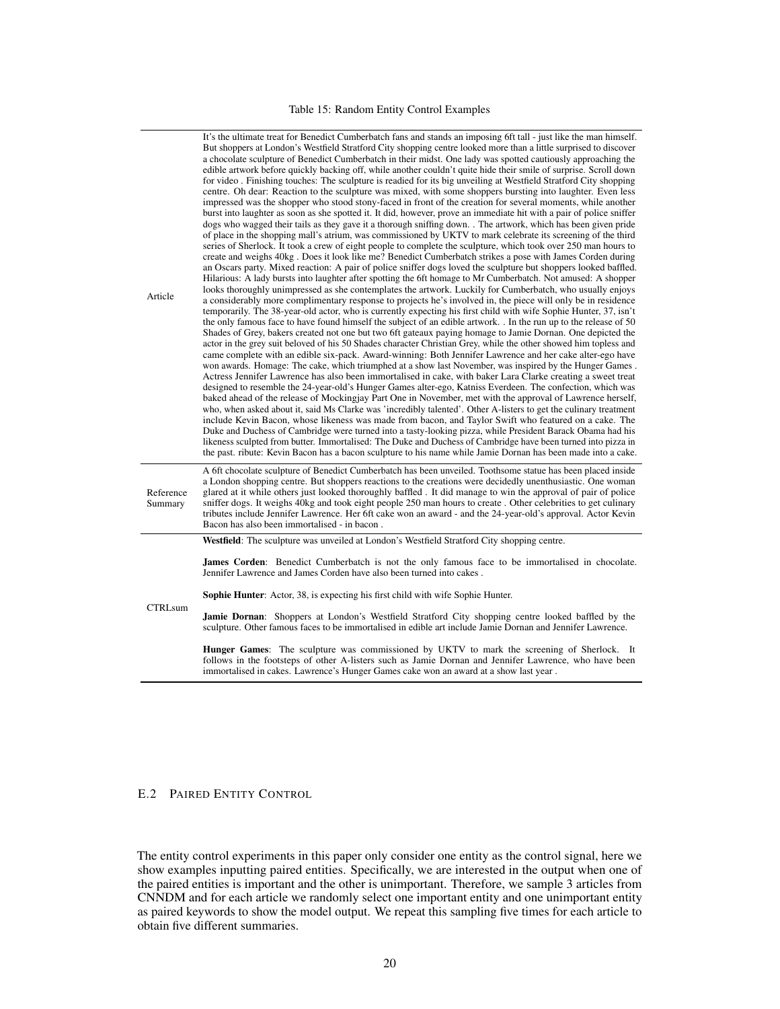#### Table 15: Random Entity Control Examples

| Article              | It's the ultimate treat for Benedict Cumberbatch fans and stands an imposing 6ft tall - just like the man himself.<br>But shoppers at London's Westfield Stratford City shopping centre looked more than a little surprised to discover<br>a chocolate sculpture of Benedict Cumberbatch in their midst. One lady was spotted cautiously approaching the<br>edible artwork before quickly backing off, while another couldn't quite hide their smile of surprise. Scroll down<br>for video. Finishing touches: The sculpture is readied for its big unveiling at Westfield Stratford City shopping<br>centre. Oh dear: Reaction to the sculpture was mixed, with some shoppers bursting into laughter. Even less<br>impressed was the shopper who stood stony-faced in front of the creation for several moments, while another<br>burst into laughter as soon as she spotted it. It did, however, prove an immediate hit with a pair of police sniffer<br>dogs who wagged their tails as they gave it a thorough sniffing down. The artwork, which has been given pride<br>of place in the shopping mall's atrium, was commissioned by UKTV to mark celebrate its screening of the third<br>series of Sherlock. It took a crew of eight people to complete the sculpture, which took over 250 man hours to<br>create and weighs 40kg. Does it look like me? Benedict Cumberbatch strikes a pose with James Corden during<br>an Oscars party. Mixed reaction: A pair of police sniffer dogs loved the sculpture but shoppers looked baffled.<br>Hilarious: A lady bursts into laughter after spotting the 6ft homage to Mr Cumberbatch. Not amused: A shopper<br>looks thoroughly unimpressed as she contemplates the artwork. Luckily for Cumberbatch, who usually enjoys<br>a considerably more complimentary response to projects he's involved in, the piece will only be in residence<br>temporarily. The 38-year-old actor, who is currently expecting his first child with wife Sophie Hunter, 37, isn't<br>the only famous face to have found himself the subject of an edible artwork. In the run up to the release of 50<br>Shades of Grey, bakers created not one but two 6ft gateaux paying homage to Jamie Dornan. One depicted the<br>actor in the grey suit beloved of his 50 Shades character Christian Grey, while the other showed him topless and<br>came complete with an edible six-pack. Award-winning: Both Jennifer Lawrence and her cake alter-ego have<br>won awards. Homage: The cake, which triumphed at a show last November, was inspired by the Hunger Games.<br>Actress Jennifer Lawrence has also been immortalised in cake, with baker Lara Clarke creating a sweet treat<br>designed to resemble the 24-year-old's Hunger Games alter-ego, Katniss Everdeen. The confection, which was<br>baked ahead of the release of Mockingjay Part One in November, met with the approval of Lawrence herself,<br>who, when asked about it, said Ms Clarke was 'incredibly talented'. Other A-listers to get the culinary treatment<br>include Kevin Bacon, whose likeness was made from bacon, and Taylor Swift who featured on a cake. The<br>Duke and Duchess of Cambridge were turned into a tasty-looking pizza, while President Barack Obama had his<br>likeness sculpted from butter. Immortalised: The Duke and Duchess of Cambridge have been turned into pizza in<br>the past. ribute: Kevin Bacon has a bacon sculpture to his name while Jamie Dornan has been made into a cake. |
|----------------------|----------------------------------------------------------------------------------------------------------------------------------------------------------------------------------------------------------------------------------------------------------------------------------------------------------------------------------------------------------------------------------------------------------------------------------------------------------------------------------------------------------------------------------------------------------------------------------------------------------------------------------------------------------------------------------------------------------------------------------------------------------------------------------------------------------------------------------------------------------------------------------------------------------------------------------------------------------------------------------------------------------------------------------------------------------------------------------------------------------------------------------------------------------------------------------------------------------------------------------------------------------------------------------------------------------------------------------------------------------------------------------------------------------------------------------------------------------------------------------------------------------------------------------------------------------------------------------------------------------------------------------------------------------------------------------------------------------------------------------------------------------------------------------------------------------------------------------------------------------------------------------------------------------------------------------------------------------------------------------------------------------------------------------------------------------------------------------------------------------------------------------------------------------------------------------------------------------------------------------------------------------------------------------------------------------------------------------------------------------------------------------------------------------------------------------------------------------------------------------------------------------------------------------------------------------------------------------------------------------------------------------------------------------------------------------------------------------------------------------------------------------------------------------------------------------------------------------------------------------------------------------------------------------------------------------------------------------------------------------------------------------------------------------------------------------------------------------------------------------------------------------------------------------------------------------------------------------------------------------------------------------------------------------------------------------------------------------------------------------------------------------------------------------------------------------------------------------------------------------------------------------------------|
| Reference<br>Summary | A 6ft chocolate sculpture of Benedict Cumberbatch has been unveiled. Toothsome statue has been placed inside<br>a London shopping centre. But shoppers reactions to the creations were decidedly unenthusiastic. One woman<br>glared at it while others just looked thoroughly baffled. It did manage to win the approval of pair of police<br>sniffer dogs. It weighs 40kg and took eight people 250 man hours to create. Other celebrities to get culinary<br>tributes include Jennifer Lawrence. Her 6ft cake won an award - and the 24-year-old's approval. Actor Kevin<br>Bacon has also been immortalised - in bacon.                                                                                                                                                                                                                                                                                                                                                                                                                                                                                                                                                                                                                                                                                                                                                                                                                                                                                                                                                                                                                                                                                                                                                                                                                                                                                                                                                                                                                                                                                                                                                                                                                                                                                                                                                                                                                                                                                                                                                                                                                                                                                                                                                                                                                                                                                                                                                                                                                                                                                                                                                                                                                                                                                                                                                                                                                                                                                          |
|                      | Westfield: The sculpture was unveiled at London's Westfield Stratford City shopping centre.                                                                                                                                                                                                                                                                                                                                                                                                                                                                                                                                                                                                                                                                                                                                                                                                                                                                                                                                                                                                                                                                                                                                                                                                                                                                                                                                                                                                                                                                                                                                                                                                                                                                                                                                                                                                                                                                                                                                                                                                                                                                                                                                                                                                                                                                                                                                                                                                                                                                                                                                                                                                                                                                                                                                                                                                                                                                                                                                                                                                                                                                                                                                                                                                                                                                                                                                                                                                                          |
|                      | <b>James Corden:</b> Benedict Cumberbatch is not the only famous face to be immortalised in chocolate.<br>Jennifer Lawrence and James Corden have also been turned into cakes.                                                                                                                                                                                                                                                                                                                                                                                                                                                                                                                                                                                                                                                                                                                                                                                                                                                                                                                                                                                                                                                                                                                                                                                                                                                                                                                                                                                                                                                                                                                                                                                                                                                                                                                                                                                                                                                                                                                                                                                                                                                                                                                                                                                                                                                                                                                                                                                                                                                                                                                                                                                                                                                                                                                                                                                                                                                                                                                                                                                                                                                                                                                                                                                                                                                                                                                                       |
|                      | Sophie Hunter: Actor, 38, is expecting his first child with wife Sophie Hunter.                                                                                                                                                                                                                                                                                                                                                                                                                                                                                                                                                                                                                                                                                                                                                                                                                                                                                                                                                                                                                                                                                                                                                                                                                                                                                                                                                                                                                                                                                                                                                                                                                                                                                                                                                                                                                                                                                                                                                                                                                                                                                                                                                                                                                                                                                                                                                                                                                                                                                                                                                                                                                                                                                                                                                                                                                                                                                                                                                                                                                                                                                                                                                                                                                                                                                                                                                                                                                                      |
| <b>CTRLsum</b>       | <b>Jamie Dornan:</b> Shoppers at London's Westfield Stratford City shopping centre looked baffled by the<br>sculpture. Other famous faces to be immortalised in edible art include Jamie Dornan and Jennifer Lawrence.                                                                                                                                                                                                                                                                                                                                                                                                                                                                                                                                                                                                                                                                                                                                                                                                                                                                                                                                                                                                                                                                                                                                                                                                                                                                                                                                                                                                                                                                                                                                                                                                                                                                                                                                                                                                                                                                                                                                                                                                                                                                                                                                                                                                                                                                                                                                                                                                                                                                                                                                                                                                                                                                                                                                                                                                                                                                                                                                                                                                                                                                                                                                                                                                                                                                                               |
|                      | <b>Hunger Games:</b> The sculpture was commissioned by UKTV to mark the screening of Sherlock. It<br>follows in the footsteps of other A-listers such as Jamie Dornan and Jennifer Lawrence, who have been<br>immortalised in cakes. Lawrence's Hunger Games cake won an award at a show last year.                                                                                                                                                                                                                                                                                                                                                                                                                                                                                                                                                                                                                                                                                                                                                                                                                                                                                                                                                                                                                                                                                                                                                                                                                                                                                                                                                                                                                                                                                                                                                                                                                                                                                                                                                                                                                                                                                                                                                                                                                                                                                                                                                                                                                                                                                                                                                                                                                                                                                                                                                                                                                                                                                                                                                                                                                                                                                                                                                                                                                                                                                                                                                                                                                  |

#### E.2 PAIRED ENTITY CONTROL

The entity control experiments in this paper only consider one entity as the control signal, here we show examples inputting paired entities. Specifically, we are interested in the output when one of the paired entities is important and the other is unimportant. Therefore, we sample 3 articles from CNNDM and for each article we randomly select one important entity and one unimportant entity as paired keywords to show the model output. We repeat this sampling five times for each article to obtain five different summaries.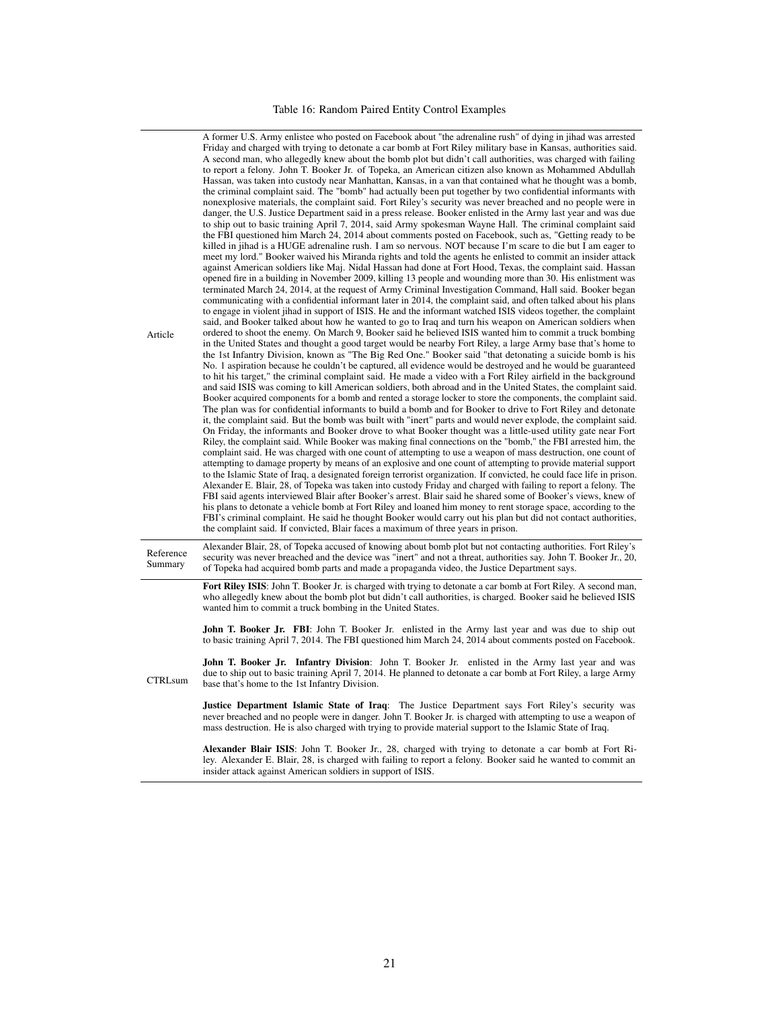#### Table 16: Random Paired Entity Control Examples

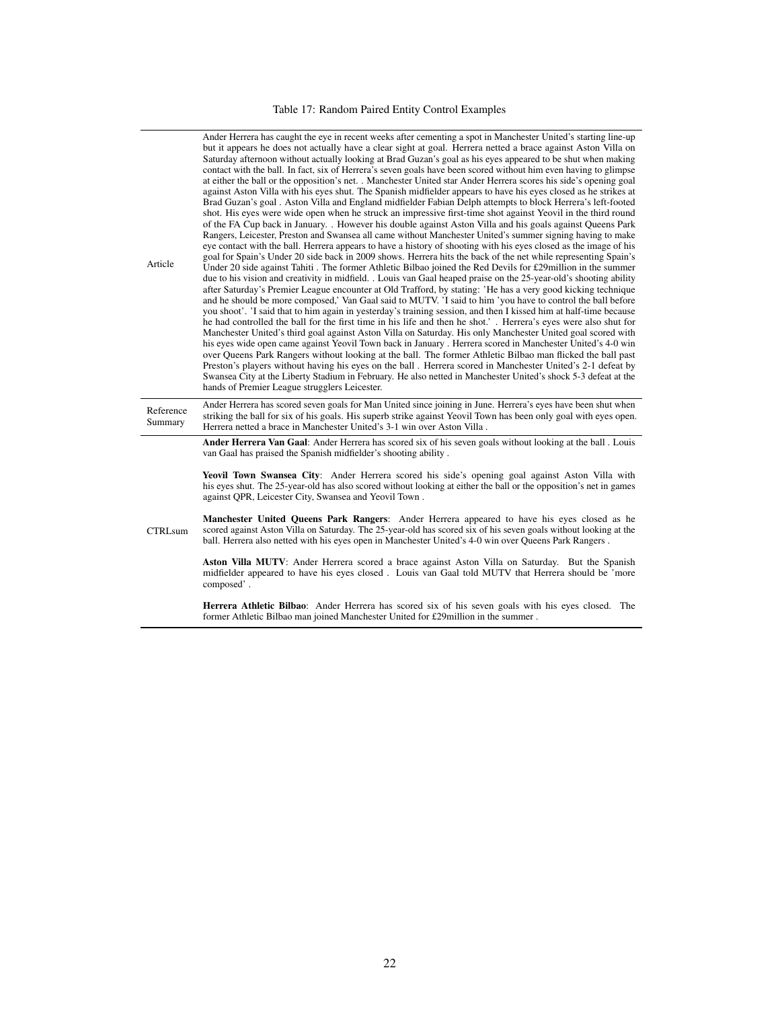# Table 17: Random Paired Entity Control Examples

| Article              | Ander Herrera has caught the eye in recent weeks after cementing a spot in Manchester United's starting line-up<br>but it appears he does not actually have a clear sight at goal. Herrera netted a brace against Aston Villa on<br>Saturday afternoon without actually looking at Brad Guzan's goal as his eyes appeared to be shut when making<br>contact with the ball. In fact, six of Herrera's seven goals have been scored without him even having to glimpse<br>at either the ball or the opposition's net. Manchester United star Ander Herrera scores his side's opening goal<br>against Aston Villa with his eyes shut. The Spanish midfielder appears to have his eyes closed as he strikes at<br>Brad Guzan's goal. Aston Villa and England midfielder Fabian Delph attempts to block Herrera's left-footed<br>shot. His eyes were wide open when he struck an impressive first-time shot against Yeovil in the third round<br>of the FA Cup back in January. However his double against Aston Villa and his goals against Queens Park<br>Rangers, Leicester, Preston and Swansea all came without Manchester United's summer signing having to make<br>eye contact with the ball. Herrera appears to have a history of shooting with his eyes closed as the image of his<br>goal for Spain's Under 20 side back in 2009 shows. Herrera hits the back of the net while representing Spain's<br>Under 20 side against Tahiti. The former Athletic Bilbao joined the Red Devils for £29 million in the summer<br>due to his vision and creativity in midfield. Louis van Gaal heaped praise on the 25-year-old's shooting ability<br>after Saturday's Premier League encounter at Old Trafford, by stating: 'He has a very good kicking technique<br>and he should be more composed,' Van Gaal said to MUTV. 'I said to him 'you have to control the ball before<br>you shoot'. 'I said that to him again in yesterday's training session, and then I kissed him at half-time because<br>he had controlled the ball for the first time in his life and then he shot.'. Herrera's eyes were also shut for<br>Manchester United's third goal against Aston Villa on Saturday. His only Manchester United goal scored with<br>his eyes wide open came against Yeovil Town back in January . Herrera scored in Manchester United's 4-0 win<br>over Queens Park Rangers without looking at the ball. The former Athletic Bilbao man flicked the ball past<br>Preston's players without having his eyes on the ball. Herrera scored in Manchester United's 2-1 defeat by<br>Swansea City at the Liberty Stadium in February. He also netted in Manchester United's shock 5-3 defeat at the<br>hands of Premier League strugglers Leicester. |
|----------------------|--------------------------------------------------------------------------------------------------------------------------------------------------------------------------------------------------------------------------------------------------------------------------------------------------------------------------------------------------------------------------------------------------------------------------------------------------------------------------------------------------------------------------------------------------------------------------------------------------------------------------------------------------------------------------------------------------------------------------------------------------------------------------------------------------------------------------------------------------------------------------------------------------------------------------------------------------------------------------------------------------------------------------------------------------------------------------------------------------------------------------------------------------------------------------------------------------------------------------------------------------------------------------------------------------------------------------------------------------------------------------------------------------------------------------------------------------------------------------------------------------------------------------------------------------------------------------------------------------------------------------------------------------------------------------------------------------------------------------------------------------------------------------------------------------------------------------------------------------------------------------------------------------------------------------------------------------------------------------------------------------------------------------------------------------------------------------------------------------------------------------------------------------------------------------------------------------------------------------------------------------------------------------------------------------------------------------------------------------------------------------------------------------------------------------------------------------------------------------------------------------------------------------------------------------------------------------------------------------------------------------------------------------------------------------------------------------------------------------------------------------|
| Reference<br>Summary | Ander Herrera has scored seven goals for Man United since joining in June. Herrera's eyes have been shut when<br>striking the ball for six of his goals. His superb strike against Yeovil Town has been only goal with eyes open.<br>Herrera netted a brace in Manchester United's 3-1 win over Aston Villa.                                                                                                                                                                                                                                                                                                                                                                                                                                                                                                                                                                                                                                                                                                                                                                                                                                                                                                                                                                                                                                                                                                                                                                                                                                                                                                                                                                                                                                                                                                                                                                                                                                                                                                                                                                                                                                                                                                                                                                                                                                                                                                                                                                                                                                                                                                                                                                                                                                     |
| <b>CTRLsum</b>       | Ander Herrera Van Gaal: Ander Herrera has scored six of his seven goals without looking at the ball. Louis<br>van Gaal has praised the Spanish midfielder's shooting ability.<br>Yeovil Town Swansea City: Ander Herrera scored his side's opening goal against Aston Villa with<br>his eyes shut. The 25-year-old has also scored without looking at either the ball or the opposition's net in games<br>against QPR, Leicester City, Swansea and Yeovil Town.<br>Manchester United Queens Park Rangers: Ander Herrera appeared to have his eyes closed as he<br>scored against Aston Villa on Saturday. The 25-year-old has scored six of his seven goals without looking at the<br>ball. Herrera also netted with his eyes open in Manchester United's 4-0 win over Queens Park Rangers.<br><b>Aston Villa MUTV</b> : Ander Herrera scored a brace against Aston Villa on Saturday. But the Spanish<br>midfielder appeared to have his eyes closed. Louis van Gaal told MUTV that Herrera should be 'more<br>composed'.<br><b>Herrera Athletic Bilbao:</b> Ander Herrera has scored six of his seven goals with his eyes closed. The<br>former Athletic Bilbao man joined Manchester United for £29 million in the summer.                                                                                                                                                                                                                                                                                                                                                                                                                                                                                                                                                                                                                                                                                                                                                                                                                                                                                                                                                                                                                                                                                                                                                                                                                                                                                                                                                                                                                                                                                                                    |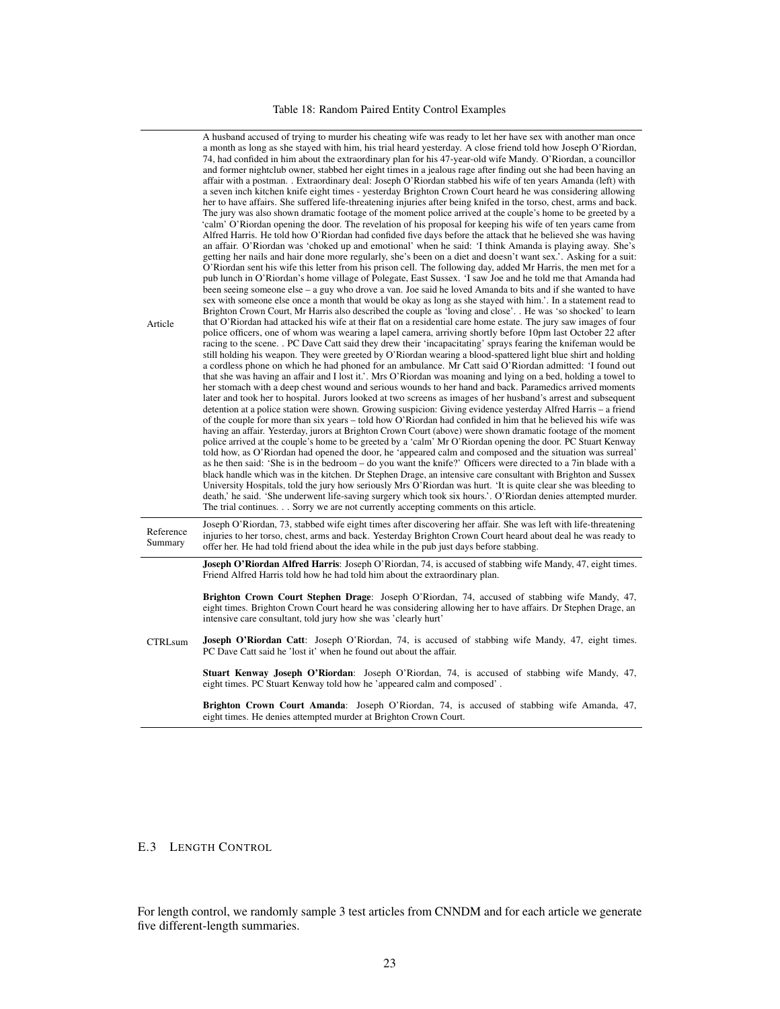# Table 18: Random Paired Entity Control Examples

| Article              | A husband accused of trying to murder his cheating wife was ready to let her have sex with another man once<br>a month as long as she stayed with him, his trial heard yesterday. A close friend told how Joseph O'Riordan,<br>74, had confided in him about the extraordinary plan for his 47-year-old wife Mandy. O'Riordan, a councillor<br>and former nightclub owner, stabbed her eight times in a jealous rage after finding out she had been having an<br>affair with a postman. Extraordinary deal: Joseph O'Riordan stabbed his wife of ten years Amanda (left) with<br>a seven inch kitchen knife eight times - yesterday Brighton Crown Court heard he was considering allowing<br>her to have affairs. She suffered life-threatening injuries after being knifed in the torso, chest, arms and back.<br>The jury was also shown dramatic footage of the moment police arrived at the couple's home to be greeted by a<br>'calm' O'Riordan opening the door. The revelation of his proposal for keeping his wife of ten years came from<br>Alfred Harris. He told how O'Riordan had confided five days before the attack that he believed she was having<br>an affair. O'Riordan was 'choked up and emotional' when he said: 'I think Amanda is playing away. She's<br>getting her nails and hair done more regularly, she's been on a diet and doesn't want sex.'. Asking for a suit:<br>O'Riordan sent his wife this letter from his prison cell. The following day, added Mr Harris, the men met for a<br>pub lunch in O'Riordan's home village of Polegate, East Sussex. 'I saw Joe and he told me that Amanda had<br>been seeing someone else – a guy who drove a van. Joe said he loved Amanda to bits and if she wanted to have<br>sex with someone else once a month that would be okay as long as she stayed with him.'. In a statement read to<br>Brighton Crown Court, Mr Harris also described the couple as 'loving and close'. He was 'so shocked' to learn<br>that O'Riordan had attacked his wife at their flat on a residential care home estate. The jury saw images of four<br>police officers, one of whom was wearing a lapel camera, arriving shortly before 10pm last October 22 after<br>racing to the scene. . PC Dave Catt said they drew their 'incapacitating' sprays fearing the knifeman would be<br>still holding his weapon. They were greeted by O'Riordan wearing a blood-spattered light blue shirt and holding<br>a cordless phone on which he had phoned for an ambulance. Mr Catt said O'Riordan admitted: 'I found out<br>that she was having an affair and I lost it.'. Mrs O'Riordan was moaning and lying on a bed, holding a towel to<br>her stomach with a deep chest wound and serious wounds to her hand and back. Paramedics arrived moments<br>later and took her to hospital. Jurors looked at two screens as images of her husband's arrest and subsequent<br>detention at a police station were shown. Growing suspicion: Giving evidence yesterday Alfred Harris – a friend<br>of the couple for more than six years – told how O'Riordan had confided in him that he believed his wife was<br>having an affair. Yesterday, jurors at Brighton Crown Court (above) were shown dramatic footage of the moment<br>police arrived at the couple's home to be greeted by a 'calm' Mr O'Riordan opening the door. PC Stuart Kenway<br>told how, as O'Riordan had opened the door, he 'appeared calm and composed and the situation was surreal'<br>as he then said: 'She is in the bedroom – do you want the knife?' Officers were directed to a 7in blade with a<br>black handle which was in the kitchen. Dr Stephen Drage, an intensive care consultant with Brighton and Sussex<br>University Hospitals, told the jury how seriously Mrs O'Riordan was hurt. 'It is quite clear she was bleeding to<br>death,' he said. 'She underwent life-saving surgery which took six hours.'. O'Riordan denies attempted murder.<br>The trial continues. Sorry we are not currently accepting comments on this article. |
|----------------------|----------------------------------------------------------------------------------------------------------------------------------------------------------------------------------------------------------------------------------------------------------------------------------------------------------------------------------------------------------------------------------------------------------------------------------------------------------------------------------------------------------------------------------------------------------------------------------------------------------------------------------------------------------------------------------------------------------------------------------------------------------------------------------------------------------------------------------------------------------------------------------------------------------------------------------------------------------------------------------------------------------------------------------------------------------------------------------------------------------------------------------------------------------------------------------------------------------------------------------------------------------------------------------------------------------------------------------------------------------------------------------------------------------------------------------------------------------------------------------------------------------------------------------------------------------------------------------------------------------------------------------------------------------------------------------------------------------------------------------------------------------------------------------------------------------------------------------------------------------------------------------------------------------------------------------------------------------------------------------------------------------------------------------------------------------------------------------------------------------------------------------------------------------------------------------------------------------------------------------------------------------------------------------------------------------------------------------------------------------------------------------------------------------------------------------------------------------------------------------------------------------------------------------------------------------------------------------------------------------------------------------------------------------------------------------------------------------------------------------------------------------------------------------------------------------------------------------------------------------------------------------------------------------------------------------------------------------------------------------------------------------------------------------------------------------------------------------------------------------------------------------------------------------------------------------------------------------------------------------------------------------------------------------------------------------------------------------------------------------------------------------------------------------------------------------------------------------------------------------------------------------------------------------------------------------------------------------------------------------------------------------------------------------------------------------------------------------------------------------------------------------------------------------------------------------------------------------------------------------------------------------------------------------------------------------------------------------------------------------------------------------------------------------------------------------------------------|
| Reference<br>Summary | Joseph O'Riordan, 73, stabbed wife eight times after discovering her affair. She was left with life-threatening<br>injuries to her torso, chest, arms and back. Yesterday Brighton Crown Court heard about deal he was ready to<br>offer her. He had told friend about the idea while in the pub just days before stabbing.                                                                                                                                                                                                                                                                                                                                                                                                                                                                                                                                                                                                                                                                                                                                                                                                                                                                                                                                                                                                                                                                                                                                                                                                                                                                                                                                                                                                                                                                                                                                                                                                                                                                                                                                                                                                                                                                                                                                                                                                                                                                                                                                                                                                                                                                                                                                                                                                                                                                                                                                                                                                                                                                                                                                                                                                                                                                                                                                                                                                                                                                                                                                                                                                                                                                                                                                                                                                                                                                                                                                                                                                                                                                                                                                                |
|                      | <b>Joseph O'Riordan Alfred Harris:</b> Joseph O'Riordan, 74, is accused of stabbing wife Mandy, 47, eight times.<br>Friend Alfred Harris told how he had told him about the extraordinary plan.                                                                                                                                                                                                                                                                                                                                                                                                                                                                                                                                                                                                                                                                                                                                                                                                                                                                                                                                                                                                                                                                                                                                                                                                                                                                                                                                                                                                                                                                                                                                                                                                                                                                                                                                                                                                                                                                                                                                                                                                                                                                                                                                                                                                                                                                                                                                                                                                                                                                                                                                                                                                                                                                                                                                                                                                                                                                                                                                                                                                                                                                                                                                                                                                                                                                                                                                                                                                                                                                                                                                                                                                                                                                                                                                                                                                                                                                            |
|                      | Brighton Crown Court Stephen Drage: Joseph O'Riordan, 74, accused of stabbing wife Mandy, 47,<br>eight times. Brighton Crown Court heard he was considering allowing her to have affairs. Dr Stephen Drage, an<br>intensive care consultant, told jury how she was 'clearly hurt'                                                                                                                                                                                                                                                                                                                                                                                                                                                                                                                                                                                                                                                                                                                                                                                                                                                                                                                                                                                                                                                                                                                                                                                                                                                                                                                                                                                                                                                                                                                                                                                                                                                                                                                                                                                                                                                                                                                                                                                                                                                                                                                                                                                                                                                                                                                                                                                                                                                                                                                                                                                                                                                                                                                                                                                                                                                                                                                                                                                                                                                                                                                                                                                                                                                                                                                                                                                                                                                                                                                                                                                                                                                                                                                                                                                          |
| <b>CTRLsum</b>       | <b>Joseph O'Riordan Catt</b> : Joseph O'Riordan, 74, is accused of stabbing wife Mandy, 47, eight times.<br>PC Dave Catt said he 'lost it' when he found out about the affair.                                                                                                                                                                                                                                                                                                                                                                                                                                                                                                                                                                                                                                                                                                                                                                                                                                                                                                                                                                                                                                                                                                                                                                                                                                                                                                                                                                                                                                                                                                                                                                                                                                                                                                                                                                                                                                                                                                                                                                                                                                                                                                                                                                                                                                                                                                                                                                                                                                                                                                                                                                                                                                                                                                                                                                                                                                                                                                                                                                                                                                                                                                                                                                                                                                                                                                                                                                                                                                                                                                                                                                                                                                                                                                                                                                                                                                                                                             |
|                      | <b>Stuart Kenway Joseph O'Riordan:</b> Joseph O'Riordan, 74, is accused of stabbing wife Mandy, 47,<br>eight times. PC Stuart Kenway told how he 'appeared calm and composed'.                                                                                                                                                                                                                                                                                                                                                                                                                                                                                                                                                                                                                                                                                                                                                                                                                                                                                                                                                                                                                                                                                                                                                                                                                                                                                                                                                                                                                                                                                                                                                                                                                                                                                                                                                                                                                                                                                                                                                                                                                                                                                                                                                                                                                                                                                                                                                                                                                                                                                                                                                                                                                                                                                                                                                                                                                                                                                                                                                                                                                                                                                                                                                                                                                                                                                                                                                                                                                                                                                                                                                                                                                                                                                                                                                                                                                                                                                             |
|                      | <b>Brighton Crown Court Amanda:</b> Joseph O'Riordan, 74, is accused of stabbing wife Amanda, 47,<br>eight times. He denies attempted murder at Brighton Crown Court.                                                                                                                                                                                                                                                                                                                                                                                                                                                                                                                                                                                                                                                                                                                                                                                                                                                                                                                                                                                                                                                                                                                                                                                                                                                                                                                                                                                                                                                                                                                                                                                                                                                                                                                                                                                                                                                                                                                                                                                                                                                                                                                                                                                                                                                                                                                                                                                                                                                                                                                                                                                                                                                                                                                                                                                                                                                                                                                                                                                                                                                                                                                                                                                                                                                                                                                                                                                                                                                                                                                                                                                                                                                                                                                                                                                                                                                                                                      |

## E.3 LENGTH CONTROL

For length control, we randomly sample 3 test articles from CNNDM and for each article we generate five different-length summaries.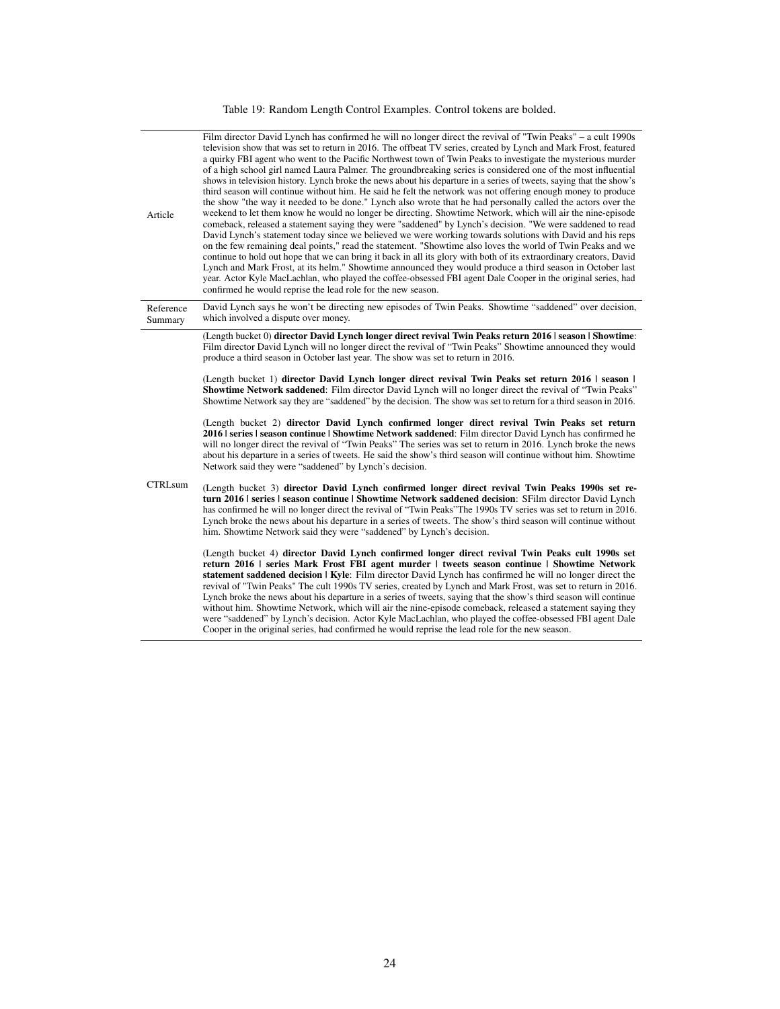Table 19: Random Length Control Examples. Control tokens are bolded.

| Article              | Film director David Lynch has confirmed he will no longer direct the revival of "Twin Peaks" – a cult 1990s<br>television show that was set to return in 2016. The offbeat TV series, created by Lynch and Mark Frost, featured<br>a quirky FBI agent who went to the Pacific Northwest town of Twin Peaks to investigate the mysterious murder<br>of a high school girl named Laura Palmer. The groundbreaking series is considered one of the most influential<br>shows in television history. Lynch broke the news about his departure in a series of tweets, saying that the show's<br>third season will continue without him. He said he felt the network was not offering enough money to produce<br>the show "the way it needed to be done." Lynch also wrote that he had personally called the actors over the<br>weekend to let them know he would no longer be directing. Showtime Network, which will air the nine-episode<br>comeback, released a statement saying they were "saddened" by Lynch's decision. "We were saddened to read<br>David Lynch's statement today since we believed we were working towards solutions with David and his reps<br>on the few remaining deal points," read the statement. "Showtime also loves the world of Twin Peaks and we<br>continue to hold out hope that we can bring it back in all its glory with both of its extraordinary creators, David<br>Lynch and Mark Frost, at its helm." Showtime announced they would produce a third season in October last<br>year. Actor Kyle MacLachlan, who played the coffee-obsessed FBI agent Dale Cooper in the original series, had<br>confirmed he would reprise the lead role for the new season.                                                                                                                                                                                                                                                                                                                                                                                                                                                                                                                                                                                                                                                                                                                                                                                                                                                                 |
|----------------------|-------------------------------------------------------------------------------------------------------------------------------------------------------------------------------------------------------------------------------------------------------------------------------------------------------------------------------------------------------------------------------------------------------------------------------------------------------------------------------------------------------------------------------------------------------------------------------------------------------------------------------------------------------------------------------------------------------------------------------------------------------------------------------------------------------------------------------------------------------------------------------------------------------------------------------------------------------------------------------------------------------------------------------------------------------------------------------------------------------------------------------------------------------------------------------------------------------------------------------------------------------------------------------------------------------------------------------------------------------------------------------------------------------------------------------------------------------------------------------------------------------------------------------------------------------------------------------------------------------------------------------------------------------------------------------------------------------------------------------------------------------------------------------------------------------------------------------------------------------------------------------------------------------------------------------------------------------------------------------------------------------------------------------------------------------------------------------------------------------------------------------------------------------------------------------------------------------------------------------------------------------------------------------------------------------------------------------------------------------------------------------------------------------------------------------------------------------------------------------------------------------------------------------------------------------------------|
| Reference<br>Summary | David Lynch says he won't be directing new episodes of Twin Peaks. Showtime "saddened" over decision,<br>which involved a dispute over money.                                                                                                                                                                                                                                                                                                                                                                                                                                                                                                                                                                                                                                                                                                                                                                                                                                                                                                                                                                                                                                                                                                                                                                                                                                                                                                                                                                                                                                                                                                                                                                                                                                                                                                                                                                                                                                                                                                                                                                                                                                                                                                                                                                                                                                                                                                                                                                                                                     |
| <b>CTRLsum</b>       | (Length bucket 0) director David Lynch longer direct revival Twin Peaks return 2016   season   Showtime:<br>Film director David Lynch will no longer direct the revival of "Twin Peaks" Showtime announced they would<br>produce a third season in October last year. The show was set to return in 2016.<br>(Length bucket 1) director David Lynch longer direct revival Twin Peaks set return 2016   season  <br>Showtime Network saddened: Film director David Lynch will no longer direct the revival of "Twin Peaks"<br>Showtime Network say they are "saddened" by the decision. The show was set to return for a third season in 2016.<br>(Length bucket 2) director David Lynch confirmed longer direct revival Twin Peaks set return<br>2016   series   season continue   Showtime Network saddened: Film director David Lynch has confirmed he<br>will no longer direct the revival of "Twin Peaks" The series was set to return in 2016. Lynch broke the news<br>about his departure in a series of tweets. He said the show's third season will continue without him. Showtime<br>Network said they were "saddened" by Lynch's decision.<br>(Length bucket 3) director David Lynch confirmed longer direct revival Twin Peaks 1990s set re-<br>turn 2016   series   season continue   Showtime Network saddened decision: SFilm director David Lynch<br>has confirmed he will no longer direct the revival of "Twin Peaks" The 1990s TV series was set to return in 2016.<br>Lynch broke the news about his departure in a series of tweets. The show's third season will continue without<br>him. Showtime Network said they were "saddened" by Lynch's decision.<br>(Length bucket 4) director David Lynch confirmed longer direct revival Twin Peaks cult 1990s set<br>return 2016   series Mark Frost FBI agent murder   tweets season continue   Showtime Network<br>statement saddened decision   Kyle: Film director David Lynch has confirmed he will no longer direct the<br>revival of "Twin Peaks" The cult 1990s TV series, created by Lynch and Mark Frost, was set to return in 2016.<br>Lynch broke the news about his departure in a series of tweets, saying that the show's third season will continue<br>without him. Showtime Network, which will air the nine-episode comeback, released a statement saying they<br>were "saddened" by Lynch's decision. Actor Kyle MacLachlan, who played the coffee-obsessed FBI agent Dale<br>Cooper in the original series, had confirmed he would reprise the lead role for the new season. |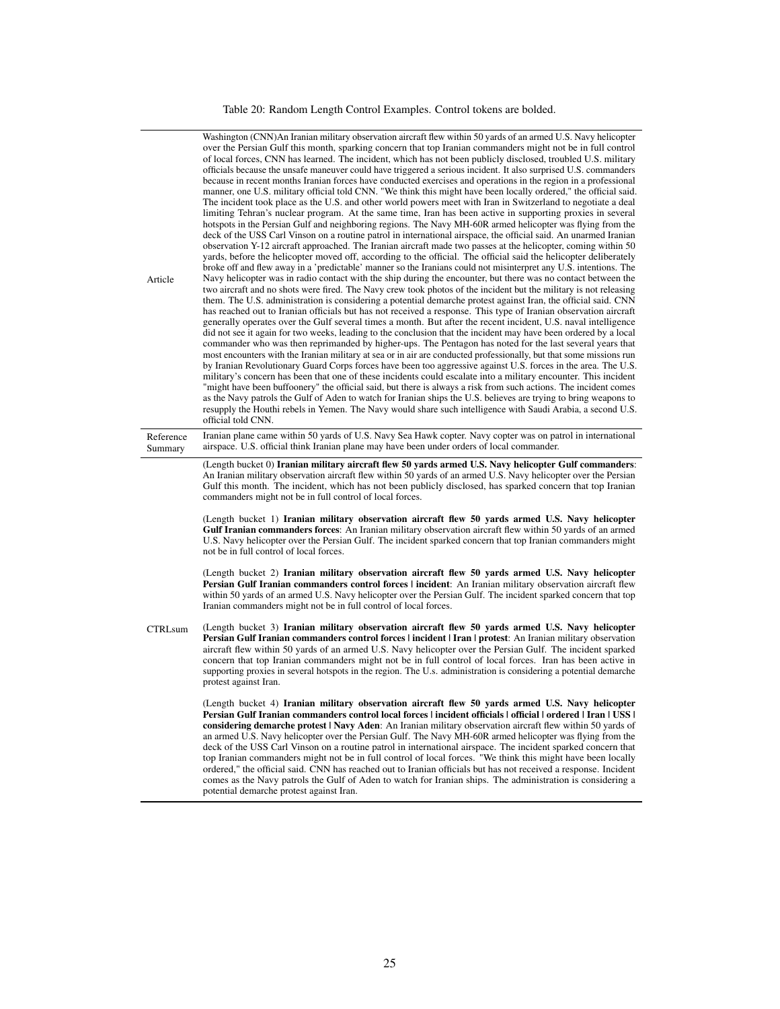Table 20: Random Length Control Examples. Control tokens are bolded.

| Article              | Washington (CNN) An Iranian military observation aircraft flew within 50 yards of an armed U.S. Navy helicopter<br>over the Persian Gulf this month, sparking concern that top Iranian commanders might not be in full control<br>of local forces, CNN has learned. The incident, which has not been publicly disclosed, troubled U.S. military<br>officials because the unsafe maneuver could have triggered a serious incident. It also surprised U.S. commanders<br>because in recent months Iranian forces have conducted exercises and operations in the region in a professional<br>manner, one U.S. military official told CNN. "We think this might have been locally ordered," the official said.<br>The incident took place as the U.S. and other world powers meet with Iran in Switzerland to negotiate a deal<br>limiting Tehran's nuclear program. At the same time, Iran has been active in supporting proxies in several<br>hotspots in the Persian Gulf and neighboring regions. The Navy MH-60R armed helicopter was flying from the<br>deck of the USS Carl Vinson on a routine patrol in international airspace, the official said. An unarmed Iranian<br>observation Y-12 aircraft approached. The Iranian aircraft made two passes at the helicopter, coming within 50<br>yards, before the helicopter moved off, according to the official. The official said the helicopter deliberately<br>broke off and flew away in a 'predictable' manner so the Iranians could not misinterpret any U.S. intentions. The<br>Navy helicopter was in radio contact with the ship during the encounter, but there was no contact between the<br>two aircraft and no shots were fired. The Navy crew took photos of the incident but the military is not releasing<br>them. The U.S. administration is considering a potential demarche protest against Iran, the official said. CNN<br>has reached out to Iranian officials but has not received a response. This type of Iranian observation aircraft<br>generally operates over the Gulf several times a month. But after the recent incident, U.S. naval intelligence<br>did not see it again for two weeks, leading to the conclusion that the incident may have been ordered by a local<br>commander who was then reprimanded by higher-ups. The Pentagon has noted for the last several years that<br>most encounters with the Iranian military at sea or in air are conducted professionally, but that some missions run<br>by Iranian Revolutionary Guard Corps forces have been too aggressive against U.S. forces in the area. The U.S.<br>military's concern has been that one of these incidents could escalate into a military encounter. This incident<br>"might have been buffoonery" the official said, but there is always a risk from such actions. The incident comes<br>as the Navy patrols the Gulf of Aden to watch for Iranian ships the U.S. believes are trying to bring weapons to<br>resupply the Houthi rebels in Yemen. The Navy would share such intelligence with Saudi Arabia, a second U.S.<br>official told CNN. |
|----------------------|--------------------------------------------------------------------------------------------------------------------------------------------------------------------------------------------------------------------------------------------------------------------------------------------------------------------------------------------------------------------------------------------------------------------------------------------------------------------------------------------------------------------------------------------------------------------------------------------------------------------------------------------------------------------------------------------------------------------------------------------------------------------------------------------------------------------------------------------------------------------------------------------------------------------------------------------------------------------------------------------------------------------------------------------------------------------------------------------------------------------------------------------------------------------------------------------------------------------------------------------------------------------------------------------------------------------------------------------------------------------------------------------------------------------------------------------------------------------------------------------------------------------------------------------------------------------------------------------------------------------------------------------------------------------------------------------------------------------------------------------------------------------------------------------------------------------------------------------------------------------------------------------------------------------------------------------------------------------------------------------------------------------------------------------------------------------------------------------------------------------------------------------------------------------------------------------------------------------------------------------------------------------------------------------------------------------------------------------------------------------------------------------------------------------------------------------------------------------------------------------------------------------------------------------------------------------------------------------------------------------------------------------------------------------------------------------------------------------------------------------------------------------------------------------------------------------------------------------------------------------------------------------------------------------------------------------------------------------------------------------------------------------------------------------------------------------------------------------------------------|
| Reference<br>Summary | Iranian plane came within 50 yards of U.S. Navy Sea Hawk copter. Navy copter was on patrol in international<br>airspace. U.S. official think Iranian plane may have been under orders of local commander.                                                                                                                                                                                                                                                                                                                                                                                                                                                                                                                                                                                                                                                                                                                                                                                                                                                                                                                                                                                                                                                                                                                                                                                                                                                                                                                                                                                                                                                                                                                                                                                                                                                                                                                                                                                                                                                                                                                                                                                                                                                                                                                                                                                                                                                                                                                                                                                                                                                                                                                                                                                                                                                                                                                                                                                                                                                                                                    |
| <b>CTRLsum</b>       | (Length bucket 0) Iranian military aircraft flew 50 yards armed U.S. Navy helicopter Gulf commanders:<br>An Iranian military observation aircraft flew within 50 yards of an armed U.S. Navy helicopter over the Persian<br>Gulf this month. The incident, which has not been publicly disclosed, has sparked concern that top Iranian<br>commanders might not be in full control of local forces.                                                                                                                                                                                                                                                                                                                                                                                                                                                                                                                                                                                                                                                                                                                                                                                                                                                                                                                                                                                                                                                                                                                                                                                                                                                                                                                                                                                                                                                                                                                                                                                                                                                                                                                                                                                                                                                                                                                                                                                                                                                                                                                                                                                                                                                                                                                                                                                                                                                                                                                                                                                                                                                                                                           |
|                      | (Length bucket 1) Iranian military observation aircraft flew 50 yards armed U.S. Navy helicopter<br><b>Gulf Iranian commanders forces:</b> An Iranian military observation aircraft flew within 50 yards of an armed<br>U.S. Navy helicopter over the Persian Gulf. The incident sparked concern that top Iranian commanders might<br>not be in full control of local forces.                                                                                                                                                                                                                                                                                                                                                                                                                                                                                                                                                                                                                                                                                                                                                                                                                                                                                                                                                                                                                                                                                                                                                                                                                                                                                                                                                                                                                                                                                                                                                                                                                                                                                                                                                                                                                                                                                                                                                                                                                                                                                                                                                                                                                                                                                                                                                                                                                                                                                                                                                                                                                                                                                                                                |
|                      | (Length bucket 2) Iranian military observation aircraft flew 50 yards armed U.S. Navy helicopter<br>Persian Gulf Iranian commanders control forces   incident: An Iranian military observation aircraft flew<br>within 50 yards of an armed U.S. Navy helicopter over the Persian Gulf. The incident sparked concern that top<br>Iranian commanders might not be in full control of local forces.                                                                                                                                                                                                                                                                                                                                                                                                                                                                                                                                                                                                                                                                                                                                                                                                                                                                                                                                                                                                                                                                                                                                                                                                                                                                                                                                                                                                                                                                                                                                                                                                                                                                                                                                                                                                                                                                                                                                                                                                                                                                                                                                                                                                                                                                                                                                                                                                                                                                                                                                                                                                                                                                                                            |
|                      | (Length bucket 3) Iranian military observation aircraft flew 50 yards armed U.S. Navy helicopter<br>Persian Gulf Iranian commanders control forces   incident   Iran   protest: An Iranian military observation<br>aircraft flew within 50 yards of an armed U.S. Navy helicopter over the Persian Gulf. The incident sparked<br>concern that top Iranian commanders might not be in full control of local forces. Iran has been active in<br>supporting proxies in several hotspots in the region. The U.s. administration is considering a potential demarche<br>protest against Iran.                                                                                                                                                                                                                                                                                                                                                                                                                                                                                                                                                                                                                                                                                                                                                                                                                                                                                                                                                                                                                                                                                                                                                                                                                                                                                                                                                                                                                                                                                                                                                                                                                                                                                                                                                                                                                                                                                                                                                                                                                                                                                                                                                                                                                                                                                                                                                                                                                                                                                                                     |
|                      | (Length bucket 4) Iranian military observation aircraft flew 50 yards armed U.S. Navy helicopter<br>Persian Gulf Iranian commanders control local forces   incident officials   official   ordered   Iran   USS  <br>considering demarche protest   Navy Aden: An Iranian military observation aircraft flew within 50 yards of<br>an armed U.S. Navy helicopter over the Persian Gulf. The Navy MH-60R armed helicopter was flying from the<br>deck of the USS Carl Vinson on a routine patrol in international airspace. The incident sparked concern that<br>top Iranian commanders might not be in full control of local forces. "We think this might have been locally<br>ordered," the official said. CNN has reached out to Iranian officials but has not received a response. Incident<br>comes as the Navy patrols the Gulf of Aden to watch for Iranian ships. The administration is considering a<br>potential demarche protest against Iran.                                                                                                                                                                                                                                                                                                                                                                                                                                                                                                                                                                                                                                                                                                                                                                                                                                                                                                                                                                                                                                                                                                                                                                                                                                                                                                                                                                                                                                                                                                                                                                                                                                                                                                                                                                                                                                                                                                                                                                                                                                                                                                                                                     |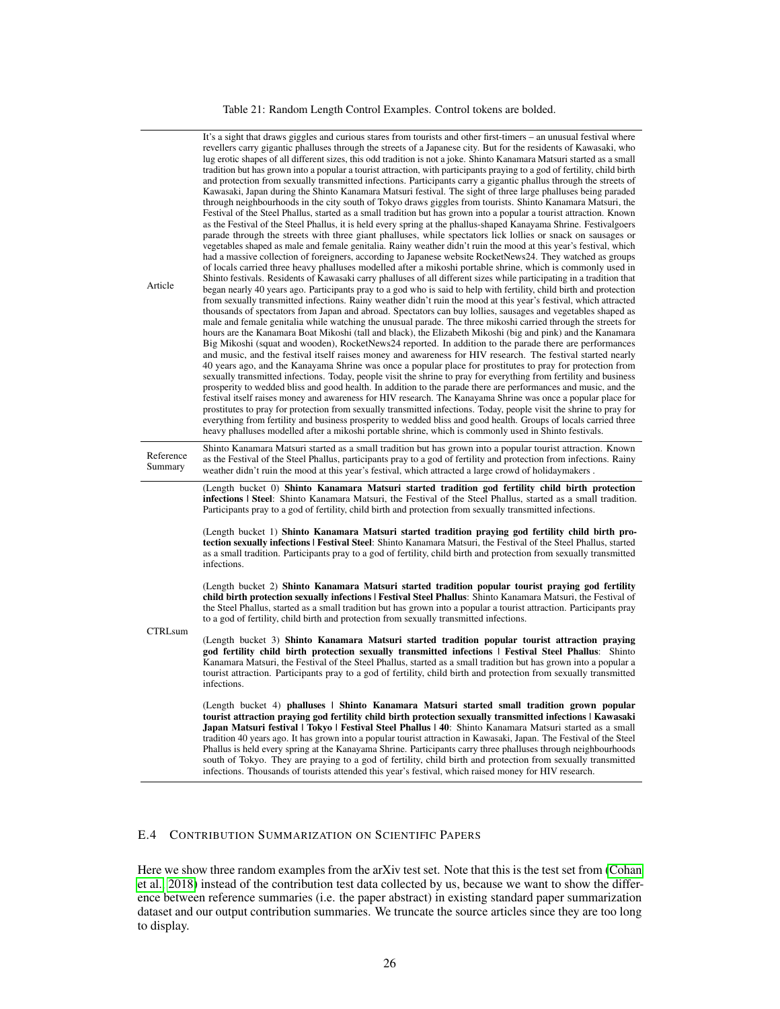#### Table 21: Random Length Control Examples. Control tokens are bolded.

| Article              | It's a sight that draws giggles and curious stares from tourists and other first-timers – an unusual festival where<br>revellers carry gigantic phalluses through the streets of a Japanese city. But for the residents of Kawasaki, who<br>lug erotic shapes of all different sizes, this odd tradition is not a joke. Shinto Kanamara Matsuri started as a small<br>tradition but has grown into a popular a tourist attraction, with participants praying to a god of fertility, child birth<br>and protection from sexually transmitted infections. Participants carry a gigantic phallus through the streets of<br>Kawasaki, Japan during the Shinto Kanamara Matsuri festival. The sight of three large phalluses being paraded<br>through neighbourhoods in the city south of Tokyo draws giggles from tourists. Shinto Kanamara Matsuri, the<br>Festival of the Steel Phallus, started as a small tradition but has grown into a popular a tourist attraction. Known<br>as the Festival of the Steel Phallus, it is held every spring at the phallus-shaped Kanayama Shrine. Festivalgoers<br>parade through the streets with three giant phalluses, while spectators lick lollies or snack on sausages or<br>vegetables shaped as male and female genitalia. Rainy weather didn't ruin the mood at this year's festival, which<br>had a massive collection of foreigners, according to Japanese website RocketNews24. They watched as groups<br>of locals carried three heavy phalluses modelled after a mikoshi portable shrine, which is commonly used in<br>Shinto festivals. Residents of Kawasaki carry phalluses of all different sizes while participating in a tradition that<br>began nearly 40 years ago. Participants pray to a god who is said to help with fertility, child birth and protection<br>from sexually transmitted infections. Rainy weather didn't ruin the mood at this year's festival, which attracted<br>thousands of spectators from Japan and abroad. Spectators can buy lollies, sausages and vegetables shaped as<br>male and female genitalia while watching the unusual parade. The three mikoshi carried through the streets for<br>hours are the Kanamara Boat Mikoshi (tall and black), the Elizabeth Mikoshi (big and pink) and the Kanamara<br>Big Mikoshi (squat and wooden), RocketNews24 reported. In addition to the parade there are performances<br>and music, and the festival itself raises money and awareness for HIV research. The festival started nearly<br>40 years ago, and the Kanayama Shrine was once a popular place for prostitutes to pray for protection from<br>sexually transmitted infections. Today, people visit the shrine to pray for everything from fertility and business<br>prosperity to wedded bliss and good health. In addition to the parade there are performances and music, and the<br>festival itself raises money and awareness for HIV research. The Kanayama Shrine was once a popular place for<br>prostitutes to pray for protection from sexually transmitted infections. Today, people visit the shrine to pray for<br>everything from fertility and business prosperity to wedded bliss and good health. Groups of locals carried three<br>heavy phalluses modelled after a mikoshi portable shrine, which is commonly used in Shinto festivals. |
|----------------------|-----------------------------------------------------------------------------------------------------------------------------------------------------------------------------------------------------------------------------------------------------------------------------------------------------------------------------------------------------------------------------------------------------------------------------------------------------------------------------------------------------------------------------------------------------------------------------------------------------------------------------------------------------------------------------------------------------------------------------------------------------------------------------------------------------------------------------------------------------------------------------------------------------------------------------------------------------------------------------------------------------------------------------------------------------------------------------------------------------------------------------------------------------------------------------------------------------------------------------------------------------------------------------------------------------------------------------------------------------------------------------------------------------------------------------------------------------------------------------------------------------------------------------------------------------------------------------------------------------------------------------------------------------------------------------------------------------------------------------------------------------------------------------------------------------------------------------------------------------------------------------------------------------------------------------------------------------------------------------------------------------------------------------------------------------------------------------------------------------------------------------------------------------------------------------------------------------------------------------------------------------------------------------------------------------------------------------------------------------------------------------------------------------------------------------------------------------------------------------------------------------------------------------------------------------------------------------------------------------------------------------------------------------------------------------------------------------------------------------------------------------------------------------------------------------------------------------------------------------------------------------------------------------------------------------------------------------------------------------------------------------------------------------------------------------------------------------------------------------------------------------------------------------------------------------------------------------------------------------------------------------------------------------------------------------------------------------------------------------|
| Reference<br>Summary | Shinto Kanamara Matsuri started as a small tradition but has grown into a popular tourist attraction. Known<br>as the Festival of the Steel Phallus, participants pray to a god of fertility and protection from infections. Rainy<br>weather didn't ruin the mood at this year's festival, which attracted a large crowd of holidaymakers.                                                                                                                                                                                                                                                                                                                                                                                                                                                                                                                                                                                                                                                                                                                                                                                                                                                                                                                                                                                                                                                                                                                                                                                                                                                                                                                                                                                                                                                                                                                                                                                                                                                                                                                                                                                                                                                                                                                                                                                                                                                                                                                                                                                                                                                                                                                                                                                                                                                                                                                                                                                                                                                                                                                                                                                                                                                                                                                                                                                                         |
|                      | (Length bucket 0) Shinto Kanamara Matsuri started tradition god fertility child birth protection<br><b>infections</b>   Steel: Shinto Kanamara Matsuri, the Festival of the Steel Phallus, started as a small tradition.<br>Participants pray to a god of fertility, child birth and protection from sexually transmitted infections.                                                                                                                                                                                                                                                                                                                                                                                                                                                                                                                                                                                                                                                                                                                                                                                                                                                                                                                                                                                                                                                                                                                                                                                                                                                                                                                                                                                                                                                                                                                                                                                                                                                                                                                                                                                                                                                                                                                                                                                                                                                                                                                                                                                                                                                                                                                                                                                                                                                                                                                                                                                                                                                                                                                                                                                                                                                                                                                                                                                                               |
| <b>CTRLsum</b>       | (Length bucket 1) Shinto Kanamara Matsuri started tradition praying god fertility child birth pro-<br>tection sexually infections   Festival Steel: Shinto Kanamara Matsuri, the Festival of the Steel Phallus, started<br>as a small tradition. Participants pray to a god of fertility, child birth and protection from sexually transmitted<br>infections.                                                                                                                                                                                                                                                                                                                                                                                                                                                                                                                                                                                                                                                                                                                                                                                                                                                                                                                                                                                                                                                                                                                                                                                                                                                                                                                                                                                                                                                                                                                                                                                                                                                                                                                                                                                                                                                                                                                                                                                                                                                                                                                                                                                                                                                                                                                                                                                                                                                                                                                                                                                                                                                                                                                                                                                                                                                                                                                                                                                       |
|                      | (Length bucket 2) Shinto Kanamara Matsuri started tradition popular tourist praying god fertility<br>child birth protection sexually infections   Festival Steel Phallus: Shinto Kanamara Matsuri, the Festival of<br>the Steel Phallus, started as a small tradition but has grown into a popular a tourist attraction. Participants pray<br>to a god of fertility, child birth and protection from sexually transmitted infections.                                                                                                                                                                                                                                                                                                                                                                                                                                                                                                                                                                                                                                                                                                                                                                                                                                                                                                                                                                                                                                                                                                                                                                                                                                                                                                                                                                                                                                                                                                                                                                                                                                                                                                                                                                                                                                                                                                                                                                                                                                                                                                                                                                                                                                                                                                                                                                                                                                                                                                                                                                                                                                                                                                                                                                                                                                                                                                               |
|                      | (Length bucket 3) Shinto Kanamara Matsuri started tradition popular tourist attraction praying<br>god fertility child birth protection sexually transmitted infections   Festival Steel Phallus: Shinto<br>Kanamara Matsuri, the Festival of the Steel Phallus, started as a small tradition but has grown into a popular a<br>tourist attraction. Participants pray to a god of fertility, child birth and protection from sexually transmitted<br>infections.                                                                                                                                                                                                                                                                                                                                                                                                                                                                                                                                                                                                                                                                                                                                                                                                                                                                                                                                                                                                                                                                                                                                                                                                                                                                                                                                                                                                                                                                                                                                                                                                                                                                                                                                                                                                                                                                                                                                                                                                                                                                                                                                                                                                                                                                                                                                                                                                                                                                                                                                                                                                                                                                                                                                                                                                                                                                                     |
|                      | (Length bucket 4) phalluses   Shinto Kanamara Matsuri started small tradition grown popular<br>tourist attraction praying god fertility child birth protection sexually transmitted infections   Kawasaki<br>Japan Matsuri festival   Tokyo   Festival Steel Phallus   40: Shinto Kanamara Matsuri started as a small<br>tradition 40 years ago. It has grown into a popular tourist attraction in Kawasaki, Japan. The Festival of the Steel<br>Phallus is held every spring at the Kanayama Shrine. Participants carry three phalluses through neighbourhoods<br>south of Tokyo. They are praying to a god of fertility, child birth and protection from sexually transmitted<br>infections. Thousands of tourists attended this year's festival, which raised money for HIV research.                                                                                                                                                                                                                                                                                                                                                                                                                                                                                                                                                                                                                                                                                                                                                                                                                                                                                                                                                                                                                                                                                                                                                                                                                                                                                                                                                                                                                                                                                                                                                                                                                                                                                                                                                                                                                                                                                                                                                                                                                                                                                                                                                                                                                                                                                                                                                                                                                                                                                                                                                            |

# E.4 CONTRIBUTION SUMMARIZATION ON SCIENTIFIC PAPERS

Here we show three random examples from the arXiv test set. Note that this is the test set from [\(Cohan](#page-9-2) [et al., 2018\)](#page-9-2) instead of the contribution test data collected by us, because we want to show the difference between reference summaries (i.e. the paper abstract) in existing standard paper summarization dataset and our output contribution summaries. We truncate the source articles since they are too long to display.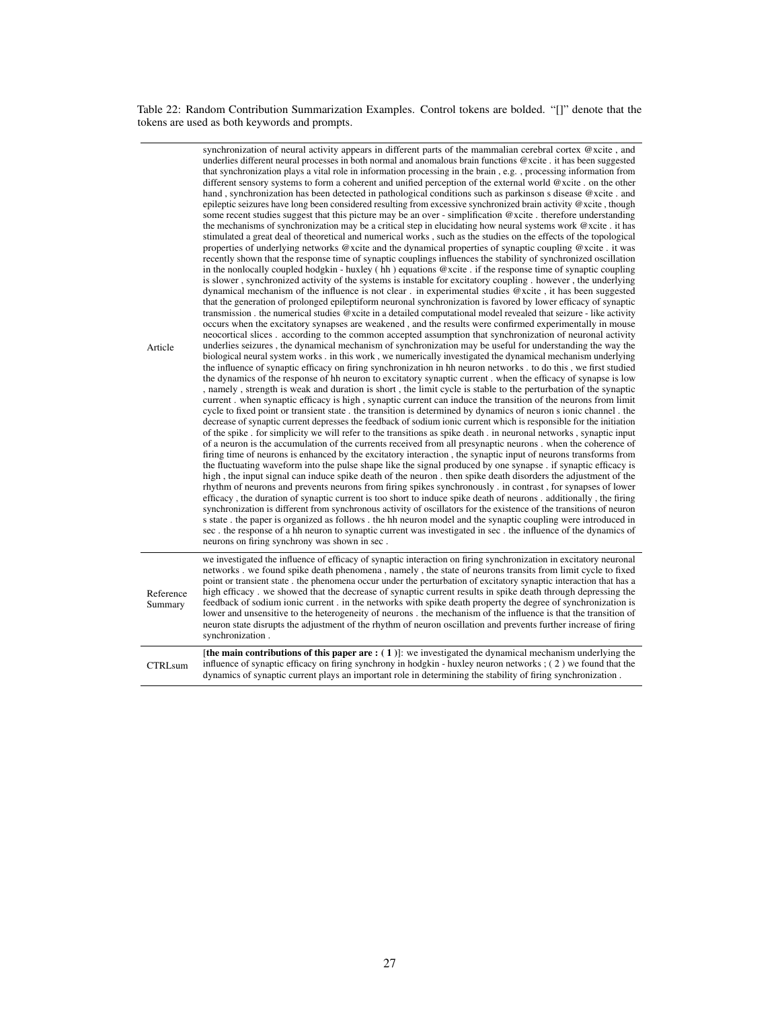Table 22: Random Contribution Summarization Examples. Control tokens are bolded. "[]" denote that the tokens are used as both keywords and prompts.

| Article              | synchronization of neural activity appears in different parts of the mammalian cerebral cortex @xcite, and<br>underlies different neural processes in both normal and anomalous brain functions @xcite. it has been suggested<br>that synchronization plays a vital role in information processing in the brain, e.g., processing information from<br>different sensory systems to form a coherent and unified perception of the external world @xcite. on the other<br>hand, synchronization has been detected in pathological conditions such as parkinson s disease @xcite. and<br>epileptic seizures have long been considered resulting from excessive synchronized brain activity @xcite, though<br>some recent studies suggest that this picture may be an over - simplification @xcite. therefore understanding<br>the mechanisms of synchronization may be a critical step in elucidating how neural systems work $@$ xcite, it has<br>stimulated a great deal of theoretical and numerical works, such as the studies on the effects of the topological<br>properties of underlying networks @xcite and the dynamical properties of synaptic coupling @xcite. it was<br>recently shown that the response time of synaptic couplings influences the stability of synchronized oscillation<br>in the nonlocally coupled hodgkin - huxley $(hh)$ equations @xcite. if the response time of synaptic coupling<br>is slower, synchronized activity of the systems is instable for excitatory coupling. however, the underlying<br>dynamical mechanism of the influence is not clear. in experimental studies $@$ xcite, it has been suggested<br>that the generation of prolonged epileptiform neuronal synchronization is favored by lower efficacy of synaptic<br>transmission. the numerical studies @xcite in a detailed computational model revealed that seizure - like activity<br>occurs when the excitatory synapses are weakened, and the results were confirmed experimentally in mouse<br>neocortical slices. according to the common accepted assumption that synchronization of neuronal activity<br>underlies seizures, the dynamical mechanism of synchronization may be useful for understanding the way the<br>biological neural system works in this work, we numerically investigated the dynamical mechanism underlying<br>the influence of synaptic efficacy on firing synchronization in hh neuron networks. to do this, we first studied<br>the dynamics of the response of hh neuron to excitatory synaptic current, when the efficacy of synapse is low<br>, namely, strength is weak and duration is short, the limit cycle is stable to the perturbation of the synaptic<br>current. when synaptic efficacy is high, synaptic current can induce the transition of the neurons from limit<br>cycle to fixed point or transient state. the transition is determined by dynamics of neuron s ionic channel. the<br>decrease of synaptic current depresses the feedback of sodium ionic current which is responsible for the initiation<br>of the spike. For simplicity we will refer to the transitions as spike death. in neuronal networks, synaptic input<br>of a neuron is the accumulation of the currents received from all presynaptic neurons, when the coherence of<br>firing time of neurons is enhanced by the excitatory interaction, the synaptic input of neurons transforms from<br>the fluctuating waveform into the pulse shape like the signal produced by one synapse. if synaptic efficacy is<br>high, the input signal can induce spike death of the neuron. then spike death disorders the adjustment of the<br>rhythm of neurons and prevents neurons from firing spikes synchronously . in contrast, for synapses of lower<br>efficacy, the duration of synaptic current is too short to induce spike death of neurons. additionally, the firing<br>synchronization is different from synchronous activity of oscillators for the existence of the transitions of neuron<br>s state. the paper is organized as follows the hh neuron model and the synaptic coupling were introduced in<br>sec. the response of a hh neuron to synaptic current was investigated in sec. the influence of the dynamics of<br>neurons on firing synchrony was shown in sec. |
|----------------------|-------------------------------------------------------------------------------------------------------------------------------------------------------------------------------------------------------------------------------------------------------------------------------------------------------------------------------------------------------------------------------------------------------------------------------------------------------------------------------------------------------------------------------------------------------------------------------------------------------------------------------------------------------------------------------------------------------------------------------------------------------------------------------------------------------------------------------------------------------------------------------------------------------------------------------------------------------------------------------------------------------------------------------------------------------------------------------------------------------------------------------------------------------------------------------------------------------------------------------------------------------------------------------------------------------------------------------------------------------------------------------------------------------------------------------------------------------------------------------------------------------------------------------------------------------------------------------------------------------------------------------------------------------------------------------------------------------------------------------------------------------------------------------------------------------------------------------------------------------------------------------------------------------------------------------------------------------------------------------------------------------------------------------------------------------------------------------------------------------------------------------------------------------------------------------------------------------------------------------------------------------------------------------------------------------------------------------------------------------------------------------------------------------------------------------------------------------------------------------------------------------------------------------------------------------------------------------------------------------------------------------------------------------------------------------------------------------------------------------------------------------------------------------------------------------------------------------------------------------------------------------------------------------------------------------------------------------------------------------------------------------------------------------------------------------------------------------------------------------------------------------------------------------------------------------------------------------------------------------------------------------------------------------------------------------------------------------------------------------------------------------------------------------------------------------------------------------------------------------------------------------------------------------------------------------------------------------------------------------------------------------------------------------------------------------------------------------------------------------------------------------------------------------------------------------------------------------------------------------------------------------------------------------------------------------------------------------------------------------------------------------------------------------------------------------------------------------------------------------------------------------------------------------------------------------------------------------------------------------------------------------------------------------------------------------------------|
| Reference<br>Summary | we investigated the influence of efficacy of synaptic interaction on firing synchronization in excitatory neuronal<br>networks. we found spike death phenomena, namely, the state of neurons transits from limit cycle to fixed<br>point or transient state. the phenomena occur under the perturbation of excitatory synaptic interaction that has a<br>high efficacy, we showed that the decrease of synaptic current results in spike death through depressing the<br>feedback of sodium ionic current. in the networks with spike death property the degree of synchronization is<br>lower and unsensitive to the heterogeneity of neurons. the mechanism of the influence is that the transition of<br>neuron state disrupts the adjustment of the rhythm of neuron oscillation and prevents further increase of firing<br>synchronization.                                                                                                                                                                                                                                                                                                                                                                                                                                                                                                                                                                                                                                                                                                                                                                                                                                                                                                                                                                                                                                                                                                                                                                                                                                                                                                                                                                                                                                                                                                                                                                                                                                                                                                                                                                                                                                                                                                                                                                                                                                                                                                                                                                                                                                                                                                                                                                                                                                                                                                                                                                                                                                                                                                                                                                                                                                                                                                                                                                                                                                                                                                                                                                                                                                                                                                                                                                                                                                                                  |
| <b>CTRLsum</b>       | [the main contributions of this paper are $: (1)$ ]: we investigated the dynamical mechanism underlying the<br>influence of synaptic efficacy on firing synchrony in hodgkin - huxley neuron networks; $(2)$ we found that the<br>dynamics of synaptic current plays an important role in determining the stability of firing synchronization.                                                                                                                                                                                                                                                                                                                                                                                                                                                                                                                                                                                                                                                                                                                                                                                                                                                                                                                                                                                                                                                                                                                                                                                                                                                                                                                                                                                                                                                                                                                                                                                                                                                                                                                                                                                                                                                                                                                                                                                                                                                                                                                                                                                                                                                                                                                                                                                                                                                                                                                                                                                                                                                                                                                                                                                                                                                                                                                                                                                                                                                                                                                                                                                                                                                                                                                                                                                                                                                                                                                                                                                                                                                                                                                                                                                                                                                                                                                                                                    |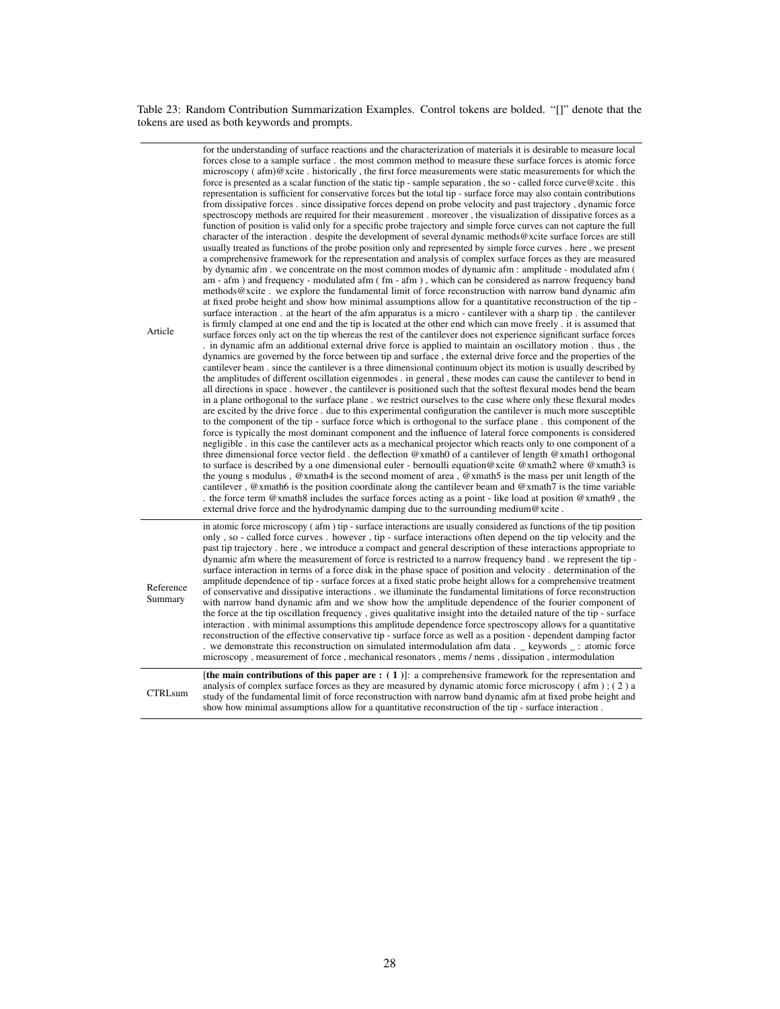Table 23: Random Contribution Summarization Examples. Control tokens are bolded. "[]" denote that the tokens are used as both keywords and prompts.

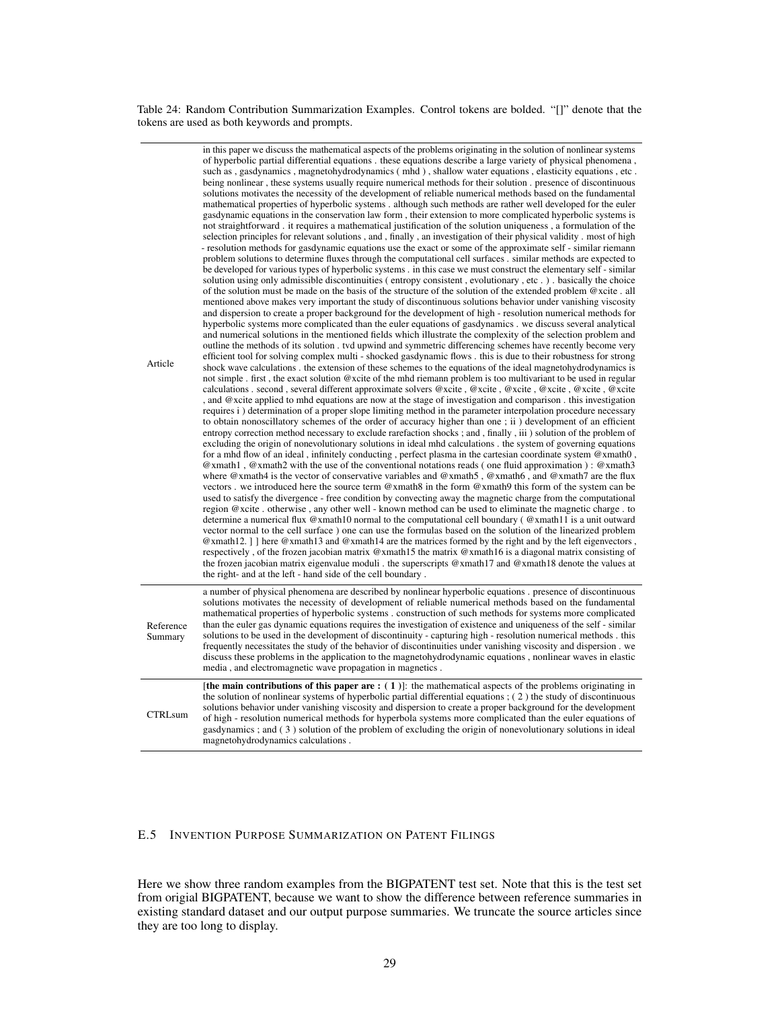Table 24: Random Contribution Summarization Examples. Control tokens are bolded. "[]" denote that the tokens are used as both keywords and prompts.

| Article              | in this paper we discuss the mathematical aspects of the problems originating in the solution of nonlinear systems<br>of hyperbolic partial differential equations these equations describe a large variety of physical phenomena,<br>such as , gasdynamics , magnetohydrodynamics (mhd), shallow water equations, elasticity equations, etc.<br>being nonlinear, these systems usually require numerical methods for their solution. presence of discontinuous<br>solutions motivates the necessity of the development of reliable numerical methods based on the fundamental<br>mathematical properties of hyperbolic systems. although such methods are rather well developed for the euler<br>gasdynamic equations in the conservation law form, their extension to more complicated hyperbolic systems is<br>not straightforward. it requires a mathematical justification of the solution uniqueness, a formulation of the<br>selection principles for relevant solutions, and, finally, an investigation of their physical validity. most of high<br>- resolution methods for gasdynamic equations use the exact or some of the approximate self - similar riemann<br>problem solutions to determine fluxes through the computational cell surfaces. similar methods are expected to<br>be developed for various types of hyperbolic systems. in this case we must construct the elementary self - similar<br>solution using only admissible discontinuities (entropy consistent, evolutionary, etc.). basically the choice<br>of the solution must be made on the basis of the structure of the solution of the extended problem @xcite. all<br>mentioned above makes very important the study of discontinuous solutions behavior under vanishing viscosity<br>and dispersion to create a proper background for the development of high - resolution numerical methods for<br>hyperbolic systems more complicated than the euler equations of gasdynamics . we discuss several analytical<br>and numerical solutions in the mentioned fields which illustrate the complexity of the selection problem and<br>outline the methods of its solution. tvd upwind and symmetric differencing schemes have recently become very<br>efficient tool for solving complex multi - shocked gasdynamic flows. this is due to their robustness for strong<br>shock wave calculations. the extension of these schemes to the equations of the ideal magnetohydrodynamics is<br>not simple. first, the exact solution @xcite of the mhd riemann problem is too multivariant to be used in regular<br>calculations . second, several different approximate solvers @xcite, @xcite, @xcite, @xcite, @xcite, @xcite<br>, and @xcite applied to mhd equations are now at the stage of investigation and comparison. this investigation<br>requires i) determination of a proper slope limiting method in the parameter interpolation procedure necessary<br>to obtain nonoscillatory schemes of the order of accuracy higher than one; ii) development of an efficient<br>entropy correction method necessary to exclude rarefaction shocks; and, finally, iii) solution of the problem of<br>excluding the origin of nonevolutionary solutions in ideal mhd calculations. the system of governing equations<br>for a mhd flow of an ideal, infinitely conducting, perfect plasma in the cartesian coordinate system @xmath0,<br>$@xmath1$ , $@xmath2$ with the use of the conventional notations reads (one fluid approximation): $@xmath3$<br>where @xmath4 is the vector of conservative variables and @xmath5, @xmath6, and @xmath7 are the flux<br>vectors , we introduced here the source term @xmath8 in the form @xmath9 this form of the system can be<br>used to satisfy the divergence - free condition by convecting away the magnetic charge from the computational<br>region @xcite. otherwise, any other well - known method can be used to eliminate the magnetic charge. to<br>determine a numerical flux @xmath10 normal to the computational cell boundary ( $@x$ math11 is a unit outward<br>vector normal to the cell surface) one can use the formulas based on the solution of the linearized problem<br>@xmath12. ] here @xmath13 and @xmath14 are the matrices formed by the right and by the left eigenvectors,<br>respectively, of the frozen jacobian matrix @xmath15 the matrix @xmath16 is a diagonal matrix consisting of<br>the frozen jacobian matrix eigenvalue moduli . the superscripts $@x$ math 17 and $@x$ math 18 denote the values at<br>the right- and at the left - hand side of the cell boundary. |
|----------------------|--------------------------------------------------------------------------------------------------------------------------------------------------------------------------------------------------------------------------------------------------------------------------------------------------------------------------------------------------------------------------------------------------------------------------------------------------------------------------------------------------------------------------------------------------------------------------------------------------------------------------------------------------------------------------------------------------------------------------------------------------------------------------------------------------------------------------------------------------------------------------------------------------------------------------------------------------------------------------------------------------------------------------------------------------------------------------------------------------------------------------------------------------------------------------------------------------------------------------------------------------------------------------------------------------------------------------------------------------------------------------------------------------------------------------------------------------------------------------------------------------------------------------------------------------------------------------------------------------------------------------------------------------------------------------------------------------------------------------------------------------------------------------------------------------------------------------------------------------------------------------------------------------------------------------------------------------------------------------------------------------------------------------------------------------------------------------------------------------------------------------------------------------------------------------------------------------------------------------------------------------------------------------------------------------------------------------------------------------------------------------------------------------------------------------------------------------------------------------------------------------------------------------------------------------------------------------------------------------------------------------------------------------------------------------------------------------------------------------------------------------------------------------------------------------------------------------------------------------------------------------------------------------------------------------------------------------------------------------------------------------------------------------------------------------------------------------------------------------------------------------------------------------------------------------------------------------------------------------------------------------------------------------------------------------------------------------------------------------------------------------------------------------------------------------------------------------------------------------------------------------------------------------------------------------------------------------------------------------------------------------------------------------------------------------------------------------------------------------------------------------------------------------------------------------------------------------------------------------------------------------------------------------------------------------------------------------------------------------------------------------------------------------------------------------------------------------------------------------------------------------------------------------------------------------------------------------------------------------------------------------------------------------------------------------------------------------------------------------------------------------------------------------------------------------------------------------------------------------------------------------------------------------------------------------------------------------------------------------------------------------------------|
| Reference<br>Summary | a number of physical phenomena are described by nonlinear hyperbolic equations . presence of discontinuous<br>solutions motivates the necessity of development of reliable numerical methods based on the fundamental<br>mathematical properties of hyperbolic systems. construction of such methods for systems more complicated<br>than the euler gas dynamic equations requires the investigation of existence and uniqueness of the self - similar<br>solutions to be used in the development of discontinuity - capturing high - resolution numerical methods. this<br>frequently necessitates the study of the behavior of discontinuities under vanishing viscosity and dispersion. we<br>discuss these problems in the application to the magnetohydrodynamic equations, nonlinear waves in elastic<br>media, and electromagnetic wave propagation in magnetics.                                                                                                                                                                                                                                                                                                                                                                                                                                                                                                                                                                                                                                                                                                                                                                                                                                                                                                                                                                                                                                                                                                                                                                                                                                                                                                                                                                                                                                                                                                                                                                                                                                                                                                                                                                                                                                                                                                                                                                                                                                                                                                                                                                                                                                                                                                                                                                                                                                                                                                                                                                                                                                                                                                                                                                                                                                                                                                                                                                                                                                                                                                                                                                                                                                                                                                                                                                                                                                                                                                                                                                                                                                                                                                                                                             |
| <b>CTRLsum</b>       | [the main contributions of this paper are $: (1)$ ]: the mathematical aspects of the problems originating in<br>the solution of nonlinear systems of hyperbolic partial differential equations; $(2)$ the study of discontinuous<br>solutions behavior under vanishing viscosity and dispersion to create a proper background for the development<br>of high - resolution numerical methods for hyperbola systems more complicated than the euler equations of<br>gasdynamics; and (3) solution of the problem of excluding the origin of nonevolutionary solutions in ideal<br>magnetohydrodynamics calculations.                                                                                                                                                                                                                                                                                                                                                                                                                                                                                                                                                                                                                                                                                                                                                                                                                                                                                                                                                                                                                                                                                                                                                                                                                                                                                                                                                                                                                                                                                                                                                                                                                                                                                                                                                                                                                                                                                                                                                                                                                                                                                                                                                                                                                                                                                                                                                                                                                                                                                                                                                                                                                                                                                                                                                                                                                                                                                                                                                                                                                                                                                                                                                                                                                                                                                                                                                                                                                                                                                                                                                                                                                                                                                                                                                                                                                                                                                                                                                                                                                   |

# E.5 INVENTION PURPOSE SUMMARIZATION ON PATENT FILINGS

Here we show three random examples from the BIGPATENT test set. Note that this is the test set from origial BIGPATENT, because we want to show the difference between reference summaries in existing standard dataset and our output purpose summaries. We truncate the source articles since they are too long to display.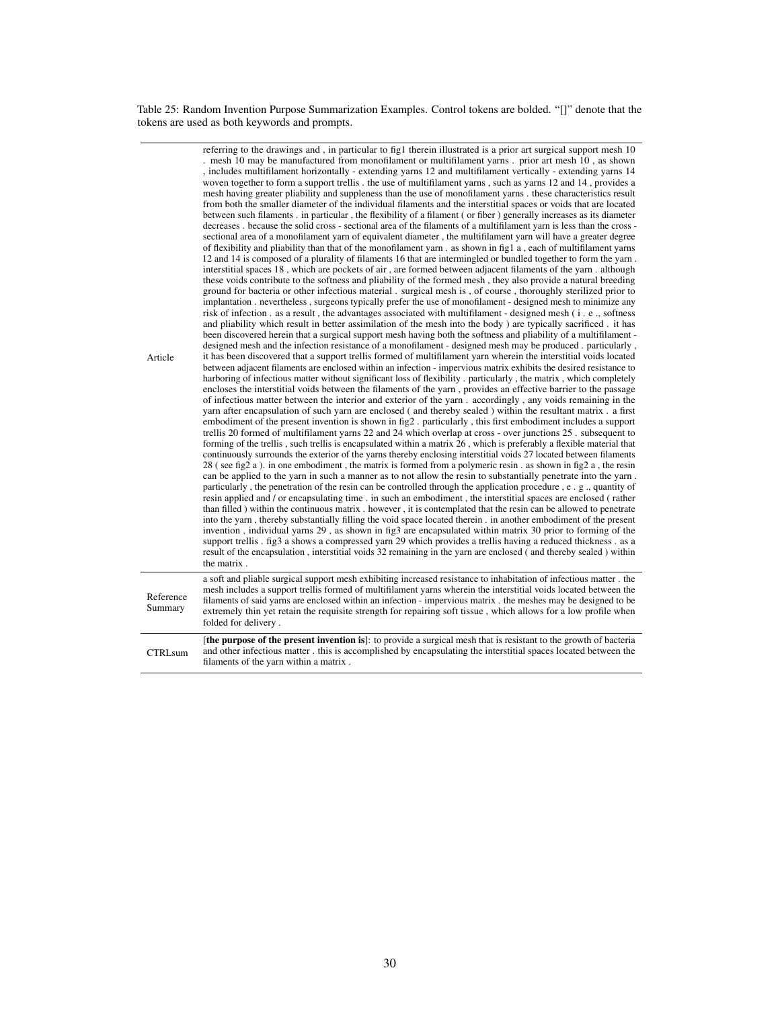Table 25: Random Invention Purpose Summarization Examples. Control tokens are bolded. "[]" denote that the tokens are used as both keywords and prompts.

| Article              | referring to the drawings and, in particular to fig1 therein illustrated is a prior art surgical support mesh 10<br>. mesh 10 may be manufactured from monofilament or multifilament yarns . prior art mesh 10, as shown<br>, includes multifilament horizontally - extending yarns 12 and multifilament vertically - extending yarns 14<br>woven together to form a support trellis. the use of multifilament yarns, such as yarns 12 and 14, provides a<br>mesh having greater pliability and suppleness than the use of monofilament yarns. these characteristics result<br>from both the smaller diameter of the individual filaments and the interstitial spaces or voids that are located<br>between such filaments in particular, the flexibility of a filament (or fiber) generally increases as its diameter<br>decreases, because the solid cross - sectional area of the filaments of a multifilament yarn is less than the cross -<br>sectional area of a monofilament yarn of equivalent diameter, the multifilament yarn will have a greater degree<br>of flexibility and pliability than that of the monofilament yarn as shown in fig1 a, each of multifilament yarns<br>12 and 14 is composed of a plurality of filaments 16 that are intermingled or bundled together to form the yarn.<br>interstitial spaces 18, which are pockets of air, are formed between adjacent filaments of the yarn. although<br>these voids contribute to the softness and pliability of the formed mesh, they also provide a natural breeding<br>ground for bacteria or other infectious material. surgical mesh is, of course, thoroughly sterilized prior to<br>implantation. nevertheless, surgeons typically prefer the use of monofilament - designed mesh to minimize any<br>risk of infection . as a result, the advantages associated with multifilament - designed mesh (i.e., softness<br>and pliability which result in better assimilation of the mesh into the body) are typically sacrificed. it has<br>been discovered herein that a surgical support mesh having both the softness and pliability of a multifilament -<br>designed mesh and the infection resistance of a monofilament - designed mesh may be produced. particularly,<br>it has been discovered that a support trellis formed of multifilament yarn wherein the interstitial voids located<br>between adjacent filaments are enclosed within an infection - impervious matrix exhibits the desired resistance to<br>harboring of infectious matter without significant loss of flexibility particularly, the matrix, which completely<br>encloses the interstitial voids between the filaments of the yarn, provides an effective barrier to the passage<br>of infectious matter between the interior and exterior of the yarn. accordingly, any voids remaining in the<br>yarn after encapsulation of such yarn are enclosed (and thereby sealed) within the resultant matrix. a first<br>embodiment of the present invention is shown in fig2, particularly, this first embodiment includes a support<br>trellis 20 formed of multifilament yarns 22 and 24 which overlap at cross - over junctions 25. subsequent to<br>forming of the trellis, such trellis is encapsulated within a matrix 26, which is preferably a flexible material that<br>continuously surrounds the exterior of the yarns thereby enclosing interstitial voids 27 located between filaments<br>28 (see fig2 a). in one embodiment, the matrix is formed from a polymeric resin, as shown in fig2 a, the resin<br>can be applied to the yarn in such a manner as to not allow the resin to substantially penetrate into the yarn.<br>particularly, the penetration of the resin can be controlled through the application procedure, e.g., quantity of<br>resin applied and / or encapsulating time. in such an embodiment, the interstitial spaces are enclosed (rather<br>than filled) within the continuous matrix . however, it is contemplated that the resin can be allowed to penetrate<br>into the yarn, thereby substantially filling the void space located therein. in another embodiment of the present<br>invention, individual yarns 29, as shown in fig3 are encapsulated within matrix 30 prior to forming of the<br>support trellis. fig3 a shows a compressed yarn 29 which provides a trellis having a reduced thickness. as a<br>result of the encapsulation, interstitial voids 32 remaining in the yarn are enclosed (and thereby sealed) within<br>the matrix. |
|----------------------|------------------------------------------------------------------------------------------------------------------------------------------------------------------------------------------------------------------------------------------------------------------------------------------------------------------------------------------------------------------------------------------------------------------------------------------------------------------------------------------------------------------------------------------------------------------------------------------------------------------------------------------------------------------------------------------------------------------------------------------------------------------------------------------------------------------------------------------------------------------------------------------------------------------------------------------------------------------------------------------------------------------------------------------------------------------------------------------------------------------------------------------------------------------------------------------------------------------------------------------------------------------------------------------------------------------------------------------------------------------------------------------------------------------------------------------------------------------------------------------------------------------------------------------------------------------------------------------------------------------------------------------------------------------------------------------------------------------------------------------------------------------------------------------------------------------------------------------------------------------------------------------------------------------------------------------------------------------------------------------------------------------------------------------------------------------------------------------------------------------------------------------------------------------------------------------------------------------------------------------------------------------------------------------------------------------------------------------------------------------------------------------------------------------------------------------------------------------------------------------------------------------------------------------------------------------------------------------------------------------------------------------------------------------------------------------------------------------------------------------------------------------------------------------------------------------------------------------------------------------------------------------------------------------------------------------------------------------------------------------------------------------------------------------------------------------------------------------------------------------------------------------------------------------------------------------------------------------------------------------------------------------------------------------------------------------------------------------------------------------------------------------------------------------------------------------------------------------------------------------------------------------------------------------------------------------------------------------------------------------------------------------------------------------------------------------------------------------------------------------------------------------------------------------------------------------------------------------------------------------------------------------------------------------------------------------------------------------------------------------------------------------------------------------------------------------------------------------------------------------------------------------------------------------------------------------------------------------------------------------------------------------------------------------------------------------------------------------------------------------------------------------------------------------------------------------------------------------------------------------------------------------------------------------------|
| Reference<br>Summary | a soft and pliable surgical support mesh exhibiting increased resistance to inhabitation of infectious matter. the<br>mesh includes a support trellis formed of multifilament yarns wherein the interstitial voids located between the<br>filaments of said yarns are enclosed within an infection - impervious matrix, the meshes may be designed to be<br>extremely thin yet retain the requisite strength for repairing soft tissue, which allows for a low profile when<br>folded for delivery.                                                                                                                                                                                                                                                                                                                                                                                                                                                                                                                                                                                                                                                                                                                                                                                                                                                                                                                                                                                                                                                                                                                                                                                                                                                                                                                                                                                                                                                                                                                                                                                                                                                                                                                                                                                                                                                                                                                                                                                                                                                                                                                                                                                                                                                                                                                                                                                                                                                                                                                                                                                                                                                                                                                                                                                                                                                                                                                                                                                                                                                                                                                                                                                                                                                                                                                                                                                                                                                                                                                                                                                                                                                                                                                                                                                                                                                                                                                                                                                                                                            |
| <b>CTRLsum</b>       | <b>The purpose of the present invention is</b> : to provide a surgical mesh that is resistant to the growth of bacteria<br>and other infectious matter. this is accomplished by encapsulating the interstitial spaces located between the<br>filaments of the yarn within a matrix.                                                                                                                                                                                                                                                                                                                                                                                                                                                                                                                                                                                                                                                                                                                                                                                                                                                                                                                                                                                                                                                                                                                                                                                                                                                                                                                                                                                                                                                                                                                                                                                                                                                                                                                                                                                                                                                                                                                                                                                                                                                                                                                                                                                                                                                                                                                                                                                                                                                                                                                                                                                                                                                                                                                                                                                                                                                                                                                                                                                                                                                                                                                                                                                                                                                                                                                                                                                                                                                                                                                                                                                                                                                                                                                                                                                                                                                                                                                                                                                                                                                                                                                                                                                                                                                            |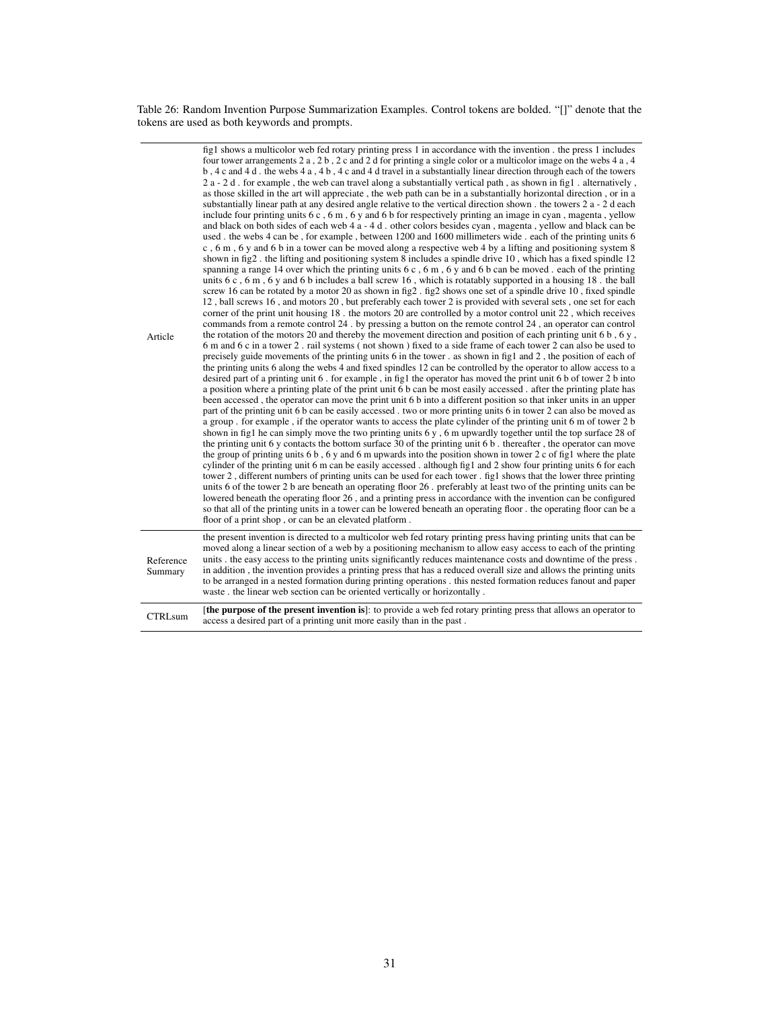Table 26: Random Invention Purpose Summarization Examples. Control tokens are bolded. "[]" denote that the tokens are used as both keywords and prompts.

| Article              | fig1 shows a multicolor web fed rotary printing press 1 in accordance with the invention. the press 1 includes<br>four tower arrangements 2 a, 2 b, 2 c and 2 d for printing a single color or a multicolor image on the webs 4 a, 4<br>b, 4 c and 4 d . the webs 4 a, 4 b, 4 c and 4 d travel in a substantially linear direction through each of the towers<br>2 a - 2 d . for example, the web can travel along a substantially vertical path, as shown in fig1. alternatively,<br>as those skilled in the art will appreciate, the web path can be in a substantially horizontal direction, or in a<br>substantially linear path at any desired angle relative to the vertical direction shown . the towers 2 a - 2 d each<br>include four printing units $6c$ , $6m$ , $6y$ and $6b$ for respectively printing an image in cyan, magenta, yellow<br>and black on both sides of each web 4 a - 4 d. other colors besides cyan, magenta, yellow and black can be<br>used . the webs 4 can be, for example, between 1200 and 1600 millimeters wide . each of the printing units 6<br>c, 6 m, 6 y and 6 b in a tower can be moved along a respective web 4 by a lifting and positioning system 8<br>shown in fig2. the lifting and positioning system 8 includes a spindle drive 10, which has a fixed spindle 12<br>spanning a range 14 over which the printing units $6c$ , $6m$ , $6y$ and $6b$ can be moved. each of the printing<br>units $6c$ , $6m$ , $6y$ and $6b$ includes a ball screw 16, which is rotatably supported in a housing 18. the ball<br>screw 16 can be rotated by a motor 20 as shown in fig2. fig2 shows one set of a spindle drive 10, fixed spindle<br>12, ball screws 16, and motors 20, but preferably each tower 2 is provided with several sets, one set for each<br>corner of the print unit housing 18. the motors 20 are controlled by a motor control unit 22, which receives<br>commands from a remote control 24. by pressing a button on the remote control 24, an operator can control<br>the rotation of the motors 20 and thereby the movement direction and position of each printing unit 6 b, 6 y,<br>6 m and 6 c in a tower 2 . rail systems (not shown) fixed to a side frame of each tower 2 can also be used to<br>precisely guide movements of the printing units 6 in the tower. as shown in fig1 and 2, the position of each of<br>the printing units 6 along the webs 4 and fixed spindles 12 can be controlled by the operator to allow access to a<br>desired part of a printing unit $6$ . for example, in fig1 the operator has moved the print unit $6$ b of tower 2 b into<br>a position where a printing plate of the print unit 6 b can be most easily accessed. after the printing plate has<br>been accessed, the operator can move the print unit 6 b into a different position so that inker units in an upper<br>part of the printing unit 6 b can be easily accessed. two or more printing units 6 in tower 2 can also be moved as<br>a group. for example, if the operator wants to access the plate cylinder of the printing unit 6 m of tower 2 b<br>shown in fig1 he can simply move the two printing units 6 y, 6 m upwardly together until the top surface 28 of<br>the printing unit 6 y contacts the bottom surface 30 of the printing unit 6 b. thereafter, the operator can move<br>the group of printing units $6 b$ , $6 y$ and $6 m$ upwards into the position shown in tower 2 c of fig1 where the plate<br>cylinder of the printing unit 6 m can be easily accessed. although fig1 and 2 show four printing units 6 for each<br>tower 2, different numbers of printing units can be used for each tower. fig1 shows that the lower three printing<br>units 6 of the tower 2 b are beneath an operating floor 26. preferably at least two of the printing units can be<br>lowered beneath the operating floor 26, and a printing press in accordance with the invention can be configured<br>so that all of the printing units in a tower can be lowered beneath an operating floor. the operating floor can be a<br>floor of a print shop, or can be an elevated platform. |
|----------------------|--------------------------------------------------------------------------------------------------------------------------------------------------------------------------------------------------------------------------------------------------------------------------------------------------------------------------------------------------------------------------------------------------------------------------------------------------------------------------------------------------------------------------------------------------------------------------------------------------------------------------------------------------------------------------------------------------------------------------------------------------------------------------------------------------------------------------------------------------------------------------------------------------------------------------------------------------------------------------------------------------------------------------------------------------------------------------------------------------------------------------------------------------------------------------------------------------------------------------------------------------------------------------------------------------------------------------------------------------------------------------------------------------------------------------------------------------------------------------------------------------------------------------------------------------------------------------------------------------------------------------------------------------------------------------------------------------------------------------------------------------------------------------------------------------------------------------------------------------------------------------------------------------------------------------------------------------------------------------------------------------------------------------------------------------------------------------------------------------------------------------------------------------------------------------------------------------------------------------------------------------------------------------------------------------------------------------------------------------------------------------------------------------------------------------------------------------------------------------------------------------------------------------------------------------------------------------------------------------------------------------------------------------------------------------------------------------------------------------------------------------------------------------------------------------------------------------------------------------------------------------------------------------------------------------------------------------------------------------------------------------------------------------------------------------------------------------------------------------------------------------------------------------------------------------------------------------------------------------------------------------------------------------------------------------------------------------------------------------------------------------------------------------------------------------------------------------------------------------------------------------------------------------------------------------------------------------------------------------------------------------------------------------------------------------------------------------------------------------------------------------------------------------------------------------------------------------------------------------------------------------------------------------------------------------------------------------------------------------------------------------------------------------------------------------------------------------------------------------------------------------------------------------------------|
| Reference<br>Summary | the present invention is directed to a multicolor web fed rotary printing press having printing units that can be<br>moved along a linear section of a web by a positioning mechanism to allow easy access to each of the printing<br>units . the easy access to the printing units significantly reduces maintenance costs and downtime of the press.<br>in addition, the invention provides a printing press that has a reduced overall size and allows the printing units<br>to be arranged in a nested formation during printing operations. this nested formation reduces fanout and paper<br>waste . the linear web section can be oriented vertically or horizontally.                                                                                                                                                                                                                                                                                                                                                                                                                                                                                                                                                                                                                                                                                                                                                                                                                                                                                                                                                                                                                                                                                                                                                                                                                                                                                                                                                                                                                                                                                                                                                                                                                                                                                                                                                                                                                                                                                                                                                                                                                                                                                                                                                                                                                                                                                                                                                                                                                                                                                                                                                                                                                                                                                                                                                                                                                                                                                                                                                                                                                                                                                                                                                                                                                                                                                                                                                                                                                                                                                |
| <b>CTRL</b> sum      | [the purpose of the present invention is]: to provide a web fed rotary printing press that allows an operator to<br>access a desired part of a printing unit more easily than in the past.                                                                                                                                                                                                                                                                                                                                                                                                                                                                                                                                                                                                                                                                                                                                                                                                                                                                                                                                                                                                                                                                                                                                                                                                                                                                                                                                                                                                                                                                                                                                                                                                                                                                                                                                                                                                                                                                                                                                                                                                                                                                                                                                                                                                                                                                                                                                                                                                                                                                                                                                                                                                                                                                                                                                                                                                                                                                                                                                                                                                                                                                                                                                                                                                                                                                                                                                                                                                                                                                                                                                                                                                                                                                                                                                                                                                                                                                                                                                                                   |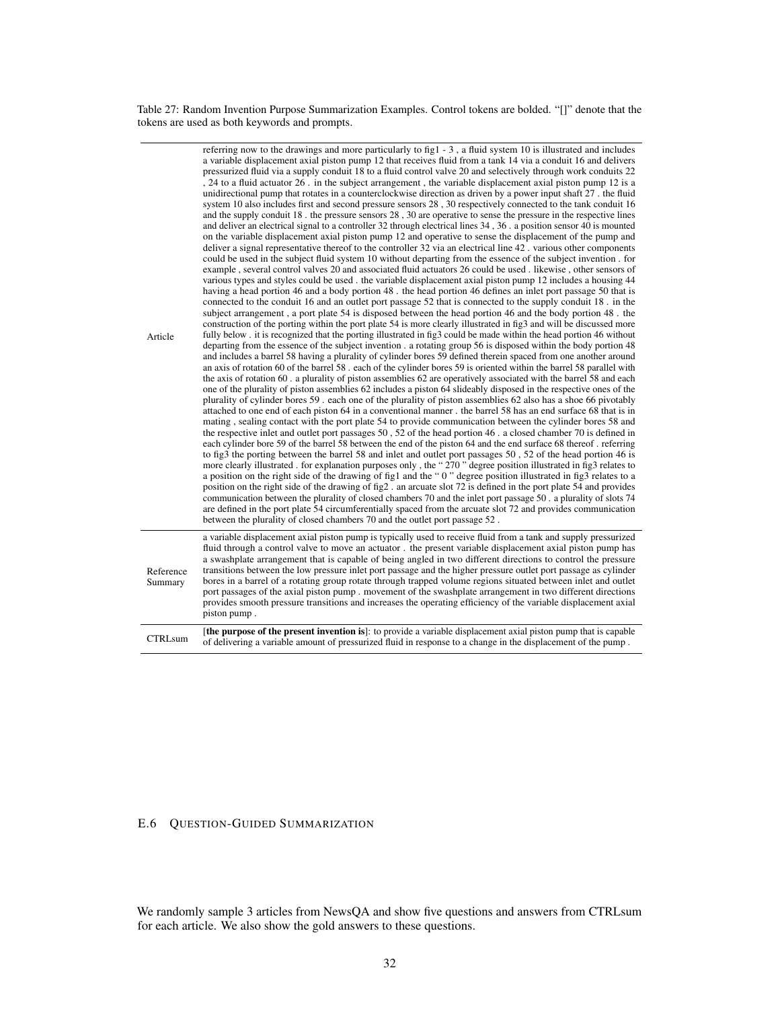Table 27: Random Invention Purpose Summarization Examples. Control tokens are bolded. "[]" denote that the tokens are used as both keywords and prompts.

| Article              | referring now to the drawings and more particularly to fig1 $-3$ , a fluid system 10 is illustrated and includes<br>a variable displacement axial piston pump 12 that receives fluid from a tank 14 via a conduit 16 and delivers<br>pressurized fluid via a supply conduit 18 to a fluid control valve 20 and selectively through work conduits 22<br>24 to a fluid actuator 26. in the subject arrangement, the variable displacement axial piston pump 12 is a<br>unidirectional pump that rotates in a counterclockwise direction as driven by a power input shaft 27. the fluid<br>system 10 also includes first and second pressure sensors 28, 30 respectively connected to the tank conduit 16<br>and the supply conduit 18. the pressure sensors 28, 30 are operative to sense the pressure in the respective lines<br>and deliver an electrical signal to a controller 32 through electrical lines 34, 36, a position sensor 40 is mounted<br>on the variable displacement axial piston pump 12 and operative to sense the displacement of the pump and<br>deliver a signal representative thereof to the controller 32 via an electrical line 42, various other components<br>could be used in the subject fluid system 10 without departing from the essence of the subject invention. for<br>example, several control valves 20 and associated fluid actuators 26 could be used. likewise, other sensors of<br>various types and styles could be used. the variable displacement axial piston pump 12 includes a housing 44<br>having a head portion 46 and a body portion 48. the head portion 46 defines an inlet port passage 50 that is<br>connected to the conduit 16 and an outlet port passage 52 that is connected to the supply conduit 18. in the<br>subject arrangement, a port plate 54 is disposed between the head portion 46 and the body portion 48.<br>construction of the porting within the port plate 54 is more clearly illustrated in fig3 and will be discussed more<br>fully below. it is recognized that the porting illustrated in fig3 could be made within the head portion 46 without<br>departing from the essence of the subject invention. a rotating group 56 is disposed within the body portion 48<br>and includes a barrel 58 having a plurality of cylinder bores 59 defined therein spaced from one another around<br>an axis of rotation 60 of the barrel 58 . each of the cylinder bores 59 is oriented within the barrel 58 parallel with<br>the axis of rotation 60, a plurality of piston assemblies 62 are operatively associated with the barrel 58 and each<br>one of the plurality of piston assemblies 62 includes a piston 64 slideably disposed in the respective ones of the<br>plurality of cylinder bores 59, each one of the plurality of piston assemblies 62 also has a shoe 66 pivotably<br>attached to one end of each piston 64 in a conventional manner. the barrel 58 has an end surface 68 that is in<br>mating, sealing contact with the port plate 54 to provide communication between the cylinder bores 58 and<br>the respective inlet and outlet port passages 50, 52 of the head portion 46. a closed chamber 70 is defined in<br>each cylinder bore 59 of the barrel 58 between the end of the piston 64 and the end surface 68 thereof. referring<br>to fig3 the porting between the barrel 58 and inlet and outlet port passages 50, 52 of the head portion 46 is<br>more clearly illustrated. for explanation purposes only, the "270" degree position illustrated in fig3 relates to<br>a position on the right side of the drawing of fig1 and the " $0$ " degree position illustrated in fig3 relates to a |
|----------------------|----------------------------------------------------------------------------------------------------------------------------------------------------------------------------------------------------------------------------------------------------------------------------------------------------------------------------------------------------------------------------------------------------------------------------------------------------------------------------------------------------------------------------------------------------------------------------------------------------------------------------------------------------------------------------------------------------------------------------------------------------------------------------------------------------------------------------------------------------------------------------------------------------------------------------------------------------------------------------------------------------------------------------------------------------------------------------------------------------------------------------------------------------------------------------------------------------------------------------------------------------------------------------------------------------------------------------------------------------------------------------------------------------------------------------------------------------------------------------------------------------------------------------------------------------------------------------------------------------------------------------------------------------------------------------------------------------------------------------------------------------------------------------------------------------------------------------------------------------------------------------------------------------------------------------------------------------------------------------------------------------------------------------------------------------------------------------------------------------------------------------------------------------------------------------------------------------------------------------------------------------------------------------------------------------------------------------------------------------------------------------------------------------------------------------------------------------------------------------------------------------------------------------------------------------------------------------------------------------------------------------------------------------------------------------------------------------------------------------------------------------------------------------------------------------------------------------------------------------------------------------------------------------------------------------------------------------------------------------------------------------------------------------------------------------------------------------------------------------------------------------------------------------------------------------------------------------------------------------------------------------------------------------------------------------------------------------------------------------------------------------------------------------------------------------------------------------------------------------------------------------------------------------------------------------------------------------------------------------------------------------------------------------------------------------------------------------|
|                      | position on the right side of the drawing of fig2. an arcuate slot 72 is defined in the port plate 54 and provides<br>communication between the plurality of closed chambers 70 and the inlet port passage 50. a plurality of slots 74<br>are defined in the port plate 54 circumferentially spaced from the arcuate slot 72 and provides communication<br>between the plurality of closed chambers 70 and the outlet port passage 52.                                                                                                                                                                                                                                                                                                                                                                                                                                                                                                                                                                                                                                                                                                                                                                                                                                                                                                                                                                                                                                                                                                                                                                                                                                                                                                                                                                                                                                                                                                                                                                                                                                                                                                                                                                                                                                                                                                                                                                                                                                                                                                                                                                                                                                                                                                                                                                                                                                                                                                                                                                                                                                                                                                                                                                                                                                                                                                                                                                                                                                                                                                                                                                                                                                                             |
| Reference<br>Summary | a variable displacement axial piston pump is typically used to receive fluid from a tank and supply pressurized<br>fluid through a control valve to move an actuator. the present variable displacement axial piston pump has<br>a swashplate arrangement that is capable of being angled in two different directions to control the pressure<br>transitions between the low pressure inlet port passage and the higher pressure outlet port passage as cylinder<br>bores in a barrel of a rotating group rotate through trapped volume regions situated between inlet and outlet<br>port passages of the axial piston pump . movement of the swashplate arrangement in two different directions<br>provides smooth pressure transitions and increases the operating efficiency of the variable displacement axial<br>piston pump.                                                                                                                                                                                                                                                                                                                                                                                                                                                                                                                                                                                                                                                                                                                                                                                                                                                                                                                                                                                                                                                                                                                                                                                                                                                                                                                                                                                                                                                                                                                                                                                                                                                                                                                                                                                                                                                                                                                                                                                                                                                                                                                                                                                                                                                                                                                                                                                                                                                                                                                                                                                                                                                                                                                                                                                                                                                                 |
| <b>CTRLsum</b>       | [the purpose of the present invention is]: to provide a variable displacement axial piston pump that is capable<br>of delivering a variable amount of pressurized fluid in response to a change in the displacement of the pump.                                                                                                                                                                                                                                                                                                                                                                                                                                                                                                                                                                                                                                                                                                                                                                                                                                                                                                                                                                                                                                                                                                                                                                                                                                                                                                                                                                                                                                                                                                                                                                                                                                                                                                                                                                                                                                                                                                                                                                                                                                                                                                                                                                                                                                                                                                                                                                                                                                                                                                                                                                                                                                                                                                                                                                                                                                                                                                                                                                                                                                                                                                                                                                                                                                                                                                                                                                                                                                                                   |

# E.6 QUESTION-GUIDED SUMMARIZATION

We randomly sample 3 articles from NewsQA and show five questions and answers from CTRLsum for each article. We also show the gold answers to these questions.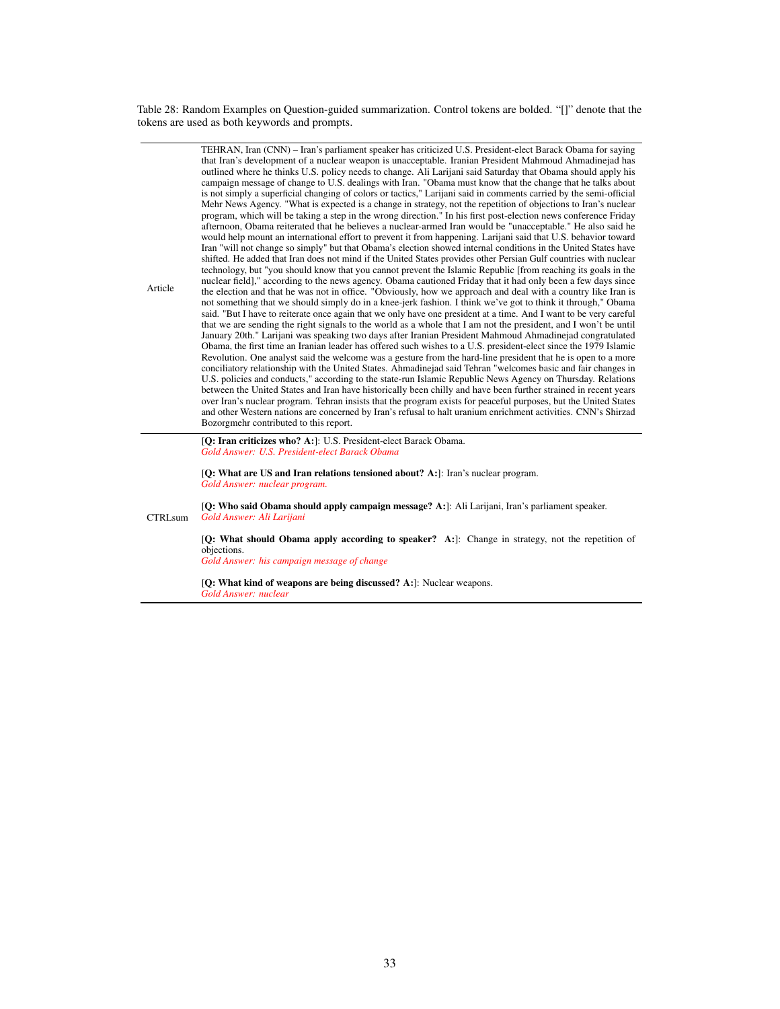Table 28: Random Examples on Question-guided summarization. Control tokens are bolded. "[]" denote that the tokens are used as both keywords and prompts.

| Article        | TEHRAN, Iran (CNN) – Iran's parliament speaker has criticized U.S. President-elect Barack Obama for saying<br>that Iran's development of a nuclear weapon is unacceptable. Iranian President Mahmoud Ahmadinejad has<br>outlined where he thinks U.S. policy needs to change. Ali Larijani said Saturday that Obama should apply his<br>campaign message of change to U.S. dealings with Iran. "Obama must know that the change that he talks about<br>is not simply a superficial changing of colors or tactics," Larijani said in comments carried by the semi-official<br>Mehr News Agency. "What is expected is a change in strategy, not the repetition of objections to Iran's nuclear<br>program, which will be taking a step in the wrong direction." In his first post-election news conference Friday<br>afternoon, Obama reiterated that he believes a nuclear-armed Iran would be "unacceptable." He also said he<br>would help mount an international effort to prevent it from happening. Larijani said that U.S. behavior toward<br>Iran "will not change so simply" but that Obama's election showed internal conditions in the United States have<br>shifted. He added that Iran does not mind if the United States provides other Persian Gulf countries with nuclear<br>technology, but "you should know that you cannot prevent the Islamic Republic [from reaching its goals in the<br>nuclear field]," according to the news agency. Obama cautioned Friday that it had only been a few days since<br>the election and that he was not in office. "Obviously, how we approach and deal with a country like Iran is<br>not something that we should simply do in a knee-jerk fashion. I think we've got to think it through," Obama<br>said. "But I have to reiterate once again that we only have one president at a time. And I want to be very careful<br>that we are sending the right signals to the world as a whole that I am not the president, and I won't be until<br>January 20th." Larijani was speaking two days after Iranian President Mahmoud Ahmadinejad congratulated<br>Obama, the first time an Iranian leader has offered such wishes to a U.S. president-elect since the 1979 Islamic<br>Revolution. One analyst said the welcome was a gesture from the hard-line president that he is open to a more<br>conciliatory relationship with the United States. Ahmadinejad said Tehran "welcomes basic and fair changes in<br>U.S. policies and conducts," according to the state-run Islamic Republic News Agency on Thursday. Relations<br>between the United States and Iran have historically been chilly and have been further strained in recent years<br>over Iran's nuclear program. Tehran insists that the program exists for peaceful purposes, but the United States<br>and other Western nations are concerned by Iran's refusal to halt uranium enrichment activities. CNN's Shirzad<br>Bozorgmehr contributed to this report. |
|----------------|--------------------------------------------------------------------------------------------------------------------------------------------------------------------------------------------------------------------------------------------------------------------------------------------------------------------------------------------------------------------------------------------------------------------------------------------------------------------------------------------------------------------------------------------------------------------------------------------------------------------------------------------------------------------------------------------------------------------------------------------------------------------------------------------------------------------------------------------------------------------------------------------------------------------------------------------------------------------------------------------------------------------------------------------------------------------------------------------------------------------------------------------------------------------------------------------------------------------------------------------------------------------------------------------------------------------------------------------------------------------------------------------------------------------------------------------------------------------------------------------------------------------------------------------------------------------------------------------------------------------------------------------------------------------------------------------------------------------------------------------------------------------------------------------------------------------------------------------------------------------------------------------------------------------------------------------------------------------------------------------------------------------------------------------------------------------------------------------------------------------------------------------------------------------------------------------------------------------------------------------------------------------------------------------------------------------------------------------------------------------------------------------------------------------------------------------------------------------------------------------------------------------------------------------------------------------------------------------------------------------------------------------------------------------------------------------------------------------------------------------------------------------------------------------------------------------------------------------------------------------------------------------------------------------------------------------------------------------------------------|
|                | [Q: Iran criticizes who? A:]: U.S. President-elect Barack Obama.<br>Gold Answer: U.S. President-elect Barack Obama                                                                                                                                                                                                                                                                                                                                                                                                                                                                                                                                                                                                                                                                                                                                                                                                                                                                                                                                                                                                                                                                                                                                                                                                                                                                                                                                                                                                                                                                                                                                                                                                                                                                                                                                                                                                                                                                                                                                                                                                                                                                                                                                                                                                                                                                                                                                                                                                                                                                                                                                                                                                                                                                                                                                                                                                                                                                   |
|                | [Q: What are US and Iran relations tensioned about? A: ]: Iran's nuclear program.<br>Gold Answer: nuclear program.                                                                                                                                                                                                                                                                                                                                                                                                                                                                                                                                                                                                                                                                                                                                                                                                                                                                                                                                                                                                                                                                                                                                                                                                                                                                                                                                                                                                                                                                                                                                                                                                                                                                                                                                                                                                                                                                                                                                                                                                                                                                                                                                                                                                                                                                                                                                                                                                                                                                                                                                                                                                                                                                                                                                                                                                                                                                   |
| <b>CTRLsum</b> | [Q: Who said Obama should apply campaign message? A: ]: Ali Larijani, Iran's parliament speaker.<br>Gold Answer: Ali Larijani                                                                                                                                                                                                                                                                                                                                                                                                                                                                                                                                                                                                                                                                                                                                                                                                                                                                                                                                                                                                                                                                                                                                                                                                                                                                                                                                                                                                                                                                                                                                                                                                                                                                                                                                                                                                                                                                                                                                                                                                                                                                                                                                                                                                                                                                                                                                                                                                                                                                                                                                                                                                                                                                                                                                                                                                                                                        |
|                | [Q: What should Obama apply according to speaker? A: ]: Change in strategy, not the repetition of<br>objections.                                                                                                                                                                                                                                                                                                                                                                                                                                                                                                                                                                                                                                                                                                                                                                                                                                                                                                                                                                                                                                                                                                                                                                                                                                                                                                                                                                                                                                                                                                                                                                                                                                                                                                                                                                                                                                                                                                                                                                                                                                                                                                                                                                                                                                                                                                                                                                                                                                                                                                                                                                                                                                                                                                                                                                                                                                                                     |
|                | Gold Answer: his campaign message of change                                                                                                                                                                                                                                                                                                                                                                                                                                                                                                                                                                                                                                                                                                                                                                                                                                                                                                                                                                                                                                                                                                                                                                                                                                                                                                                                                                                                                                                                                                                                                                                                                                                                                                                                                                                                                                                                                                                                                                                                                                                                                                                                                                                                                                                                                                                                                                                                                                                                                                                                                                                                                                                                                                                                                                                                                                                                                                                                          |
|                | [Q: What kind of weapons are being discussed? A: ]: Nuclear weapons.<br><b>Gold Answer: nuclear</b>                                                                                                                                                                                                                                                                                                                                                                                                                                                                                                                                                                                                                                                                                                                                                                                                                                                                                                                                                                                                                                                                                                                                                                                                                                                                                                                                                                                                                                                                                                                                                                                                                                                                                                                                                                                                                                                                                                                                                                                                                                                                                                                                                                                                                                                                                                                                                                                                                                                                                                                                                                                                                                                                                                                                                                                                                                                                                  |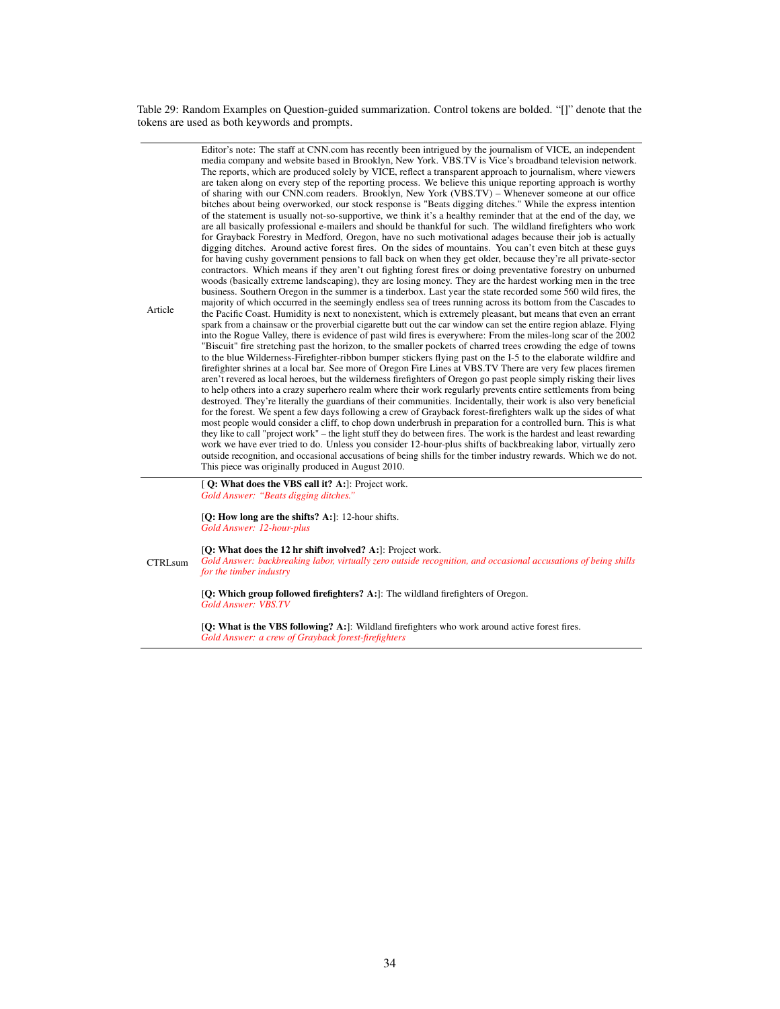Table 29: Random Examples on Question-guided summarization. Control tokens are bolded. "[]" denote that the tokens are used as both keywords and prompts.



[Q: What is the VBS following? A:]: Wildland firefighters who work around active forest fires. *Gold Answer: a crew of Grayback forest-firefighters*